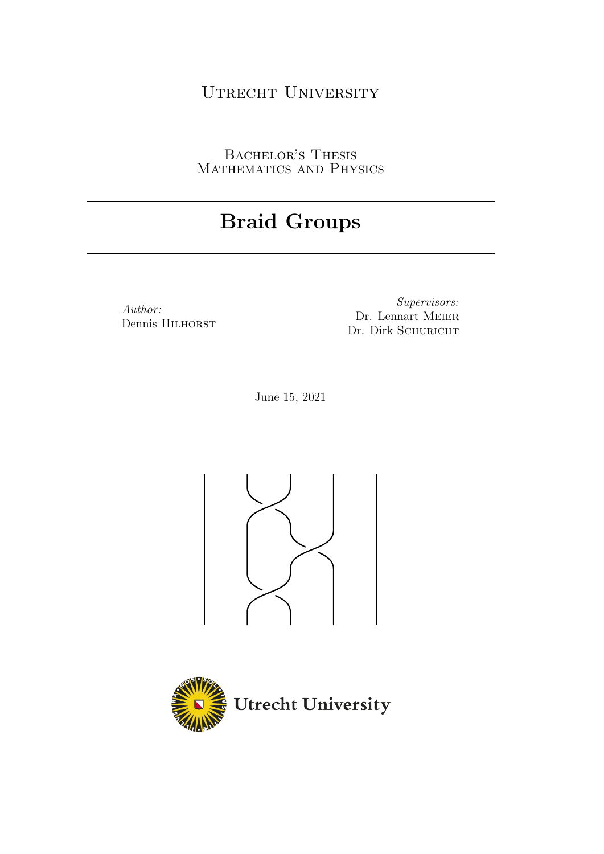# UTRECHT UNIVERSITY

BACHELOR'S THESIS MATHEMATICS AND PHYSICS

# Braid Groups

Author: Dennis HILHORST

Supervisors: Dr. Lennart MEIER Dr. Dirk SCHURICHT

June 15, 2021



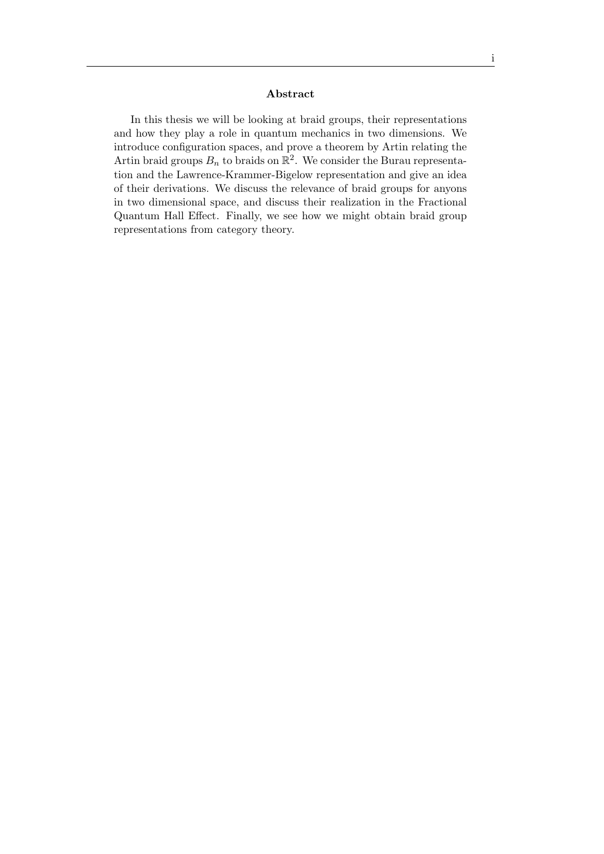#### Abstract

In this thesis we will be looking at braid groups, their representations and how they play a role in quantum mechanics in two dimensions. We introduce configuration spaces, and prove a theorem by Artin relating the Artin braid groups  $B_n$  to braids on  $\mathbb{R}^2$ . We consider the Burau representation and the Lawrence-Krammer-Bigelow representation and give an idea of their derivations. We discuss the relevance of braid groups for anyons in two dimensional space, and discuss their realization in the Fractional Quantum Hall Effect. Finally, we see how we might obtain braid group representations from category theory.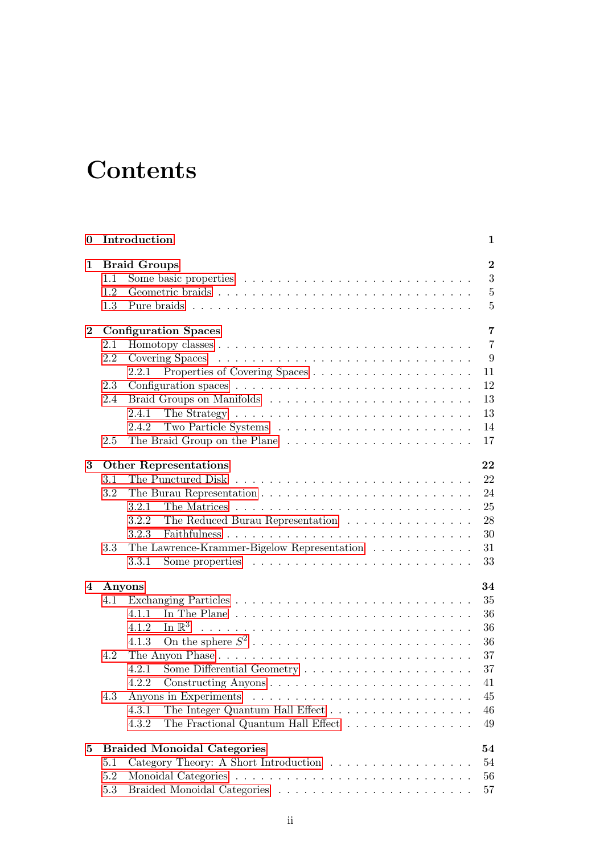# **Contents**

| $\bf{0}$       | Introduction<br>1 |                                                                                               |                  |  |  |  |  |  |  |  |  |  |  |  |
|----------------|-------------------|-----------------------------------------------------------------------------------------------|------------------|--|--|--|--|--|--|--|--|--|--|--|
| 1              |                   | <b>Braid Groups</b>                                                                           | $\boldsymbol{2}$ |  |  |  |  |  |  |  |  |  |  |  |
|                | 1.1               |                                                                                               | 3                |  |  |  |  |  |  |  |  |  |  |  |
|                | 1.2               |                                                                                               | $\bf 5$          |  |  |  |  |  |  |  |  |  |  |  |
|                | 1.3               |                                                                                               | $\overline{5}$   |  |  |  |  |  |  |  |  |  |  |  |
| $\bf{2}$       |                   | <b>Configuration Spaces</b>                                                                   | $\overline{7}$   |  |  |  |  |  |  |  |  |  |  |  |
|                | 2.1               |                                                                                               | $\overline{7}$   |  |  |  |  |  |  |  |  |  |  |  |
|                | 2.2               |                                                                                               | 9                |  |  |  |  |  |  |  |  |  |  |  |
|                |                   | 2.2.1                                                                                         | 11               |  |  |  |  |  |  |  |  |  |  |  |
|                | 2.3               |                                                                                               | 12               |  |  |  |  |  |  |  |  |  |  |  |
|                | 2.4               |                                                                                               | 13               |  |  |  |  |  |  |  |  |  |  |  |
|                |                   | 2.4.1<br>The Strategy $\ldots \ldots \ldots \ldots \ldots \ldots \ldots \ldots \ldots \ldots$ | 13               |  |  |  |  |  |  |  |  |  |  |  |
|                |                   | 2.4.2                                                                                         | 14               |  |  |  |  |  |  |  |  |  |  |  |
|                | 2.5               |                                                                                               | 17               |  |  |  |  |  |  |  |  |  |  |  |
| 3              |                   | <b>Other Representations</b>                                                                  | 22               |  |  |  |  |  |  |  |  |  |  |  |
|                | 3.1               |                                                                                               | 22               |  |  |  |  |  |  |  |  |  |  |  |
|                | 3.2               |                                                                                               | 24               |  |  |  |  |  |  |  |  |  |  |  |
|                |                   | 3.2.1                                                                                         | 25               |  |  |  |  |  |  |  |  |  |  |  |
|                |                   | 3.2.2<br>The Reduced Burau Representation                                                     | 28               |  |  |  |  |  |  |  |  |  |  |  |
|                |                   | 3.2.3                                                                                         | 30               |  |  |  |  |  |  |  |  |  |  |  |
|                | 3.3               | The Lawrence-Krammer-Bigelow Representation                                                   | 31               |  |  |  |  |  |  |  |  |  |  |  |
|                |                   | Some properties $\dots \dots \dots \dots \dots \dots \dots \dots \dots$<br>3.3.1              | 33               |  |  |  |  |  |  |  |  |  |  |  |
| $\overline{4}$ |                   | 34<br>Anyons                                                                                  |                  |  |  |  |  |  |  |  |  |  |  |  |
|                | 4.1               |                                                                                               | 35               |  |  |  |  |  |  |  |  |  |  |  |
|                |                   | 4.1.1                                                                                         | 36               |  |  |  |  |  |  |  |  |  |  |  |
|                |                   | In $\mathbb{R}^3$<br>4.1.2                                                                    | 36               |  |  |  |  |  |  |  |  |  |  |  |
|                |                   | 4.1.3                                                                                         | 36               |  |  |  |  |  |  |  |  |  |  |  |
|                | 4.2               |                                                                                               | 37               |  |  |  |  |  |  |  |  |  |  |  |
|                |                   | 4.2.1                                                                                         | 37               |  |  |  |  |  |  |  |  |  |  |  |
|                |                   | 4.2.2<br>Constructing Anyons $\dots \dots \dots \dots \dots \dots \dots \dots \dots$          | 41               |  |  |  |  |  |  |  |  |  |  |  |
|                | 4.3               | Anyons in Experiments                                                                         | 45               |  |  |  |  |  |  |  |  |  |  |  |
|                |                   | 4.3.1<br>The Integer Quantum Hall Effect                                                      | 46               |  |  |  |  |  |  |  |  |  |  |  |
|                |                   | 4.3.2<br>The Fractional Quantum Hall Effect                                                   | 49               |  |  |  |  |  |  |  |  |  |  |  |
| 5              |                   | <b>Braided Monoidal Categories</b>                                                            | 54               |  |  |  |  |  |  |  |  |  |  |  |
|                | 5.1               | Category Theory: A Short Introduction                                                         | 54               |  |  |  |  |  |  |  |  |  |  |  |
|                | 5.2               |                                                                                               | 56               |  |  |  |  |  |  |  |  |  |  |  |
|                | $5.3\,$           |                                                                                               | 57               |  |  |  |  |  |  |  |  |  |  |  |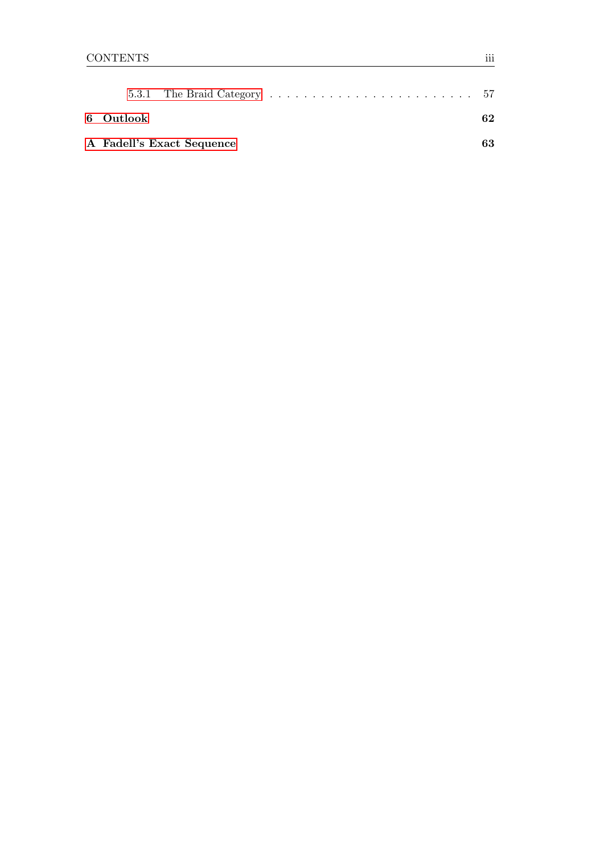| 6 Outlook                 |  |  |  |  |  |  |  |  |  |    |  |  |  | 62 |
|---------------------------|--|--|--|--|--|--|--|--|--|----|--|--|--|----|
| A Fadell's Exact Sequence |  |  |  |  |  |  |  |  |  | 63 |  |  |  |    |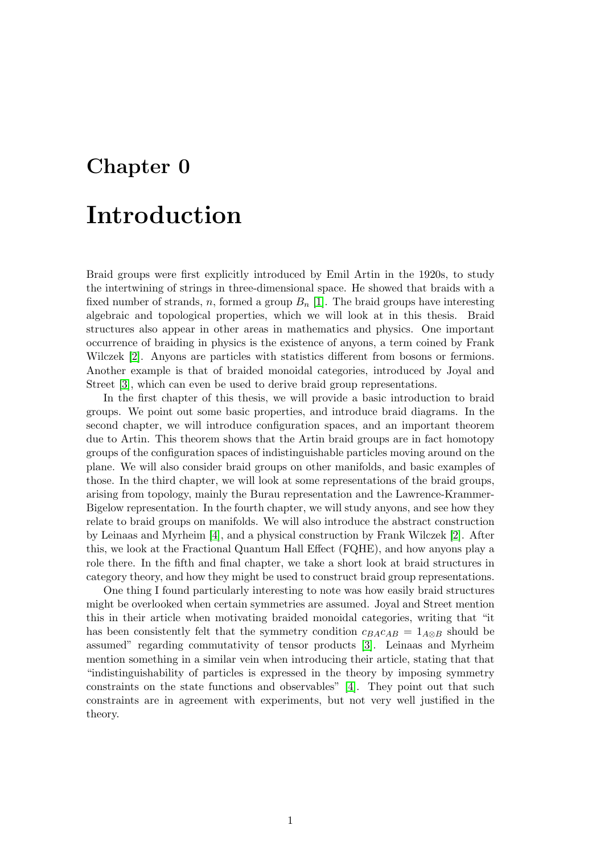# <span id="page-4-0"></span>Chapter 0

# Introduction

Braid groups were first explicitly introduced by Emil Artin in the 1920s, to study the intertwining of strings in three-dimensional space. He showed that braids with a fixed number of strands, n, formed a group  $B_n$  [\[1\]](#page-70-0). The braid groups have interesting algebraic and topological properties, which we will look at in this thesis. Braid structures also appear in other areas in mathematics and physics. One important occurrence of braiding in physics is the existence of anyons, a term coined by Frank Wilczek [\[2\]](#page-70-1). Anyons are particles with statistics different from bosons or fermions. Another example is that of braided monoidal categories, introduced by Joyal and Street [\[3\]](#page-70-2), which can even be used to derive braid group representations.

In the first chapter of this thesis, we will provide a basic introduction to braid groups. We point out some basic properties, and introduce braid diagrams. In the second chapter, we will introduce configuration spaces, and an important theorem due to Artin. This theorem shows that the Artin braid groups are in fact homotopy groups of the configuration spaces of indistinguishable particles moving around on the plane. We will also consider braid groups on other manifolds, and basic examples of those. In the third chapter, we will look at some representations of the braid groups, arising from topology, mainly the Burau representation and the Lawrence-Krammer-Bigelow representation. In the fourth chapter, we will study anyons, and see how they relate to braid groups on manifolds. We will also introduce the abstract construction by Leinaas and Myrheim [\[4\]](#page-70-3), and a physical construction by Frank Wilczek [\[2\]](#page-70-1). After this, we look at the Fractional Quantum Hall Effect (FQHE), and how anyons play a role there. In the fifth and final chapter, we take a short look at braid structures in category theory, and how they might be used to construct braid group representations.

One thing I found particularly interesting to note was how easily braid structures might be overlooked when certain symmetries are assumed. Joyal and Street mention this in their article when motivating braided monoidal categories, writing that "it has been consistently felt that the symmetry condition  $c_{BA}c_{AB} = 1_{A\otimes B}$  should be assumed" regarding commutativity of tensor products [\[3\]](#page-70-2). Leinaas and Myrheim mention something in a similar vein when introducing their article, stating that that "indistinguishability of particles is expressed in the theory by imposing symmetry constraints on the state functions and observables" [\[4\]](#page-70-3). They point out that such constraints are in agreement with experiments, but not very well justified in the theory.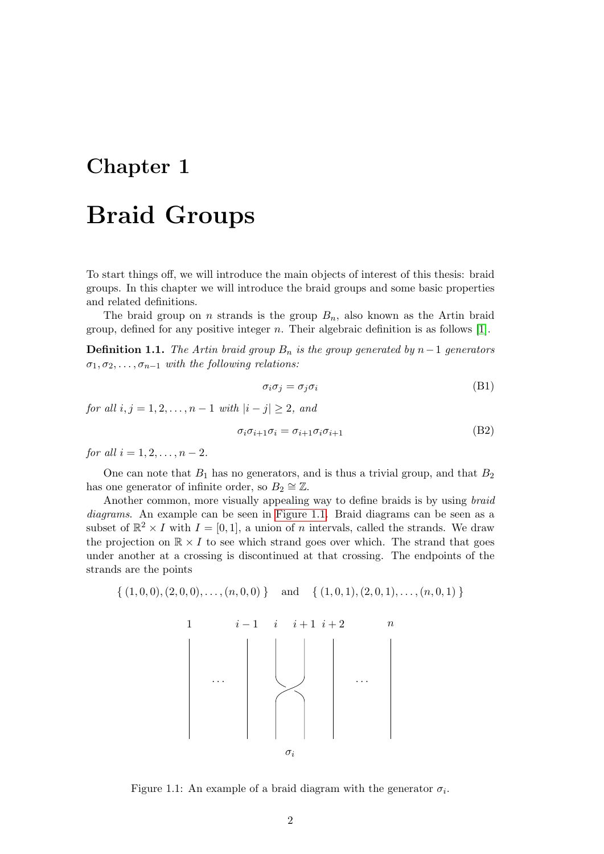## <span id="page-5-0"></span>Chapter 1

# Braid Groups

To start things off, we will introduce the main objects of interest of this thesis: braid groups. In this chapter we will introduce the braid groups and some basic properties and related definitions.

The braid group on n strands is the group  $B_n$ , also known as the Artin braid group, defined for any positive integer  $n$ . Their algebraic definition is as follows [\[1\]](#page-70-0).

<span id="page-5-4"></span>**Definition 1.1.** The Artin braid group  $B_n$  is the group generated by n−1 generators  $\sigma_1, \sigma_2, \ldots, \sigma_{n-1}$  with the following relations:

<span id="page-5-3"></span><span id="page-5-2"></span>
$$
\sigma_i \sigma_j = \sigma_j \sigma_i \tag{B1}
$$

for all  $i, j = 1, 2, ..., n - 1$  with  $|i - j| \ge 2$ , and

$$
\sigma_i \sigma_{i+1} \sigma_i = \sigma_{i+1} \sigma_i \sigma_{i+1} \tag{B2}
$$

for all  $i = 1, 2, ..., n - 2$ .

One can note that  $B_1$  has no generators, and is thus a trivial group, and that  $B_2$ has one generator of infinite order, so  $B_2 \cong \mathbb{Z}$ .

Another common, more visually appealing way to define braids is by using braid diagrams. An example can be seen in [Figure 1.1.](#page-5-1) Braid diagrams can be seen as a subset of  $\mathbb{R}^2 \times I$  with  $I = [0, 1]$ , a union of n intervals, called the strands. We draw the projection on  $\mathbb{R} \times I$  to see which strand goes over which. The strand that goes under another at a crossing is discontinued at that crossing. The endpoints of the strands are the points

<span id="page-5-1"></span>
$$
\{(1,0,0),(2,0,0),\ldots,(n,0,0)\}\quad\text{and}\quad\{(1,0,1),(2,0,1),\ldots,(n,0,1)\}\
$$



Figure 1.1: An example of a braid diagram with the generator  $\sigma_i$ .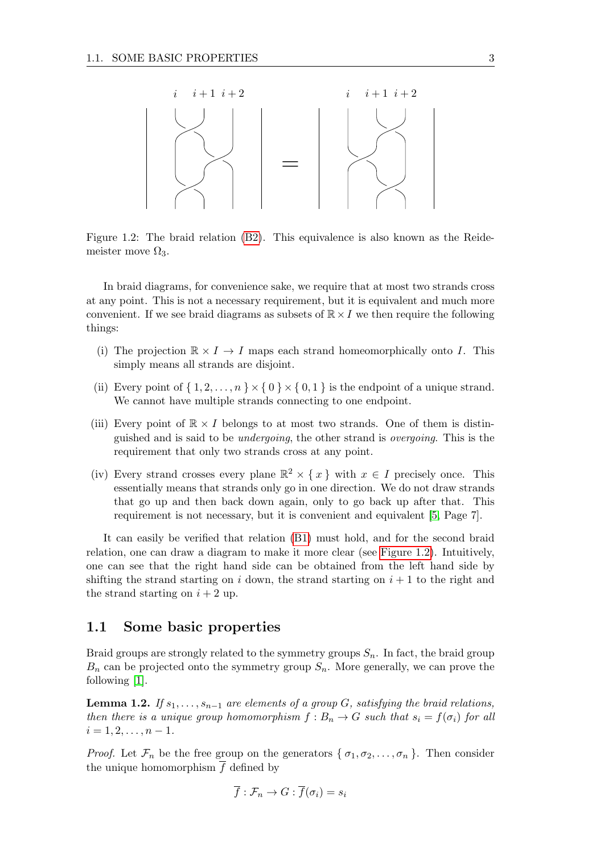<span id="page-6-1"></span>

Figure 1.2: The braid relation [\(B2\)](#page-5-2). This equivalence is also known as the Reidemeister move  $\Omega_3$ .

In braid diagrams, for convenience sake, we require that at most two strands cross at any point. This is not a necessary requirement, but it is equivalent and much more convenient. If we see braid diagrams as subsets of  $\mathbb{R} \times I$  we then require the following things:

- (i) The projection  $\mathbb{R} \times I \to I$  maps each strand homeomorphically onto I. This simply means all strands are disjoint.
- (ii) Every point of  $\{1, 2, \ldots, n\} \times \{0\} \times \{0, 1\}$  is the endpoint of a unique strand. We cannot have multiple strands connecting to one endpoint.
- (iii) Every point of  $\mathbb{R} \times I$  belongs to at most two strands. One of them is distinguished and is said to be undergoing, the other strand is overgoing. This is the requirement that only two strands cross at any point.
- (iv) Every strand crosses every plane  $\mathbb{R}^2 \times \{x\}$  with  $x \in I$  precisely once. This essentially means that strands only go in one direction. We do not draw strands that go up and then back down again, only to go back up after that. This requirement is not necessary, but it is convenient and equivalent [\[5,](#page-70-4) Page 7].

It can easily be verified that relation [\(B1\)](#page-5-3) must hold, and for the second braid relation, one can draw a diagram to make it more clear (see [Figure 1.2\)](#page-6-1). Intuitively, one can see that the right hand side can be obtained from the left hand side by shifting the strand starting on i down, the strand starting on  $i + 1$  to the right and the strand starting on  $i + 2$  up.

## <span id="page-6-0"></span>1.1 Some basic properties

Braid groups are strongly related to the symmetry groups  $S_n$ . In fact, the braid group  $B_n$  can be projected onto the symmetry group  $S_n$ . More generally, we can prove the following [\[1\]](#page-70-0).

<span id="page-6-2"></span>**Lemma 1.2.** If  $s_1, \ldots, s_{n-1}$  are elements of a group G, satisfying the braid relations, then there is a unique group homomorphism  $f : B_n \to G$  such that  $s_i = f(\sigma_i)$  for all  $i = 1, 2, \ldots, n - 1.$ 

*Proof.* Let  $\mathcal{F}_n$  be the free group on the generators  $\{\sigma_1, \sigma_2, \ldots, \sigma_n\}$ . Then consider the unique homomorphism  $\overline{f}$  defined by

$$
\overline{f} : \mathcal{F}_n \to G : \overline{f}(\sigma_i) = s_i
$$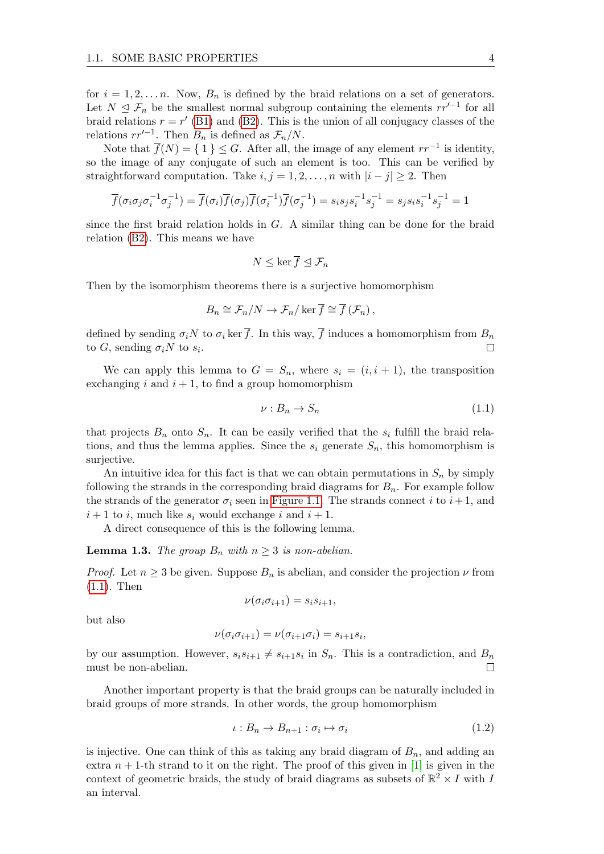for  $i = 1, 2, \ldots n$ . Now,  $B_n$  is defined by the braid relations on a set of generators. Let  $N \leq \mathcal{F}_n$  be the smallest normal subgroup containing the elements  $rr'^{-1}$  for all braid relations  $r = r'$  [\(B1\)](#page-5-3) and [\(B2\)](#page-5-2). This is the union of all conjugacy classes of the relations  $rr'^{-1}$ . Then  $B_n$  is defined as  $\mathcal{F}_n/N$ .

Note that  $\overline{f}(N) = \{ 1 \} \leq G$ . After all, the image of any element  $rr^{-1}$  is identity, so the image of any conjugate of such an element is too. This can be verified by straightforward computation. Take  $i, j = 1, 2, ..., n$  with  $|i - j| \ge 2$ . Then

$$
\overline{f}(\sigma_i \sigma_j \sigma_i^{-1} \sigma_j^{-1}) = \overline{f}(\sigma_i) \overline{f}(\sigma_j) \overline{f}(\sigma_i^{-1}) \overline{f}(\sigma_j^{-1}) = s_i s_j s_i^{-1} s_j^{-1} = s_j s_i s_i^{-1} s_j^{-1} = 1
$$

since the first braid relation holds in  $G$ . A similar thing can be done for the braid relation [\(B2\)](#page-5-2). This means we have

$$
N\leq \ker \overline{f}\trianglelefteq \mathcal{F}_n
$$

Then by the isomorphism theorems there is a surjective homomorphism

$$
B_n \cong \mathcal{F}_n/N \to \mathcal{F}_n/\ker \overline{f} \cong \overline{f}(\mathcal{F}_n),
$$

defined by sending  $\sigma_i$ N to  $\sigma_i$  ker  $\overline{f}$ . In this way,  $\overline{f}$  induces a homomorphism from  $B_n$ to  $G$ , sending  $\sigma_i N$  to  $s_i$ .  $\Box$ 

We can apply this lemma to  $G = S_n$ , where  $s_i = (i, i + 1)$ , the transposition exchanging i and  $i + 1$ , to find a group homomorphism

<span id="page-7-0"></span>
$$
\nu: B_n \to S_n \tag{1.1}
$$

that projects  $B_n$  onto  $S_n$ . It can be easily verified that the  $s_i$  fulfill the braid relations, and thus the lemma applies. Since the  $s_i$  generate  $S_n$ , this homomorphism is surjective.

An intuitive idea for this fact is that we can obtain permutations in  $S_n$  by simply following the strands in the corresponding braid diagrams for  $B_n$ . For example follow the strands of the generator  $\sigma_i$  seen in [Figure 1.1.](#page-5-1) The strands connect i to  $i+1$ , and  $i+1$  to i, much like  $s_i$  would exchange i and  $i+1$ .

A direct consequence of this is the following lemma.

**Lemma 1.3.** The group  $B_n$  with  $n \geq 3$  is non-abelian.

*Proof.* Let  $n \geq 3$  be given. Suppose  $B_n$  is abelian, and consider the projection  $\nu$  from [\(1.1\)](#page-7-0). Then

$$
\nu(\sigma_i \sigma_{i+1}) = s_i s_{i+1},
$$

but also

$$
\nu(\sigma_i \sigma_{i+1}) = \nu(\sigma_{i+1} \sigma_i) = s_{i+1} s_i,
$$

by our assumption. However,  $s_i s_{i+1} \neq s_{i+1} s_i$  in  $S_n$ . This is a contradiction, and  $B_n$ must be non-abelian. П

Another important property is that the braid groups can be naturally included in braid groups of more strands. In other words, the group homomorphism

$$
\iota: B_n \to B_{n+1}: \sigma_i \mapsto \sigma_i \tag{1.2}
$$

is injective. One can think of this as taking any braid diagram of  $B_n$ , and adding an extra  $n + 1$ -th strand to it on the right. The proof of this given in [\[1\]](#page-70-0) is given in the context of geometric braids, the study of braid diagrams as subsets of  $\mathbb{R}^2 \times I$  with I an interval.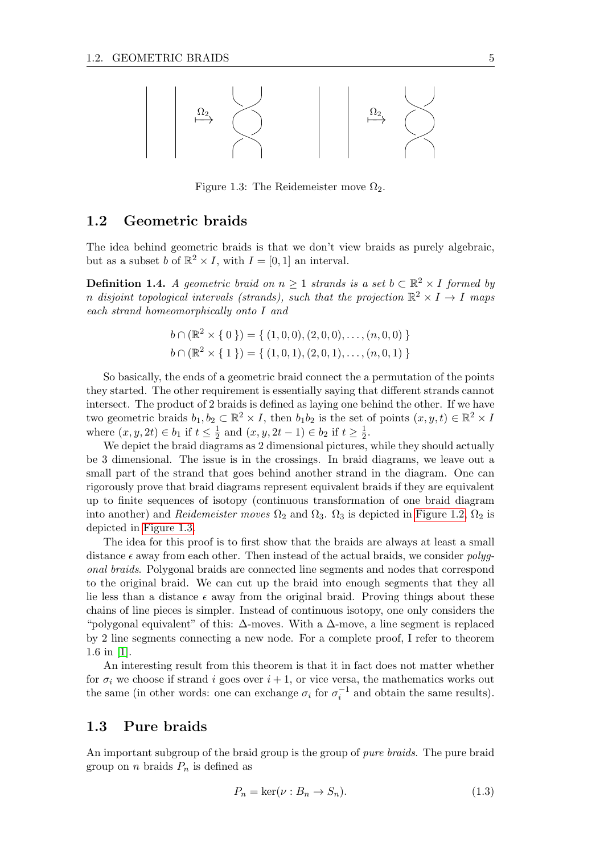<span id="page-8-2"></span>

Figure 1.3: The Reidemeister move  $\Omega_2$ .

### <span id="page-8-0"></span>1.2 Geometric braids

The idea behind geometric braids is that we don't view braids as purely algebraic, but as a subset b of  $\mathbb{R}^2 \times I$ , with  $I = [0, 1]$  an interval.

**Definition 1.4.** A geometric braid on  $n \geq 1$  strands is a set  $b \subset \mathbb{R}^2 \times I$  formed by n disjoint topological intervals (strands), such that the projection  $\mathbb{R}^2 \times I \to I$  maps each strand homeomorphically onto I and

$$
b \cap (\mathbb{R}^2 \times \{ 0 \}) = \{ (1,0,0), (2,0,0), \dots, (n,0,0) \}
$$

$$
b \cap (\mathbb{R}^2 \times \{ 1 \}) = \{ (1,0,1), (2,0,1), \dots, (n,0,1) \}
$$

So basically, the ends of a geometric braid connect the a permutation of the points they started. The other requirement is essentially saying that different strands cannot intersect. The product of 2 braids is defined as laying one behind the other. If we have two geometric braids  $b_1, b_2 \subset \mathbb{R}^2 \times I$ , then  $b_1b_2$  is the set of points  $(x, y, t) \in \mathbb{R}^2 \times I$ where  $(x, y, 2t) \in b_1$  if  $t \leq \frac{1}{2}$  $\frac{1}{2}$  and  $(x, y, 2t - 1) \in b_2$  if  $t \ge \frac{1}{2}$  $rac{1}{2}$ .

We depict the braid diagrams as 2 dimensional pictures, while they should actually be 3 dimensional. The issue is in the crossings. In braid diagrams, we leave out a small part of the strand that goes behind another strand in the diagram. One can rigorously prove that braid diagrams represent equivalent braids if they are equivalent up to finite sequences of isotopy (continuous transformation of one braid diagram into another) and Reidemeister moves  $\Omega_2$  and  $\Omega_3$ .  $\Omega_3$  is depicted in [Figure 1.2,](#page-6-1)  $\Omega_2$  is depicted in [Figure 1.3.](#page-8-2)

The idea for this proof is to first show that the braids are always at least a small distance  $\epsilon$  away from each other. Then instead of the actual braids, we consider polygonal braids. Polygonal braids are connected line segments and nodes that correspond to the original braid. We can cut up the braid into enough segments that they all lie less than a distance  $\epsilon$  away from the original braid. Proving things about these chains of line pieces is simpler. Instead of continuous isotopy, one only considers the "polygonal equivalent" of this:  $\Delta$ -moves. With a  $\Delta$ -move, a line segment is replaced by 2 line segments connecting a new node. For a complete proof, I refer to theorem 1.6 in [\[1\]](#page-70-0).

An interesting result from this theorem is that it in fact does not matter whether for  $\sigma_i$  we choose if strand i goes over  $i+1$ , or vice versa, the mathematics works out the same (in other words: one can exchange  $\sigma_i$  for  $\sigma_i^{-1}$  and obtain the same results).

## <span id="page-8-1"></span>1.3 Pure braids

An important subgroup of the braid group is the group of *pure braids*. The pure braid group on *n* braids  $P_n$  is defined as

$$
P_n = \ker(\nu : B_n \to S_n). \tag{1.3}
$$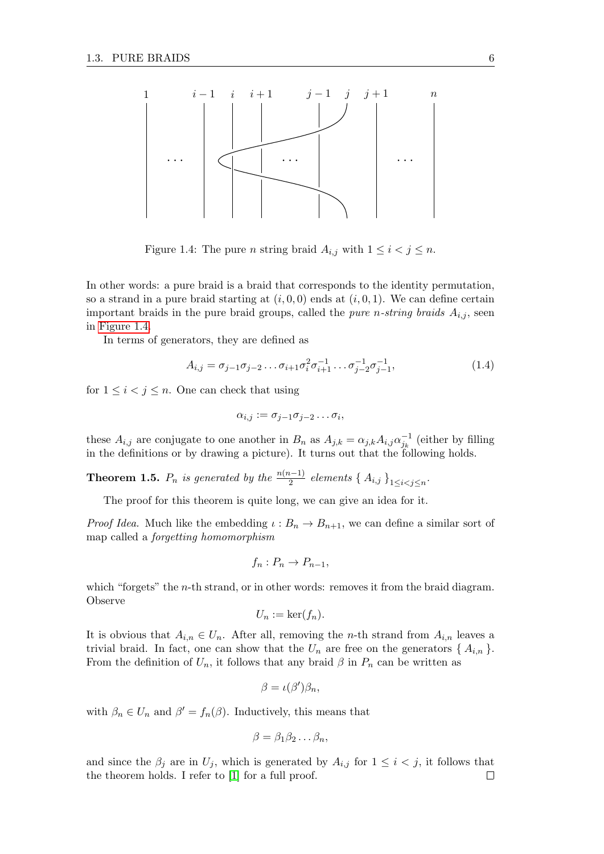<span id="page-9-0"></span>

Figure 1.4: The pure *n* string braid  $A_{i,j}$  with  $1 \leq i < j \leq n$ .

In other words: a pure braid is a braid that corresponds to the identity permutation, so a strand in a pure braid starting at  $(i, 0, 0)$  ends at  $(i, 0, 1)$ . We can define certain important braids in the pure braid groups, called the *pure n-string braids*  $A_{i,j}$ , seen in [Figure 1.4.](#page-9-0)

In terms of generators, they are defined as

$$
A_{i,j} = \sigma_{j-1}\sigma_{j-2}\dots\sigma_{i+1}\sigma_i^2\sigma_{i+1}^{-1}\dots\sigma_{j-2}^{-1}\sigma_{j-1}^{-1},
$$
\n(1.4)

for  $1 \leq i < j \leq n$ . One can check that using

$$
\alpha_{i,j} := \sigma_{j-1}\sigma_{j-2}\dots\sigma_i,
$$

these  $A_{i,j}$  are conjugate to one another in  $B_n$  as  $A_{j,k} = \alpha_{j,k} A_{i,j} \alpha_{j_k}^{-1}$  (either by filling in the definitions or by drawing a picture). It turns out that the following holds.

<span id="page-9-1"></span>**Theorem 1.5.**  $P_n$  is generated by the  $\frac{n(n-1)}{2}$  elements {  $A_{i,j}$  }<sub>1≤i<j≤n</sub>.

The proof for this theorem is quite long, we can give an idea for it.

*Proof Idea.* Much like the embedding  $\iota : B_n \to B_{n+1}$ , we can define a similar sort of map called a forgetting homomorphism

$$
f_n: P_n \to P_{n-1},
$$

which "forgets" the  $n$ -th strand, or in other words: removes it from the braid diagram. Observe

$$
U_n := \ker(f_n).
$$

It is obvious that  $A_{i,n} \in U_n$ . After all, removing the *n*-th strand from  $A_{i,n}$  leaves a trivial braid. In fact, one can show that the  $U_n$  are free on the generators  $\{A_{i,n}\}.$ From the definition of  $U_n$ , it follows that any braid  $\beta$  in  $P_n$  can be written as

$$
\beta = \iota(\beta')\beta_n,
$$

with  $\beta_n \in U_n$  and  $\beta' = f_n(\beta)$ . Inductively, this means that

$$
\beta = \beta_1 \beta_2 \dots \beta_n,
$$

and since the  $\beta_i$  are in  $U_j$ , which is generated by  $A_{i,j}$  for  $1 \leq i \leq j$ , it follows that the theorem holds. I refer to [\[1\]](#page-70-0) for a full proof. $\Box$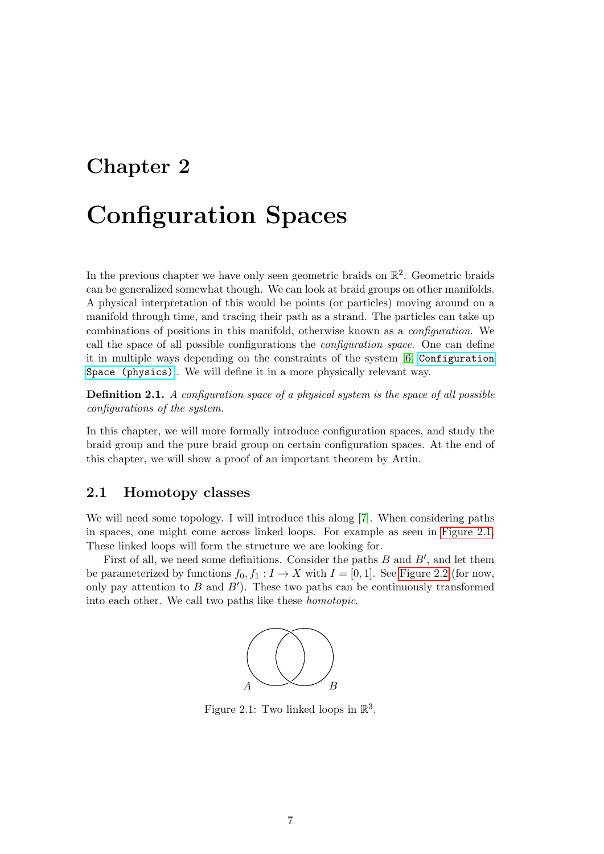## <span id="page-10-0"></span>Chapter 2

# Configuration Spaces

In the previous chapter we have only seen geometric braids on  $\mathbb{R}^2$ . Geometric braids can be generalized somewhat though. We can look at braid groups on other manifolds. A physical interpretation of this would be points (or particles) moving around on a manifold through time, and tracing their path as a strand. The particles can take up combinations of positions in this manifold, otherwise known as a configuration. We call the space of all possible configurations the configuration space. One can define it in multiple ways depending on the constraints of the system [\[6,](#page-70-5) [Configuration](https://ncatlab.org/nlab/show/configuration+space+%28physics%29) [Space \(physics\)](https://ncatlab.org/nlab/show/configuration+space+%28physics%29)]. We will define it in a more physically relevant way.

Definition 2.1. A configuration space of a physical system is the space of all possible configurations of the system.

In this chapter, we will more formally introduce configuration spaces, and study the braid group and the pure braid group on certain configuration spaces. At the end of this chapter, we will show a proof of an important theorem by Artin.

### <span id="page-10-1"></span>2.1 Homotopy classes

We will need some topology. I will introduce this along [\[7\]](#page-70-6). When considering paths in spaces, one might come across linked loops. For example as seen in [Figure 2.1.](#page-10-2) These linked loops will form the structure we are looking for.

<span id="page-10-2"></span>First of all, we need some definitions. Consider the paths  $B$  and  $B'$ , and let them be parameterized by functions  $f_0, f_1 : I \to X$  with  $I = [0, 1]$ . See [Figure 2.2](#page-11-0) (for now, only pay attention to  $B$  and  $B'$ ). These two paths can be continuously transformed into each other. We call two paths like these homotopic.



Figure 2.1: Two linked loops in  $\mathbb{R}^3$ .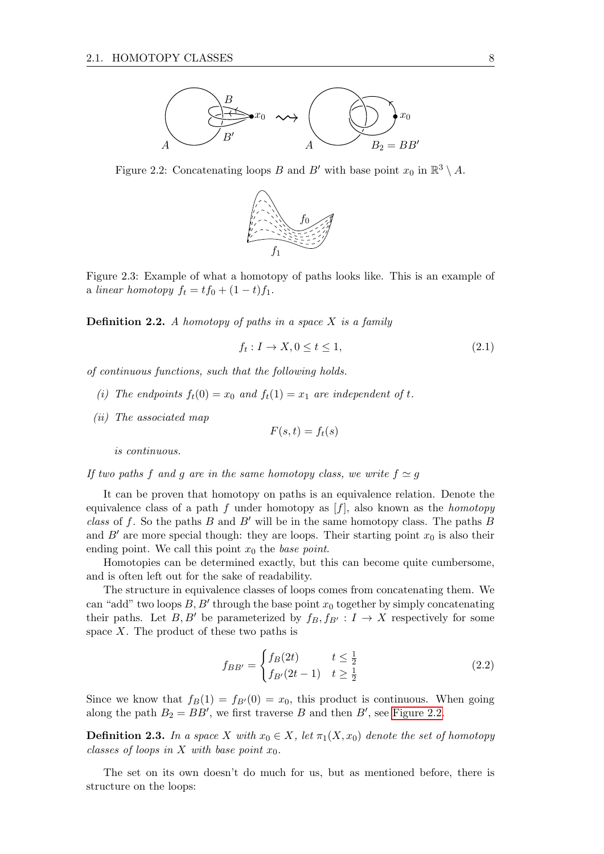<span id="page-11-0"></span>

Figure 2.2: Concatenating loops B and B' with base point  $x_0$  in  $\mathbb{R}^3 \setminus A$ .



Figure 2.3: Example of what a homotopy of paths looks like. This is an example of a linear homotopy  $f_t = tf_0 + (1-t)f_1$ .

**Definition 2.2.** A homotopy of paths in a space  $X$  is a family

$$
f_t: I \to X, 0 \le t \le 1,\tag{2.1}
$$

of continuous functions, such that the following holds.

- (i) The endpoints  $f_t(0) = x_0$  and  $f_t(1) = x_1$  are independent of t.
- (ii) The associated map

$$
F(s,t) = f_t(s)
$$

is continuous.

If two paths f and g are in the same homotopy class, we write  $f \simeq g$ 

It can be proven that homotopy on paths is an equivalence relation. Denote the equivalence class of a path f under homotopy as  $[f]$ , also known as the *homotopy* class of f. So the paths B and B' will be in the same homotopy class. The paths B and  $B'$  are more special though: they are loops. Their starting point  $x_0$  is also their ending point. We call this point  $x_0$  the base point.

Homotopies can be determined exactly, but this can become quite cumbersome, and is often left out for the sake of readability.

The structure in equivalence classes of loops comes from concatenating them. We can "add" two loops  $B, B'$  through the base point  $x_0$  together by simply concatenating their paths. Let B, B' be parameterized by  $f_B, f_{B'} : I \to X$  respectively for some space  $X$ . The product of these two paths is

<span id="page-11-1"></span>
$$
f_{BB'} = \begin{cases} f_B(2t) & t \le \frac{1}{2} \\ f_{B'}(2t-1) & t \ge \frac{1}{2} \end{cases}
$$
 (2.2)

Since we know that  $f_B(1) = f_{B}(0) = x_0$ , this product is continuous. When going along the path  $B_2 = BB'$ , we first traverse B and then B', see [Figure 2.2.](#page-11-0)

**Definition 2.3.** In a space X with  $x_0 \in X$ , let  $\pi_1(X, x_0)$  denote the set of homotopy classes of loops in X with base point  $x_0$ .

The set on its own doesn't do much for us, but as mentioned before, there is structure on the loops: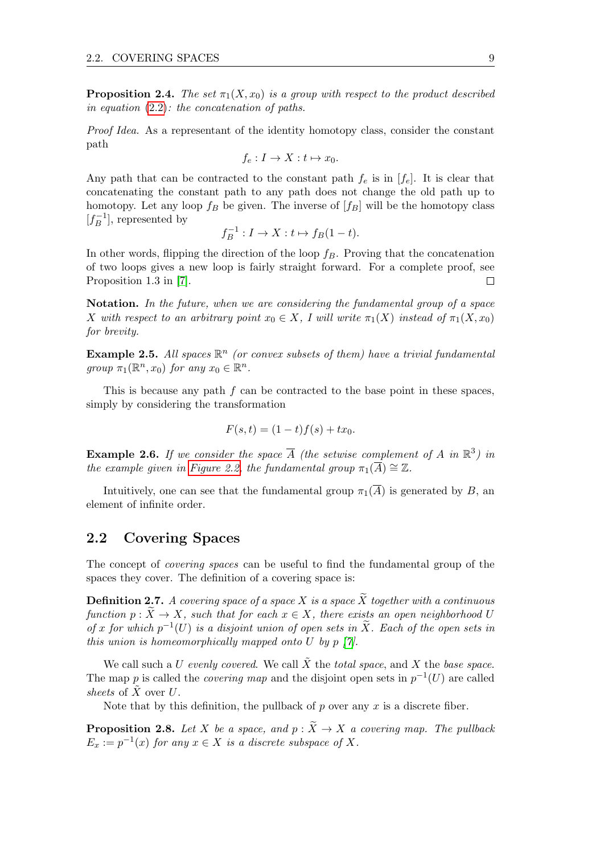**Proposition 2.4.** The set  $\pi_1(X, x_0)$  is a group with respect to the product described in equation [\(2.2\)](#page-11-1): the concatenation of paths.

Proof Idea. As a representant of the identity homotopy class, consider the constant path

$$
f_e: I \to X: t \mapsto x_0.
$$

Any path that can be contracted to the constant path  $f_e$  is in  $[f_e]$ . It is clear that concatenating the constant path to any path does not change the old path up to homotopy. Let any loop  $f_B$  be given. The inverse of  $[f_B]$  will be the homotopy class  $[f^{-1}_B]$  $\binom{m-1}{B}$ , represented by

$$
f_B^{-1}: I \to X: t \mapsto f_B(1-t).
$$

In other words, flipping the direction of the loop  $f_B$ . Proving that the concatenation of two loops gives a new loop is fairly straight forward. For a complete proof, see Proposition 1.3 in [\[7\]](#page-70-6).  $\Box$ 

Notation. In the future, when we are considering the fundamental group of a space X with respect to an arbitrary point  $x_0 \in X$ , I will write  $\pi_1(X)$  instead of  $\pi_1(X, x_0)$ for brevity.

**Example 2.5.** All spaces  $\mathbb{R}^n$  (or convex subsets of them) have a trivial fundamental group  $\pi_1(\mathbb{R}^n, x_0)$  for any  $x_0 \in \mathbb{R}^n$ .

This is because any path  $f$  can be contracted to the base point in these spaces, simply by considering the transformation

$$
F(s,t) = (1-t)f(s) + tx_0.
$$

**Example 2.6.** If we consider the space  $\overline{A}$  (the setwise complement of A in  $\mathbb{R}^3$ ) in the example given in [Figure 2.2,](#page-11-0) the fundamental group  $\pi_1(\overline{A}) \cong \mathbb{Z}$ .

Intuitively, one can see that the fundamental group  $\pi_1(\overline{A})$  is generated by B, an element of infinite order.

### <span id="page-12-0"></span>2.2 Covering Spaces

The concept of covering spaces can be useful to find the fundamental group of the spaces they cover. The definition of a covering space is:

<span id="page-12-1"></span>**Definition 2.7.** A covering space of a space X is a space  $\widetilde{X}$  together with a continuous function  $p : X \to X$ , such that for each  $x \in X$ , there exists an open neighborhood U of x for which  $p^{-1}(U)$  is a disjoint union of open sets in  $\widetilde{X}$ . Each of the open sets in this union is homeomorphically mapped onto U by  $p \nvert \gamma$ .

We call such a U evenly covered. We call  $\tilde{X}$  the total space, and X the base space. The map p is called the *covering map* and the disjoint open sets in  $p^{-1}(U)$  are called sheets of  $\tilde{X}$  over  $U$ .

Note that by this definition, the pullback of p over any x is a discrete fiber.

**Proposition 2.8.** Let X be a space, and  $p : \widetilde{X} \to X$  a covering map. The pullback  $E_x := p^{-1}(x)$  for any  $x \in X$  is a discrete subspace of X.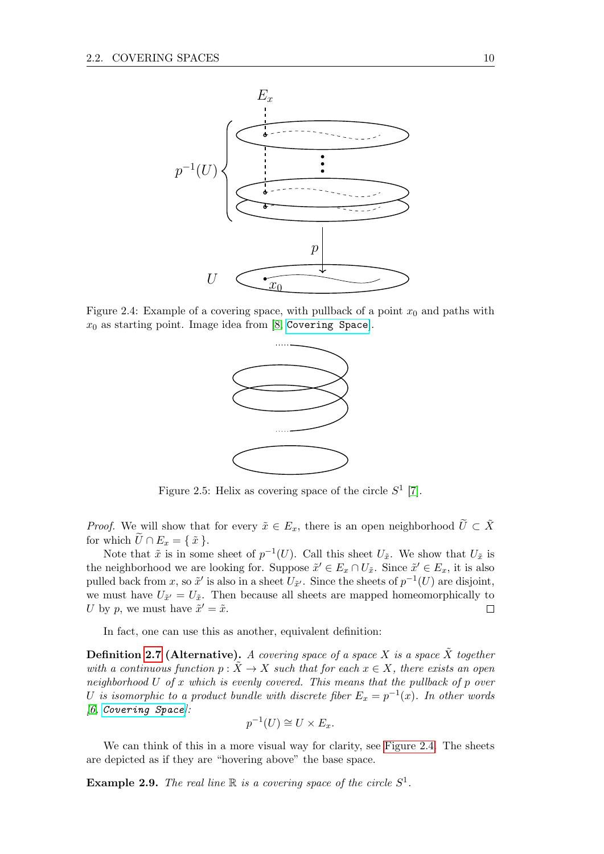<span id="page-13-0"></span>

<span id="page-13-1"></span>Figure 2.4: Example of a covering space, with pullback of a point  $x_0$  and paths with  $x_0$  as starting point. Image idea from [\[8,](#page-70-7) [Covering Space](https://en.wikipedia.org/wiki/Covering_space)].



Figure 2.5: Helix as covering space of the circle  $S^1$  [\[7\]](#page-70-6).

*Proof.* We will show that for every  $\tilde{x} \in E_x$ , there is an open neighborhood  $\tilde{U} \subset \tilde{X}$ for which  $\widetilde{U} \cap E_x = \{ \tilde{x} \}.$ 

Note that  $\tilde{x}$  is in some sheet of  $p^{-1}(U)$ . Call this sheet  $U_{\tilde{x}}$ . We show that  $U_{\tilde{x}}$  is the neighborhood we are looking for. Suppose  $\tilde{x}' \in E_x \cap U_{\tilde{x}}$ . Since  $\tilde{x}' \in E_x$ , it is also pulled back from x, so  $\tilde{x}'$  is also in a sheet  $U_{\tilde{x}'}$ . Since the sheets of  $p^{-1}(U)$  are disjoint, we must have  $U_{\tilde{x}'} = U_{\tilde{x}}$ . Then because all sheets are mapped homeomorphically to U by p, we must have  $\tilde{x}' = \tilde{x}$ .  $\Box$ 

In fact, one can use this as another, equivalent definition:

**Definition [2.7](#page-12-1) (Alternative).** A covering space of a space X is a space X together with a continuous function  $p : \tilde{X} \to X$  such that for each  $x \in X$ , there exists an open neighborhood  $U$  of  $x$  which is evenly covered. This means that the pullback of  $p$  over U is isomorphic to a product bundle with discrete fiber  $E_x = p^{-1}(x)$ . In other words  $[6, \textit{Covering Space}].$  $[6, \textit{Covering Space}].$  $[6, \textit{Covering Space}].$  $[6, \textit{Covering Space}].$ 

$$
p^{-1}(U) \cong U \times E_x.
$$

We can think of this in a more visual way for clarity, see [Figure 2.4.](#page-13-0) The sheets are depicted as if they are "hovering above" the base space.

<span id="page-13-2"></span>**Example 2.9.** The real line  $\mathbb R$  is a covering space of the circle  $S^1$ .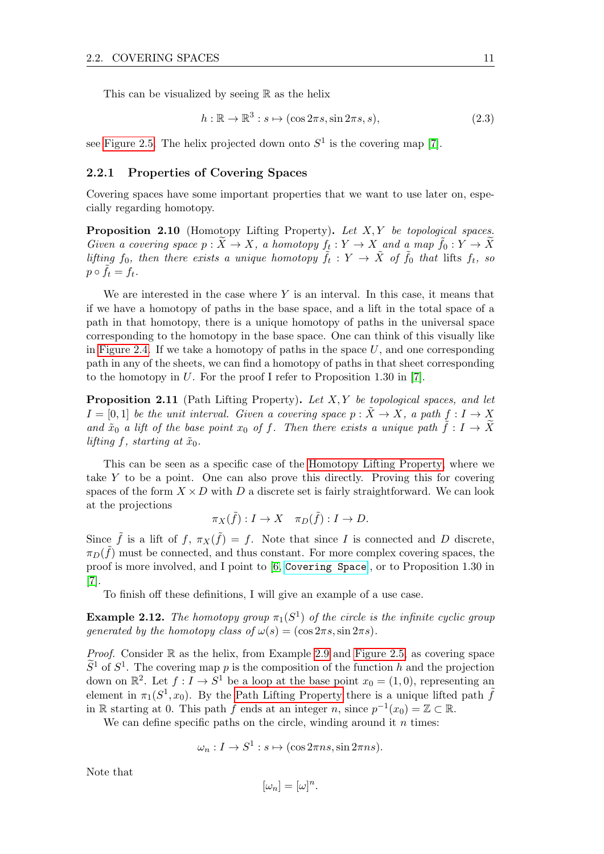This can be visualized by seeing  $\mathbb R$  as the helix

$$
h: \mathbb{R} \to \mathbb{R}^3: s \mapsto (\cos 2\pi s, \sin 2\pi s, s), \tag{2.3}
$$

see [Figure 2.5.](#page-13-1) The helix projected down onto  $S^1$  is the covering map [\[7\]](#page-70-6).

#### <span id="page-14-0"></span>2.2.1 Properties of Covering Spaces

Covering spaces have some important properties that we want to use later on, especially regarding homotopy.

<span id="page-14-1"></span>**Proposition 2.10** (Homotopy Lifting Property). Let  $X, Y$  be topological spaces. Given a covering space  $p : \widetilde{X} \to X$ , a homotopy  $f_t : Y \to X$  and a map  $\widetilde{f}_0 : Y \to \widetilde{X}$ lifting  $f_0$ , then there exists a unique homotopy  $\tilde{f}_t: Y \to \tilde{X}$  of  $\tilde{f}_0$  that lifts  $f_t$ , so  $p \circ \tilde{f}_t = f_t.$ 

We are interested in the case where  $Y$  is an interval. In this case, it means that if we have a homotopy of paths in the base space, and a lift in the total space of a path in that homotopy, there is a unique homotopy of paths in the universal space corresponding to the homotopy in the base space. One can think of this visually like in [Figure 2.4.](#page-13-0) If we take a homotopy of paths in the space  $U$ , and one corresponding path in any of the sheets, we can find a homotopy of paths in that sheet corresponding to the homotopy in U. For the proof I refer to Proposition 1.30 in [\[7\]](#page-70-6).

<span id="page-14-2"></span>**Proposition 2.11** (Path Lifting Property). Let  $X, Y$  be topological spaces, and let  $I = [0, 1]$  be the unit interval. Given a covering space  $p : X \to X$ , a path  $f : I \to X$ and  $\tilde{x}_0$  a lift of the base point  $x_0$  of f. Then there exists a unique path  $\tilde{f}: I \to X$ lifting f, starting at  $\tilde{x}_0$ .

This can be seen as a specific case of the [Homotopy Lifting Property,](#page-14-1) where we take Y to be a point. One can also prove this directly. Proving this for covering spaces of the form  $X \times D$  with D a discrete set is fairly straightforward. We can look at the projections

$$
\pi_X(\tilde{f}): I \to X \quad \pi_D(\tilde{f}): I \to D.
$$

Since  $\tilde{f}$  is a lift of  $f$ ,  $\pi_X(\tilde{f}) = f$ . Note that since I is connected and D discrete,  $\pi_D(\tilde{f})$  must be connected, and thus constant. For more complex covering spaces, the proof is more involved, and I point to [\[6,](#page-70-5) [Covering Space](https://ncatlab.org/nlab/show/covering+space)], or to Proposition 1.30 in [\[7\]](#page-70-6).

To finish off these definitions, I will give an example of a use case.

<span id="page-14-3"></span>**Example 2.12.** The homotopy group  $\pi_1(S^1)$  of the circle is the infinite cyclic group qenerated by the homotopy class of  $\omega(s) = (\cos 2\pi s, \sin 2\pi s)$ .

*Proof.* Consider  $\mathbb R$  as the helix, from Example [2.9](#page-13-2) and [Figure 2.5,](#page-13-1) as covering space  $\widetilde{S}^1$  of  $S^1$ . The covering map p is the composition of the function h and the projection down on  $\mathbb{R}^2$ . Let  $f: I \to S^1$  be a loop at the base point  $x_0 = (1,0)$ , representing an element in  $\pi_1(S^1, x_0)$ . By the [Path Lifting Property](#page-14-2) there is a unique lifted path  $\tilde{f}$ in R starting at 0. This path  $\tilde{f}$  ends at an integer n, since  $p^{-1}(x_0) = \mathbb{Z} \subset \mathbb{R}$ .

We can define specific paths on the circle, winding around it  $n$  times:

$$
\omega_n: I \to S^1: s \mapsto (\cos 2\pi n s, \sin 2\pi n s).
$$

Note that

$$
[\omega_n] = [\omega]^n.
$$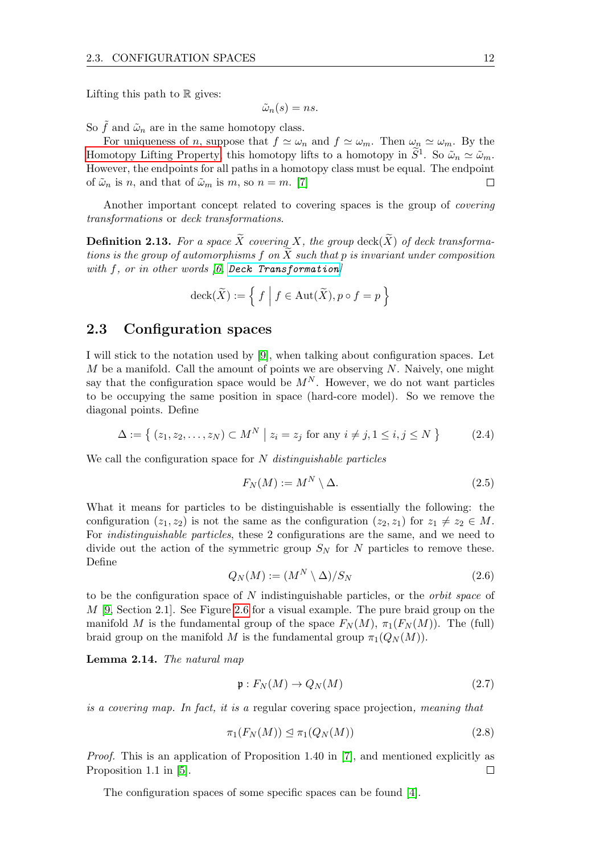Lifting this path to  $\mathbb R$  gives:

$$
\tilde{\omega}_n(s) = ns.
$$

So  $\tilde{f}$  and  $\tilde{\omega}_n$  are in the same homotopy class.

For uniqueness of *n*, suppose that  $f \simeq \omega_n$  and  $f \simeq \omega_m$ . Then  $\omega_n \simeq \omega_m$ . By the [Homotopy Lifting Property,](#page-14-1) this homotopy lifts to a homotopy in  $\tilde{S}^1$ . So  $\tilde{\omega}_n \simeq \tilde{\omega}_m$ . However, the endpoints for all paths in a homotopy class must be equal. The endpoint of  $\tilde{\omega}_n$  is n, and that of  $\tilde{\omega}_m$  is m, so  $n = m$ . [\[7\]](#page-70-6)  $\Box$ 

Another important concept related to covering spaces is the group of covering transformations or deck transformations.

**Definition 2.13.** For a space  $\widetilde{X}$  covering X, the group deck( $\widetilde{X}$ ) of deck transformations is the group of automorphisms f on  $\widetilde{X}$  such that p is invariant under composition with  $f$ , or in other words  $(6,$  [Deck Transformation](https://ncatlab.org/nlab/show/deck+transformation)

$$
\operatorname{deck}(\widetilde{X}) := \left\{ f \mid f \in \operatorname{Aut}(\widetilde{X}), p \circ f = p \right\}
$$

### <span id="page-15-0"></span>2.3 Configuration spaces

I will stick to the notation used by [\[9\]](#page-70-8), when talking about configuration spaces. Let M be a manifold. Call the amount of points we are observing  $N$ . Naively, one might say that the configuration space would be  $M<sup>N</sup>$ . However, we do not want particles to be occupying the same position in space (hard-core model). So we remove the diagonal points. Define

$$
\Delta := \{ (z_1, z_2, \dots, z_N) \subset M^N \mid z_i = z_j \text{ for any } i \neq j, 1 \leq i, j \leq N \}
$$
 (2.4)

We call the configuration space for  $N$  distinguishable particles

$$
F_N(M) := M^N \setminus \Delta. \tag{2.5}
$$

What it means for particles to be distinguishable is essentially the following: the configuration  $(z_1, z_2)$  is not the same as the configuration  $(z_2, z_1)$  for  $z_1 \neq z_2 \in M$ . For indistinguishable particles, these 2 configurations are the same, and we need to divide out the action of the symmetric group  $S_N$  for N particles to remove these. Define

$$
Q_N(M) := (M^N \setminus \Delta)/S_N \tag{2.6}
$$

to be the configuration space of  $N$  indistinguishable particles, or the *orbit space* of  $M$  [\[9,](#page-70-8) Section 2.1]. See Figure [2.6](#page-18-0) for a visual example. The pure braid group on the manifold M is the fundamental group of the space  $F_N(M)$ ,  $\pi_1(F_N(M))$ . The (full) braid group on the manifold M is the fundamental group  $\pi_1(Q_N(M))$ .

<span id="page-15-1"></span>Lemma 2.14. The natural map

$$
\mathfrak{p}: F_N(M) \to Q_N(M) \tag{2.7}
$$

is a covering map. In fact, it is a regular covering space projection, meaning that

$$
\pi_1(F_N(M)) \le \pi_1(Q_N(M)) \tag{2.8}
$$

Proof. This is an application of Proposition 1.40 in [\[7\]](#page-70-6), and mentioned explicitly as Proposition 1.1 in [\[5\]](#page-70-4).  $\Box$ 

The configuration spaces of some specific spaces can be found [\[4\]](#page-70-3).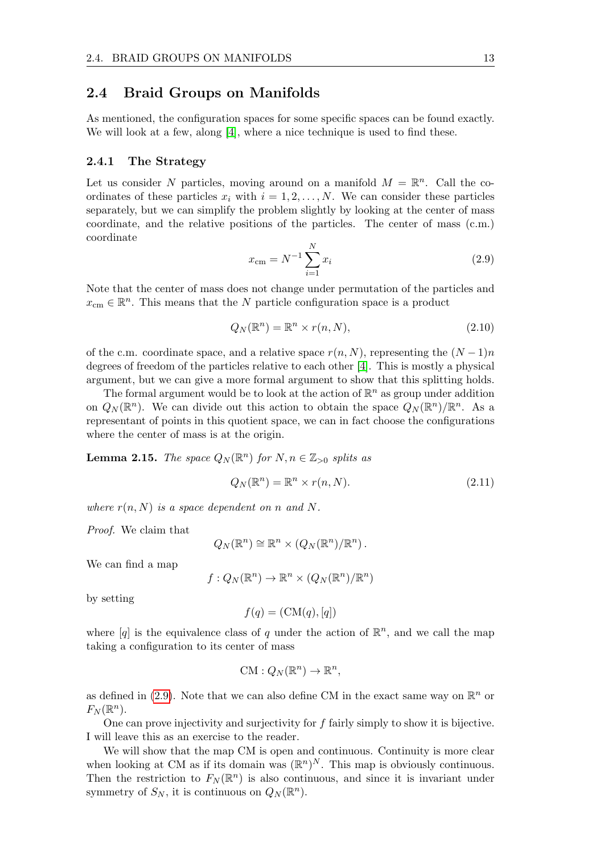#### <span id="page-16-0"></span>2.4 Braid Groups on Manifolds

As mentioned, the configuration spaces for some specific spaces can be found exactly. We will look at a few, along [\[4\]](#page-70-3), where a nice technique is used to find these.

#### <span id="page-16-1"></span>2.4.1 The Strategy

Let us consider N particles, moving around on a manifold  $M = \mathbb{R}^n$ . Call the coordinates of these particles  $x_i$  with  $i = 1, 2, ..., N$ . We can consider these particles separately, but we can simplify the problem slightly by looking at the center of mass coordinate, and the relative positions of the particles. The center of mass (c.m.) coordinate

<span id="page-16-2"></span>
$$
x_{\rm cm} = N^{-1} \sum_{i=1}^{N} x_i
$$
\n(2.9)

Note that the center of mass does not change under permutation of the particles and  $x_{\text{cm}} \in \mathbb{R}^n$ . This means that the N particle configuration space is a product

$$
Q_N(\mathbb{R}^n) = \mathbb{R}^n \times r(n, N),\tag{2.10}
$$

of the c.m. coordinate space, and a relative space  $r(n, N)$ , representing the  $(N-1)n$ degrees of freedom of the particles relative to each other [\[4\]](#page-70-3). This is mostly a physical argument, but we can give a more formal argument to show that this splitting holds.

The formal argument would be to look at the action of  $\mathbb{R}^n$  as group under addition on  $Q_N(\mathbb{R}^n)$ . We can divide out this action to obtain the space  $Q_N(\mathbb{R}^n)/\mathbb{R}^n$ . As a representant of points in this quotient space, we can in fact choose the configurations where the center of mass is at the origin.

**Lemma 2.15.** The space  $Q_N(\mathbb{R}^n)$  for  $N, n \in \mathbb{Z}_{>0}$  splits as

$$
Q_N(\mathbb{R}^n) = \mathbb{R}^n \times r(n, N). \tag{2.11}
$$

where  $r(n, N)$  is a space dependent on n and N.

Proof. We claim that

$$
Q_N(\mathbb{R}^n) \cong \mathbb{R}^n \times (Q_N(\mathbb{R}^n)/\mathbb{R}^n).
$$

We can find a map

$$
f: Q_N(\mathbb{R}^n) \to \mathbb{R}^n \times (Q_N(\mathbb{R}^n)/\mathbb{R}^n)
$$

by setting

$$
f(q) = (\mathcal{CM}(q), [q])
$$

where  $[q]$  is the equivalence class of q under the action of  $\mathbb{R}^n$ , and we call the map taking a configuration to its center of mass

$$
CM: Q_N(\mathbb{R}^n) \to \mathbb{R}^n,
$$

as defined in [\(2.9\)](#page-16-2). Note that we can also define CM in the exact same way on  $\mathbb{R}^n$  or  $F_N(\mathbb{R}^n)$ .

One can prove injectivity and surjectivity for  $f$  fairly simply to show it is bijective. I will leave this as an exercise to the reader.

We will show that the map CM is open and continuous. Continuity is more clear when looking at CM as if its domain was  $(\mathbb{R}^n)^N$ . This map is obviously continuous. Then the restriction to  $F_N(\mathbb{R}^n)$  is also continuous, and since it is invariant under symmetry of  $S_N$ , it is continuous on  $Q_N(\mathbb{R}^n)$ .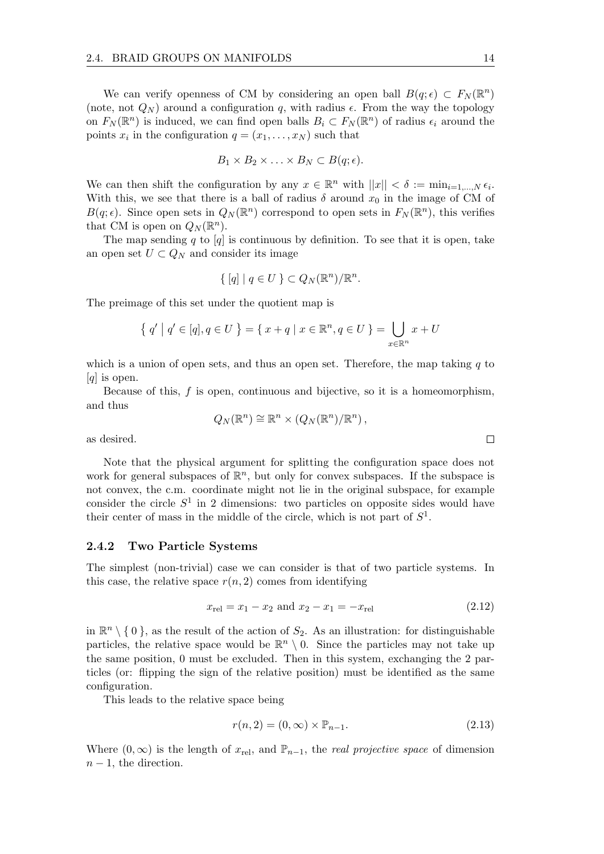We can verify openness of CM by considering an open ball  $B(q; \epsilon) \subset F_N(\mathbb{R}^n)$ (note, not  $Q_N$ ) around a configuration q, with radius  $\epsilon$ . From the way the topology on  $F_N(\mathbb{R}^n)$  is induced, we can find open balls  $B_i \subset F_N(\mathbb{R}^n)$  of radius  $\epsilon_i$  around the points  $x_i$  in the configuration  $q = (x_1, \ldots, x_N)$  such that

$$
B_1 \times B_2 \times \ldots \times B_N \subset B(q; \epsilon).
$$

We can then shift the configuration by any  $x \in \mathbb{R}^n$  with  $||x|| < \delta := \min_{i=1,\dots,N} \epsilon_i$ . With this, we see that there is a ball of radius  $\delta$  around  $x_0$  in the image of CM of  $B(q;\epsilon)$ . Since open sets in  $Q_N(\mathbb{R}^n)$  correspond to open sets in  $F_N(\mathbb{R}^n)$ , this verifies that CM is open on  $Q_N(\mathbb{R}^n)$ .

The map sending q to  $[q]$  is continuous by definition. To see that it is open, take an open set  $U \subset Q_N$  and consider its image

$$
\{ [q] | q \in U \} \subset Q_N(\mathbb{R}^n) / \mathbb{R}^n.
$$

The preimage of this set under the quotient map is

$$
\{ q' | q' \in [q], q \in U \} = \{ x + q | x \in \mathbb{R}^n, q \in U \} = \bigcup_{x \in \mathbb{R}^n} x + U
$$

which is a union of open sets, and thus an open set. Therefore, the map taking  $q$  to [*q*] is open.

Because of this,  $f$  is open, continuous and bijective, so it is a homeomorphism, and thus  $Q_N(\mathbb{R}^n) \cong \mathbb{R}^n \times (Q_N(\mathbb{R}^n)/\mathbb{R}^n)$ ,

as desired.

Note that the physical argument for splitting the configuration space does not work for general subspaces of  $\mathbb{R}^n$ , but only for convex subspaces. If the subspace is not convex, the c.m. coordinate might not lie in the original subspace, for example consider the circle  $S^1$  in 2 dimensions: two particles on opposite sides would have their center of mass in the middle of the circle, which is not part of  $S<sup>1</sup>$ .

#### <span id="page-17-0"></span>2.4.2 Two Particle Systems

The simplest (non-trivial) case we can consider is that of two particle systems. In this case, the relative space  $r(n, 2)$  comes from identifying

$$
x_{\text{rel}} = x_1 - x_2 \text{ and } x_2 - x_1 = -x_{\text{rel}} \tag{2.12}
$$

in  $\mathbb{R}^n \setminus \{0\}$ , as the result of the action of  $S_2$ . As an illustration: for distinguishable particles, the relative space would be  $\mathbb{R}^n \setminus 0$ . Since the particles may not take up the same position, 0 must be excluded. Then in this system, exchanging the 2 particles (or: flipping the sign of the relative position) must be identified as the same configuration.

This leads to the relative space being

$$
r(n,2) = (0,\infty) \times \mathbb{P}_{n-1}.
$$
\n
$$
(2.13)
$$

<span id="page-17-1"></span>Where  $(0, \infty)$  is the length of  $x_{rel}$ , and  $\mathbb{P}_{n-1}$ , the *real projective space* of dimension  $n-1$ , the direction.

 $\Box$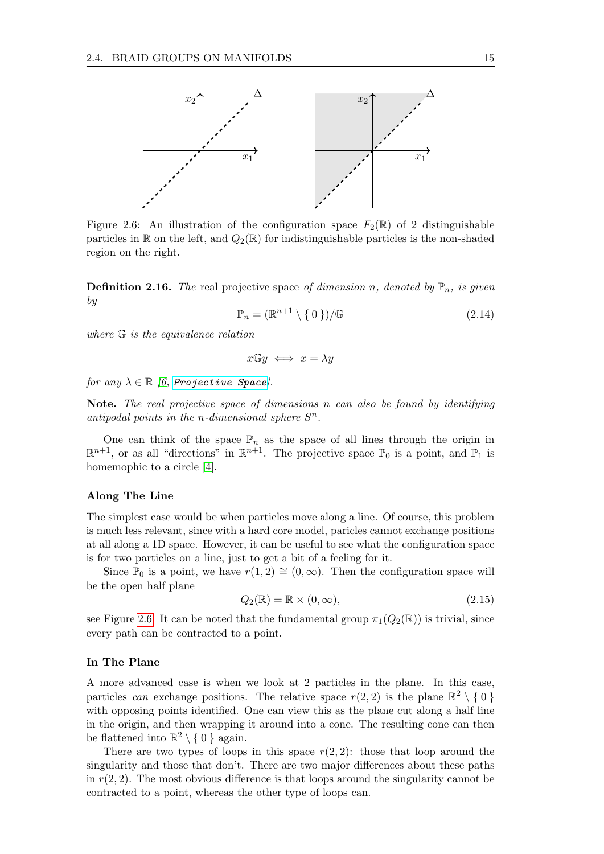<span id="page-18-0"></span>

Figure 2.6: An illustration of the configuration space  $F_2(\mathbb{R})$  of 2 distinguishable particles in R on the left, and  $Q_2(\mathbb{R})$  for indistinguishable particles is the non-shaded region on the right.

**Definition 2.16.** The real projective space of dimension n, denoted by  $\mathbb{P}_n$ , is given by

$$
\mathbb{P}_n = (\mathbb{R}^{n+1} \setminus \{0\}) / \mathbb{G} \tag{2.14}
$$

where G is the equivalence relation

$$
x \mathbb{G} y \iff x = \lambda y
$$

for any  $\lambda \in \mathbb{R}$  [\[6,](#page-70-5) [Projective Space](https://ncatlab.org/nlab/show/real+projective+space)].

Note. The real projective space of dimensions n can also be found by identifying antipodal points in the *n*-dimensional sphere  $S<sup>n</sup>$ .

One can think of the space  $\mathbb{P}_n$  as the space of all lines through the origin in  $\mathbb{R}^{n+1}$ , or as all "directions" in  $\mathbb{R}^{n+1}$ . The projective space  $\mathbb{P}_0$  is a point, and  $\mathbb{P}_1$  is homemophic to a circle [\[4\]](#page-70-3).

#### Along The Line

The simplest case would be when particles move along a line. Of course, this problem is much less relevant, since with a hard core model, paricles cannot exchange positions at all along a 1D space. However, it can be useful to see what the configuration space is for two particles on a line, just to get a bit of a feeling for it.

Since  $\mathbb{P}_0$  is a point, we have  $r(1, 2) \cong (0, \infty)$ . Then the configuration space will be the open half plane

$$
Q_2(\mathbb{R}) = \mathbb{R} \times (0, \infty), \tag{2.15}
$$

see Figure [2.6.](#page-18-0) It can be noted that the fundamental group  $\pi_1(Q_2(\mathbb{R}))$  is trivial, since every path can be contracted to a point.

#### In The Plane

A more advanced case is when we look at 2 particles in the plane. In this case, particles can exchange positions. The relative space  $r(2,2)$  is the plane  $\mathbb{R}^2 \setminus \{0\}$ with opposing points identified. One can view this as the plane cut along a half line in the origin, and then wrapping it around into a cone. The resulting cone can then be flattened into  $\mathbb{R}^2 \setminus \{0\}$  again.

There are two types of loops in this space  $r(2, 2)$ : those that loop around the singularity and those that don't. There are two major differences about these paths in  $r(2, 2)$ . The most obvious difference is that loops around the singularity cannot be contracted to a point, whereas the other type of loops can.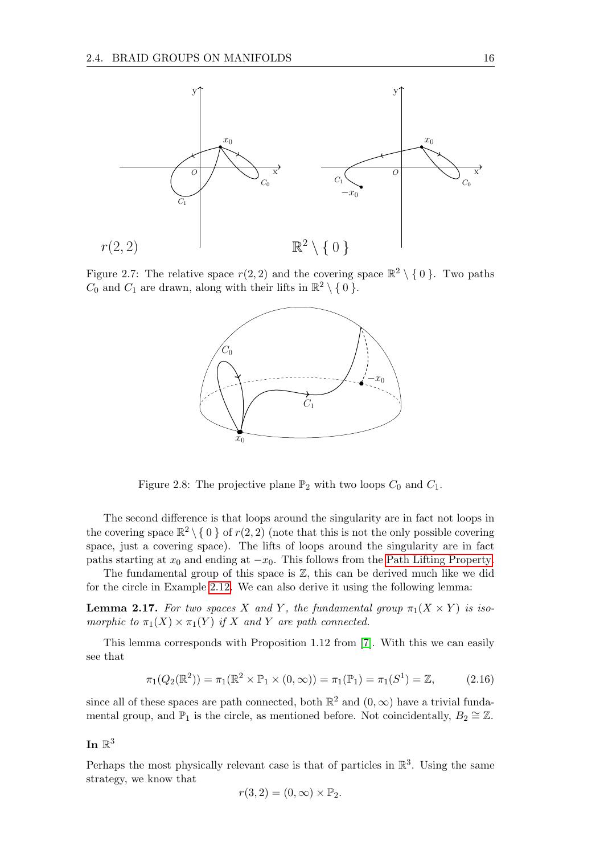

<span id="page-19-0"></span>Figure 2.7: The relative space  $r(2, 2)$  and the covering space  $\mathbb{R}^2 \setminus \{0\}$ . Two paths  $C_0$  and  $C_1$  are drawn, along with their lifts in  $\mathbb{R}^2 \setminus \{0\}$ .



Figure 2.8: The projective plane  $\mathbb{P}_2$  with two loops  $C_0$  and  $C_1$ .

The second difference is that loops around the singularity are in fact not loops in the covering space  $\mathbb{R}^2 \setminus \{0\}$  of  $r(2, 2)$  (note that this is not the only possible covering space, just a covering space). The lifts of loops around the singularity are in fact paths starting at  $x_0$  and ending at  $-x_0$ . This follows from the [Path Lifting Property.](#page-14-2)

The fundamental group of this space is  $\mathbb{Z}$ , this can be derived much like we did for the circle in Example [2.12.](#page-14-3) We can also derive it using the following lemma:

**Lemma 2.17.** For two spaces X and Y, the fundamental group  $\pi_1(X \times Y)$  is isomorphic to  $\pi_1(X) \times \pi_1(Y)$  if X and Y are path connected.

This lemma corresponds with Proposition 1.12 from [\[7\]](#page-70-6). With this we can easily see that

<span id="page-19-1"></span>
$$
\pi_1(Q_2(\mathbb{R}^2)) = \pi_1(\mathbb{R}^2 \times \mathbb{P}_1 \times (0, \infty)) = \pi_1(\mathbb{P}_1) = \pi_1(S^1) = \mathbb{Z},
$$
 (2.16)

since all of these spaces are path connected, both  $\mathbb{R}^2$  and  $(0, \infty)$  have a trivial fundamental group, and  $\mathbb{P}_1$  is the circle, as mentioned before. Not coincidentally,  $B_2 \cong \mathbb{Z}$ .

## In  $\mathbb{R}^3$

Perhaps the most physically relevant case is that of particles in  $\mathbb{R}^3$ . Using the same strategy, we know that

$$
r(3,2)=(0,\infty)\times\mathbb{P}_2.
$$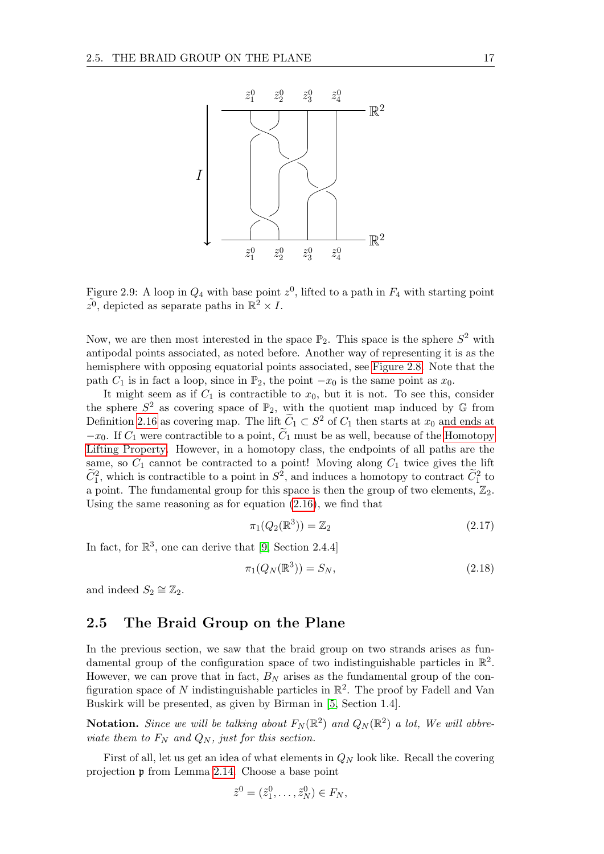<span id="page-20-1"></span>

Figure 2.9: A loop in  $Q_4$  with base point  $z^0$ , lifted to a path in  $F_4$  with starting point  $\tilde{z}^0$ , depicted as separate paths in  $\mathbb{R}^2 \times I$ .

Now, we are then most interested in the space  $\mathbb{P}_2$ . This space is the sphere  $S^2$  with antipodal points associated, as noted before. Another way of representing it is as the hemisphere with opposing equatorial points associated, see [Figure 2.8.](#page-19-0) Note that the path  $C_1$  is in fact a loop, since in  $\mathbb{P}_2$ , the point  $-x_0$  is the same point as  $x_0$ .

It might seem as if  $C_1$  is contractible to  $x_0$ , but it is not. To see this, consider the sphere  $S^2$  as covering space of  $\mathbb{P}_2$ , with the quotient map induced by  $\mathbb{G}$  from Definition [2.16](#page-17-1) as covering map. The lift  $\widetilde{C}_1 \subset S^2$  of  $C_1$  then starts at  $x_0$  and ends at  $-x_0$ . If  $C_1$  were contractible to a point,  $\tilde{C}_1$  must be as well, because of the [Homotopy](#page-14-1) [Lifting Property.](#page-14-1) However, in a homotopy class, the endpoints of all paths are the same, so  $\tilde{C}_1$  cannot be contracted to a point! Moving along  $C_1$  twice gives the lift  $\widetilde{C}_1^2$ , which is contractible to a point in  $S^2$ , and induces a homotopy to contract  $\widetilde{C}_1^2$  to a point. The fundamental group for this space is then the group of two elements,  $\mathbb{Z}_2$ . Using the same reasoning as for equation [\(2.16\)](#page-19-1), we find that

$$
\pi_1(Q_2(\mathbb{R}^3)) = \mathbb{Z}_2 \tag{2.17}
$$

In fact, for  $\mathbb{R}^3$ , one can derive that [\[9,](#page-70-8) Section 2.4.4]

$$
\pi_1(Q_N(\mathbb{R}^3)) = S_N,\tag{2.18}
$$

and indeed  $S_2 \cong \mathbb{Z}_2$ .

### <span id="page-20-0"></span>2.5 The Braid Group on the Plane

In the previous section, we saw that the braid group on two strands arises as fundamental group of the configuration space of two indistinguishable particles in  $\mathbb{R}^2$ . However, we can prove that in fact,  $B_N$  arises as the fundamental group of the configuration space of N indistinguishable particles in  $\mathbb{R}^2$ . The proof by Fadell and Van Buskirk will be presented, as given by Birman in [\[5,](#page-70-4) Section 1.4].

**Notation.** Since we will be talking about  $F_N(\mathbb{R}^2)$  and  $Q_N(\mathbb{R}^2)$  a lot, We will abbreviate them to  $F_N$  and  $Q_N$ , just for this section.

First of all, let us get an idea of what elements in  $Q_N$  look like. Recall the covering projection p from Lemma [2.14.](#page-15-1) Choose a base point

$$
\tilde{z}^0 = (\tilde{z}_1^0, \dots, \tilde{z}_N^0) \in F_N,
$$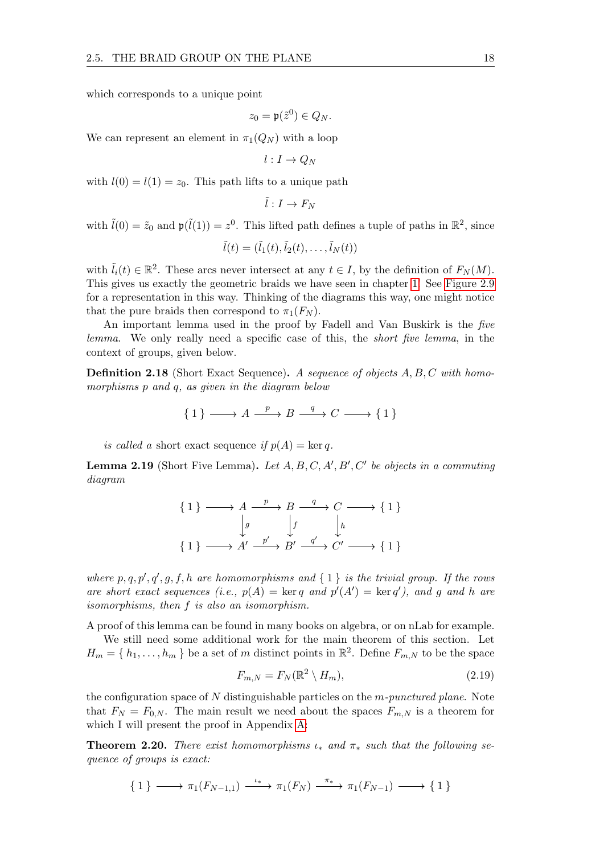which corresponds to a unique point

$$
z_0=\mathfrak{p}(\tilde{z}^0)\in Q_N.
$$

We can represent an element in  $\pi_1(Q_N)$  with a loop

$$
l:I\to Q_N
$$

with  $l(0) = l(1) = z_0$ . This path lifts to a unique path

$$
\tilde{l}:I\to F_N
$$

with  $\tilde{l}(0) = \tilde{z}_0$  and  $\mathfrak{p}(\tilde{l}(1)) = z^0$ . This lifted path defines a tuple of paths in  $\mathbb{R}^2$ , since

$$
\tilde{l}(t)=(\tilde{l}_1(t),\tilde{l}_2(t),\ldots,\tilde{l}_N(t))
$$

with  $\tilde{l}_i(t) \in \mathbb{R}^2$ . These arcs never intersect at any  $t \in I$ , by the definition of  $F_N(M)$ . This gives us exactly the geometric braids we have seen in chapter [1!](#page-5-0) See [Figure 2.9](#page-20-1) for a representation in this way. Thinking of the diagrams this way, one might notice that the pure braids then correspond to  $\pi_1(F_N)$ .

An important lemma used in the proof by Fadell and Van Buskirk is the five lemma. We only really need a specific case of this, the short five lemma, in the context of groups, given below.

**Definition 2.18** (Short Exact Sequence). A sequence of objects A, B, C with homomorphisms p and q, as given in the diagram below

$$
\{1\} \longrightarrow A \xrightarrow{p} B \xrightarrow{q} C \longrightarrow \{1\}
$$

is called a short exact sequence if  $p(A) = \ker q$ .

<span id="page-21-0"></span>**Lemma 2.19** (Short Five Lemma). Let  $A, B, C, A', B', C'$  be objects in a commuting diagram

$$
\{1\} \longrightarrow A \xrightarrow{p} B \xrightarrow{q} C \longrightarrow \{1\}
$$

$$
\downarrow g \qquad \downarrow f \qquad \downarrow h
$$

$$
\{1\} \longrightarrow A' \xrightarrow{p'} B' \xrightarrow{q'} C' \longrightarrow \{1\}
$$

where  $p, q, p', q', g, f, h$  are homomorphisms and  $\{ 1 \}$  is the trivial group. If the rows are short exact sequences (i.e.,  $p(A) = \text{ker } q$  and  $p'(A') = \text{ker } q'$ ), and g and h are isomorphisms, then f is also an isomorphism.

A proof of this lemma can be found in many books on algebra, or on nLab for example.

We still need some additional work for the main theorem of this section. Let  $H_m = \{h_1, \ldots, h_m\}$  be a set of m distinct points in  $\mathbb{R}^2$ . Define  $F_{m,N}$  to be the space

$$
F_{m,N} = F_N(\mathbb{R}^2 \setminus H_m),\tag{2.19}
$$

the configuration space of  $N$  distinguishable particles on the  $m$ -punctured plane. Note that  $F_N = F_{0,N}$ . The main result we need about the spaces  $F_{m,N}$  is a theorem for which I will present the proof in Appendix [A:](#page-66-0)

<span id="page-21-1"></span>**Theorem 2.20.** There exist homomorphisms  $\iota_*$  and  $\pi_*$  such that the following sequence of groups is exact:

$$
\{ 1 \} \longrightarrow \pi_1(F_{N-1,1}) \xrightarrow{\iota_*} \pi_1(F_N) \xrightarrow{\pi_*} \pi_1(F_{N-1}) \longrightarrow \{ 1 \}
$$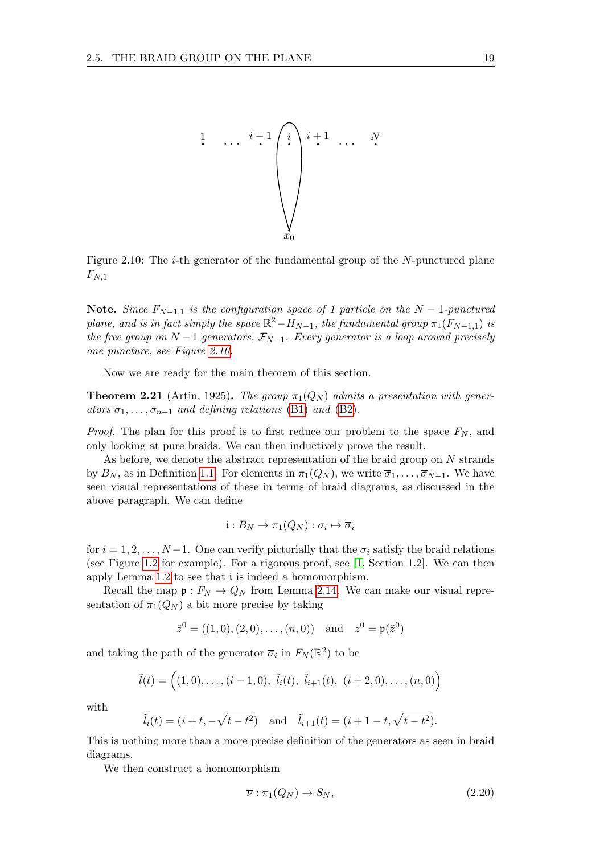<span id="page-22-0"></span>

Figure 2.10: The *i*-th generator of the fundamental group of the  $N$ -punctured plane  $F_{N,1}$ 

Note. Since  $F_{N-1,1}$  is the configuration space of 1 particle on the  $N-1$ -punctured plane, and is in fact simply the space  $\mathbb{R}^2 - H_{N-1}$ , the fundamental group  $\pi_1(F_{N-1,1})$  is the free group on  $N-1$  generators,  $\mathcal{F}_{N-1}$ . Every generator is a loop around precisely one puncture, see Figure [2.10.](#page-22-0)

Now we are ready for the main theorem of this section.

**Theorem 2.21** (Artin, 1925). The group  $\pi_1(Q_N)$  admits a presentation with generators  $\sigma_1, \ldots, \sigma_{n-1}$  and defining relations [\(B1\)](#page-5-3) and [\(B2\)](#page-5-2).

*Proof.* The plan for this proof is to first reduce our problem to the space  $F_N$ , and only looking at pure braids. We can then inductively prove the result.

As before, we denote the abstract representation of the braid group on N strands by  $B_N$ , as in Definition [1.1.](#page-5-4) For elements in  $\pi_1(Q_N)$ , we write  $\overline{\sigma}_1, \ldots, \overline{\sigma}_{N-1}$ . We have seen visual representations of these in terms of braid diagrams, as discussed in the above paragraph. We can define

$$
\mathfrak{i}:B_N\to \pi_1(Q_N): \sigma_i\mapsto \overline{\sigma}_i
$$

for  $i = 1, 2, ..., N-1$ . One can verify pictorially that the  $\overline{\sigma}_i$  satisfy the braid relations (see Figure [1.2](#page-6-1) for example). For a rigorous proof, see [\[1,](#page-70-0) Section 1.2]. We can then apply Lemma [1.2](#page-6-2) to see that i is indeed a homomorphism.

Recall the map  $\mathfrak{p}: F_N \to Q_N$  from Lemma [2.14.](#page-15-1) We can make our visual representation of  $\pi_1(Q_N)$  a bit more precise by taking

$$
\tilde{z}^0 = ((1,0), (2,0), \ldots, (n,0))
$$
 and  $z^0 = \mathfrak{p}(\tilde{z}^0)$ 

and taking the path of the generator  $\overline{\sigma}_i$  in  $F_N(\mathbb{R}^2)$  to be

$$
\tilde{l}(t) = ((1,0),..., (i-1,0), \tilde{l}_i(t), \tilde{l}_{i+1}(t), (i+2,0),..., (n,0))
$$

with

$$
\tilde{l}_i(t) = (i + t, -\sqrt{t - t^2})
$$
 and  $\tilde{l}_{i+1}(t) = (i + 1 - t, \sqrt{t - t^2}).$ 

This is nothing more than a more precise definition of the generators as seen in braid diagrams.

We then construct a homomorphism

$$
\overline{\nu} : \pi_1(Q_N) \to S_N, \tag{2.20}
$$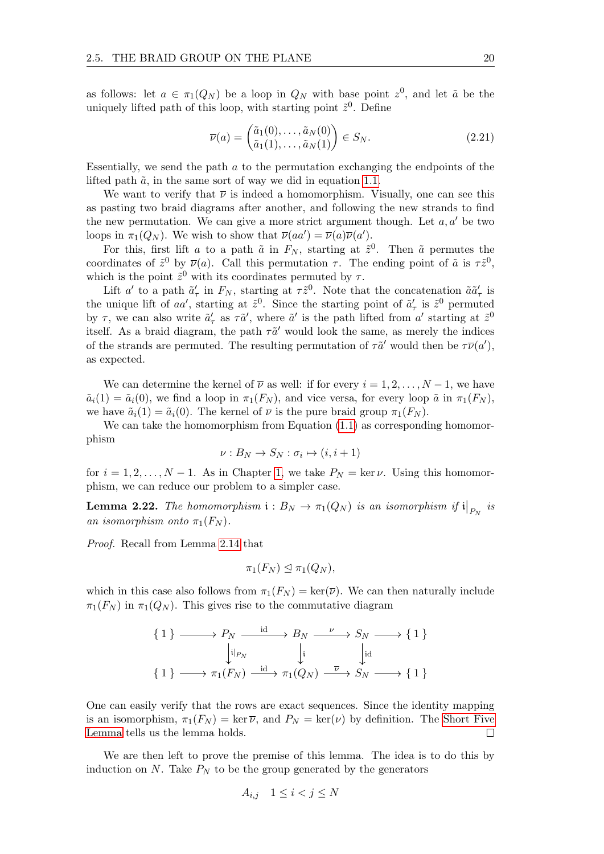as follows: let  $a \in \pi_1(Q_N)$  be a loop in  $Q_N$  with base point  $z^0$ , and let  $\tilde{a}$  be the uniquely lifted path of this loop, with starting point  $\tilde{z}^0$ . Define

$$
\overline{\nu}(a) = \begin{pmatrix} \tilde{a}_1(0), \dots, \tilde{a}_N(0) \\ \tilde{a}_1(1), \dots, \tilde{a}_N(1) \end{pmatrix} \in S_N.
$$
\n(2.21)

Essentially, we send the path a to the permutation exchanging the endpoints of the lifted path  $\tilde{a}$ , in the same sort of way we did in equation [1.1.](#page-7-0)

We want to verify that  $\bar{\nu}$  is indeed a homomorphism. Visually, one can see this as pasting two braid diagrams after another, and following the new strands to find the new permutation. We can give a more strict argument though. Let  $a, a'$  be two loops in  $\pi_1(Q_N)$ . We wish to show that  $\overline{\nu}(aa') = \overline{\nu}(a)\overline{\nu}(a')$ .

For this, first lift a to a path  $\tilde{a}$  in  $F_N$ , starting at  $\tilde{z}^0$ . Then  $\tilde{a}$  permutes the coordinates of  $\tilde{z}^0$  by  $\overline{\nu}(a)$ . Call this permutation  $\tau$ . The ending point of  $\tilde{a}$  is  $\tau \tilde{z}^0$ , which is the point  $\tilde{z}^0$  with its coordinates permuted by  $\tau$ .

Lift a' to a path  $\tilde{a}'_{\tau}$  in  $F_N$ , starting at  $\tau \tilde{z}^0$ . Note that the concatenation  $\tilde{a}\tilde{a}'_{\tau}$  is the unique lift of aa', starting at  $\tilde{z}^0$ . Since the starting point of  $\tilde{a}'_\tau$  is  $\tilde{z}^0$  permuted by  $\tau$ , we can also write  $\tilde{a}'_{\tau}$  as  $\tau \tilde{a}'$ , where  $\tilde{a}'$  is the path lifted from  $a'$  starting at  $\tilde{z}^0$ itself. As a braid diagram, the path  $\tau \tilde{a}'$  would look the same, as merely the indices of the strands are permuted. The resulting permutation of  $\tau \tilde{a}'$  would then be  $\tau \overline{\nu}(a')$ , as expected.

We can determine the kernel of  $\overline{\nu}$  as well: if for every  $i = 1, 2, \ldots, N - 1$ , we have  $\tilde{a}_i(1) = \tilde{a}_i(0)$ , we find a loop in  $\pi_1(F_N)$ , and vice versa, for every loop  $\tilde{a}$  in  $\pi_1(F_N)$ , we have  $\tilde{a}_i(1) = \tilde{a}_i(0)$ . The kernel of  $\overline{\nu}$  is the pure braid group  $\pi_1(F_N)$ .

We can take the homomorphism from Equation  $(1.1)$  as corresponding homomorphism

$$
\nu: B_N \to S_N : \sigma_i \mapsto (i, i+1)
$$

for  $i = 1, 2, ..., N - 1$  $i = 1, 2, ..., N - 1$  $i = 1, 2, ..., N - 1$ . As in Chapter 1, we take  $P_N = \ker \nu$ . Using this homomorphism, we can reduce our problem to a simpler case.

**Lemma 2.22.** The homomorphism  $i : B_N \to \pi_1(Q_N)$  is an isomorphism if  $i\big|_{P_N}$  is an isomorphism onto  $\pi_1(F_N)$ .

Proof. Recall from Lemma [2.14](#page-15-1) that

$$
\pi_1(F_N) \trianglelefteq \pi_1(Q_N),
$$

which in this case also follows from  $\pi_1(F_N) = \ker(\overline{\nu})$ . We can then naturally include  $\pi_1(F_N)$  in  $\pi_1(Q_N)$ . This gives rise to the commutative diagram

$$
\{1\} \longrightarrow P_N \xrightarrow{\text{id}} B_N \xrightarrow{\nu} S_N \longrightarrow \{1\}
$$

$$
\downarrow \qquad \qquad \downarrow \qquad \qquad \downarrow \qquad \qquad \downarrow \qquad \qquad \downarrow \qquad \qquad \downarrow \qquad \qquad \downarrow \qquad \qquad \downarrow \qquad \qquad \downarrow \qquad \qquad \downarrow \qquad \qquad \downarrow \qquad \downarrow \qquad \qquad \downarrow \qquad \downarrow \qquad \qquad \downarrow \qquad \downarrow \qquad \qquad \downarrow \qquad \downarrow \qquad \downarrow \qquad \downarrow \qquad \downarrow \qquad \downarrow \qquad \downarrow \qquad \downarrow \qquad \downarrow \qquad \downarrow \qquad \downarrow \qquad \downarrow \qquad \downarrow \qquad \downarrow \qquad \downarrow \qquad \downarrow \qquad \downarrow \qquad \downarrow \qquad \downarrow \qquad \downarrow \qquad \downarrow \qquad \downarrow \qquad \downarrow \qquad \downarrow \qquad \downarrow \qquad \downarrow \qquad \downarrow \qquad \downarrow \qquad \downarrow \qquad \downarrow \qquad \downarrow \qquad \downarrow \qquad \downarrow \qquad \downarrow \qquad \downarrow \qquad \downarrow \qquad \downarrow \qquad \downarrow \qquad \downarrow \qquad \downarrow \qquad \downarrow \qquad \downarrow \qquad \downarrow \qquad \downarrow \qquad \downarrow \qquad \downarrow \qquad \downarrow \qquad \downarrow \qquad \downarrow \qquad \downarrow \qquad \downarrow \qquad \downarrow \qquad \downarrow \qquad \downarrow \qquad \downarrow \qquad \downarrow \qquad \downarrow \qquad \downarrow \qquad \downarrow \qquad \downarrow \qquad \downarrow \qquad \downarrow \qquad \downarrow \qquad \downarrow \qquad \downarrow \qquad \downarrow \qquad \downarrow \qquad \downarrow \qquad \downarrow \qquad \downarrow \qquad \downarrow \qquad \downarrow \qquad \downarrow \qquad \downarrow \qquad \downarrow \qquad \downarrow \qquad \downarrow \qquad \downarrow \qquad \downarrow \qquad \downarrow \qquad \downarrow \qquad \downarrow \qquad \downarrow \qquad \downarrow \qquad \downarrow \qquad \downarrow \qquad \downarrow \qquad \downarrow \qquad \downarrow \qquad \downarrow \qquad \downarrow \qquad \downarrow \qquad \downarrow \qquad \downarrow \qquad \downarrow \qquad \downarrow \qquad \downarrow \qquad \downarrow \
$$

One can easily verify that the rows are exact sequences. Since the identity mapping is an isomorphism,  $\pi_1(F_N) = \ker \overline{\nu}$ , and  $P_N = \ker(\nu)$  by definition. The [Short Five](#page-21-0) [Lemma](#page-21-0) tells us the lemma holds.  $\Box$ 

We are then left to prove the premise of this lemma. The idea is to do this by induction on  $N$ . Take  $P_N$  to be the group generated by the generators

$$
A_{i,j} \quad 1 \le i < j \le N
$$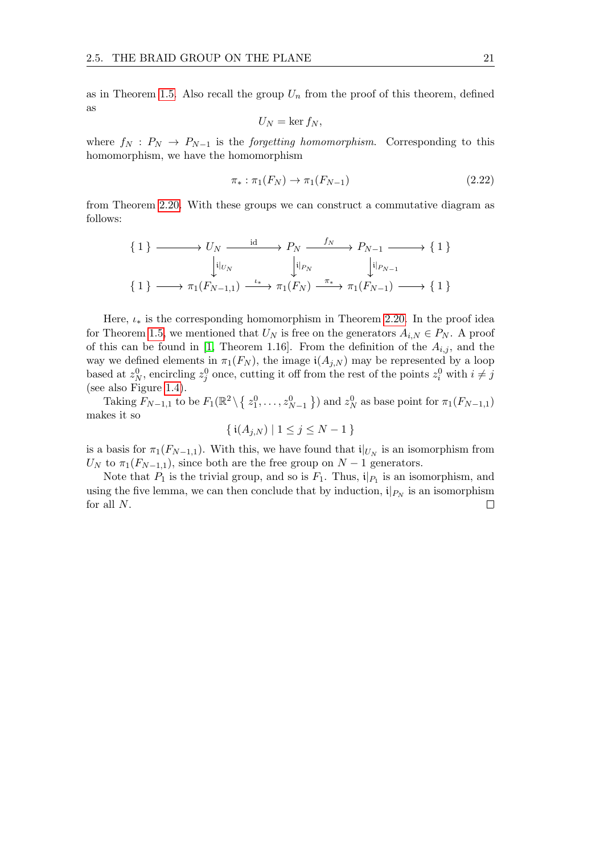as in Theorem [1.5.](#page-9-1) Also recall the group  $U_n$  from the proof of this theorem, defined as

$$
U_N = \ker f_N,
$$

where  $f_N$ :  $P_N \to P_{N-1}$  is the *forgetting homomorphism*. Corresponding to this homomorphism, we have the homomorphism

$$
\pi_* : \pi_1(F_N) \to \pi_1(F_{N-1}) \tag{2.22}
$$

from Theorem [2.20.](#page-21-1) With these groups we can construct a commutative diagram as follows:

{ 1 } U<sup>N</sup> P<sup>N</sup> PN−<sup>1</sup> { 1 } { 1 } π1(FN−1,1) π1(F<sup>N</sup> ) π1(FN−1) { 1 } i|UN id f<sup>N</sup> i|PN i|PN−<sup>1</sup> ι∗ π∗

Here,  $\iota_*$  is the corresponding homomorphism in Theorem [2.20.](#page-21-1) In the proof idea for Theorem [1.5,](#page-9-1) we mentioned that  $U_N$  is free on the generators  $A_{i,N} \in P_N$ . A proof of this can be found in [\[1,](#page-70-0) Theorem 1.16]. From the definition of the  $A_{i,j}$ , and the way we defined elements in  $\pi_1(F_N)$ , the image  $\mathfrak{i}(A_{i,N})$  may be represented by a loop based at  $z_N^0$ , encircling  $z_j^0$  once, cutting it off from the rest of the points  $z_i^0$  with  $i \neq j$ (see also Figure [1.4\)](#page-9-0).

Taking  $F_{N-1,1}$  to be  $F_1(\mathbb{R}^2 \setminus \{z_1^0, \ldots, z_{N-1}^0\})$  and  $z_N^0$  as base point for  $\pi_1(F_{N-1,1})$ makes it so

$$
\{ \, \mathfrak{i}(A_{j,N}) \mid 1 \le j \le N - 1 \, \}
$$

is a basis for  $\pi_1(F_{N-1,1})$ . With this, we have found that  $\mathfrak{i}|_{U_N}$  is an isomorphism from  $U_N$  to  $\pi_1(F_{N-1,1}),$  since both are the free group on  $N-1$  generators.

Note that  $P_1$  is the trivial group, and so is  $F_1$ . Thus,  $\mathfrak{i}|_{P_1}$  is an isomorphism, and using the five lemma, we can then conclude that by induction,  $i|_{P_N}$  is an isomorphism for all N. $\Box$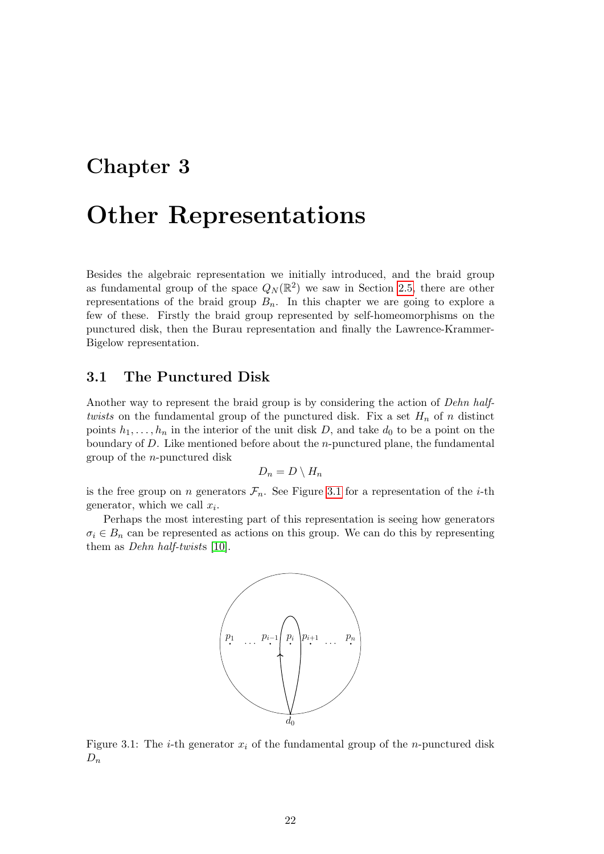# <span id="page-25-0"></span>Chapter 3

# Other Representations

Besides the algebraic representation we initially introduced, and the braid group as fundamental group of the space  $Q_N(\mathbb{R}^2)$  we saw in Section [2.5,](#page-20-0) there are other representations of the braid group  $B_n$ . In this chapter we are going to explore a few of these. Firstly the braid group represented by self-homeomorphisms on the punctured disk, then the Burau representation and finally the Lawrence-Krammer-Bigelow representation.

### <span id="page-25-1"></span>3.1 The Punctured Disk

Another way to represent the braid group is by considering the action of Dehn halftwists on the fundamental group of the punctured disk. Fix a set  $H_n$  of n distinct points  $h_1, \ldots, h_n$  in the interior of the unit disk D, and take  $d_0$  to be a point on the boundary of  $D$ . Like mentioned before about the *n*-punctured plane, the fundamental group of the n-punctured disk

$$
D_n = D \setminus H_n
$$

is the free group on n generators  $\mathcal{F}_n$ . See Figure [3.1](#page-25-2) for a representation of the *i*-th generator, which we call  $x_i$ .

<span id="page-25-2"></span>Perhaps the most interesting part of this representation is seeing how generators  $\sigma_i \in B_n$  can be represented as actions on this group. We can do this by representing them as Dehn half-twists [\[10\]](#page-70-9).



Figure 3.1: The *i*-th generator  $x_i$  of the fundamental group of the *n*-punctured disk  $D_n$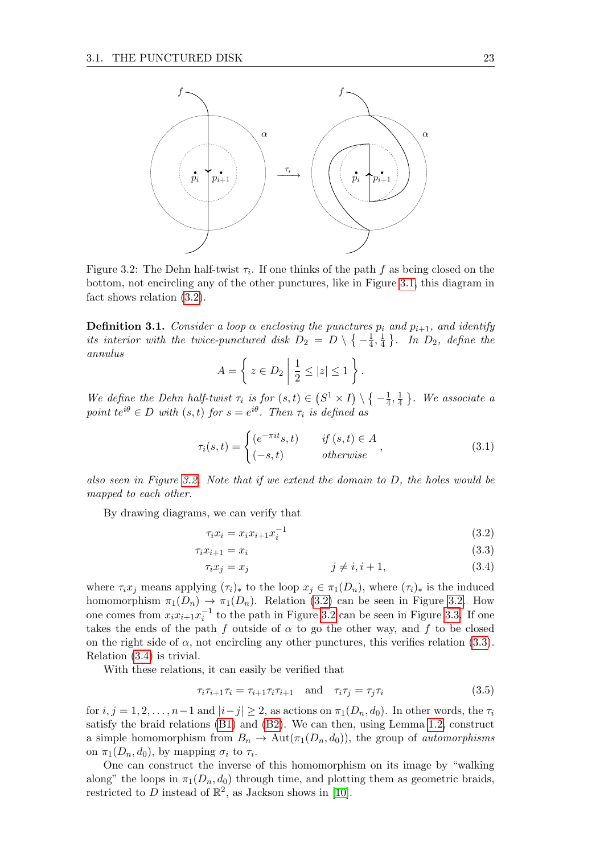<span id="page-26-1"></span>

Figure 3.2: The Dehn half-twist  $\tau_i$ . If one thinks of the path f as being closed on the bottom, not encircling any of the other punctures, like in Figure [3.1,](#page-25-2) this diagram in fact shows relation [\(3.2\)](#page-26-0).

**Definition 3.1.** Consider a loop  $\alpha$  enclosing the punctures  $p_i$  and  $p_{i+1}$ , and identify its interior with the twice-punctured disk  $D_2 = D \setminus \{-\frac{1}{4}$  $\frac{1}{4}, \frac{1}{4}$  $\frac{1}{4}$ . In  $D_2$ , define the annulus

$$
A = \left\{ z \in D_2 \mid \frac{1}{2} \le |z| \le 1 \right\}.
$$

We define the Dehn half-twist  $\tau_i$  is for  $(s,t) \in (S^1 \times I) \setminus \{-\frac{1}{4}\}$  $\frac{1}{4}, \frac{1}{4}$  $\frac{1}{4}$ . We associate a point  $te^{i\theta} \in D$  with  $(s,t)$  for  $s=e^{i\theta}$ . Then  $\tau_i$  is defined as

$$
\tau_i(s,t) = \begin{cases}\n(e^{-\pi i t}s, t) & \text{if } (s,t) \in A \\
(-s, t) & \text{otherwise}\n\end{cases},\n\tag{3.1}
$$

also seen in Figure [3.2.](#page-26-1) Note that if we extend the domain to D, the holes would be mapped to each other.

By drawing diagrams, we can verify that

<span id="page-26-3"></span><span id="page-26-2"></span><span id="page-26-0"></span>
$$
\tau_i x_i = x_i x_{i+1} x_i^{-1} \tag{3.2}
$$

$$
\tau_i x_{i+1} = x_i \tag{3.3}
$$

$$
\tau_i x_j = x_j \qquad \qquad j \neq i, i+1,\tag{3.4}
$$

where  $\tau_i x_j$  means applying  $(\tau_i)_*$  to the loop  $x_j \in \pi_1(D_n)$ , where  $(\tau_i)_*$  is the induced homomorphism  $\pi_1(D_n) \to \pi_1(D_n)$ . Relation [\(3.2\)](#page-26-0) can be seen in Figure [3.2.](#page-26-1) How one comes from  $x_i x_{i+1} x_i^{-1}$  to the path in Figure [3.2](#page-26-1) can be seen in Figure [3.3.](#page-27-1) If one takes the ends of the path f outside of  $\alpha$  to go the other way, and f to be closed on the right side of  $\alpha$ , not encircling any other punctures, this verifies relation [\(3.3\)](#page-26-2). Relation [\(3.4\)](#page-26-3) is trivial.

With these relations, it can easily be verified that

$$
\tau_i \tau_{i+1} \tau_i = \tau_{i+1} \tau_i \tau_{i+1} \quad \text{and} \quad \tau_i \tau_j = \tau_j \tau_i \tag{3.5}
$$

for  $i, j = 1, 2, \ldots, n-1$  and  $|i-j| \geq 2$ , as actions on  $\pi_1(D_n, d_0)$ . In other words, the  $\tau_i$ satisfy the braid relations [\(B1\)](#page-5-3) and [\(B2\)](#page-5-2). We can then, using Lemma [1.2,](#page-6-2) construct a simple homomorphism from  $B_n \to \text{Aut}(\pi_1(D_n, d_0))$ , the group of *automorphisms* on  $\pi_1(D_n, d_0)$ , by mapping  $\sigma_i$  to  $\tau_i$ .

One can construct the inverse of this homomorphism on its image by "walking along" the loops in  $\pi_1(D_n, d_0)$  through time, and plotting them as geometric braids, restricted to D instead of  $\mathbb{R}^2$ , as Jackson shows in [\[10\]](#page-70-9).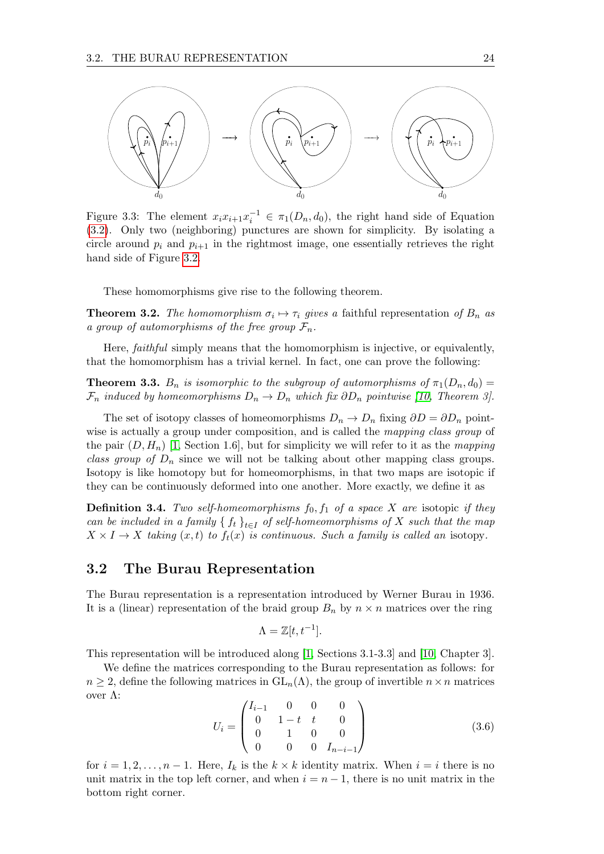<span id="page-27-1"></span>

Figure 3.3: The element  $x_i x_{i+1} x_i^{-1} \in \pi_1(D_n, d_0)$ , the right hand side of Equation [\(3.2\)](#page-26-0). Only two (neighboring) punctures are shown for simplicity. By isolating a circle around  $p_i$  and  $p_{i+1}$  in the rightmost image, one essentially retrieves the right hand side of Figure [3.2.](#page-26-1)

These homomorphisms give rise to the following theorem.

**Theorem 3.2.** The homomorphism  $\sigma_i \mapsto \tau_i$  gives a faithful representation of  $B_n$  as a group of automorphisms of the free group  $\mathcal{F}_n$ .

Here, faithful simply means that the homomorphism is injective, or equivalently, that the homomorphism has a trivial kernel. In fact, one can prove the following:

**Theorem 3.3.**  $B_n$  is isomorphic to the subgroup of automorphisms of  $\pi_1(D_n, d_0) =$  $\mathcal{F}_n$  induced by homeomorphisms  $D_n \to D_n$  which fix  $\partial D_n$  pointwise [\[10,](#page-70-9) Theorem 3].

The set of isotopy classes of homeomorphisms  $D_n \to D_n$  fixing  $\partial D = \partial D_n$  pointwise is actually a group under composition, and is called the *mapping class group* of the pair  $(D, H_n)$  [\[1,](#page-70-0) Section 1.6], but for simplicity we will refer to it as the mapping class group of  $D_n$  since we will not be talking about other mapping class groups. Isotopy is like homotopy but for homeomorphisms, in that two maps are isotopic if they can be continuously deformed into one another. More exactly, we define it as

**Definition 3.4.** Two self-homeomorphisms  $f_0$ ,  $f_1$  of a space X are isotopic if they can be included in a family  $\{f_t\}_{t\in I}$  of self-homeomorphisms of X such that the map  $X \times I \to X$  taking  $(x, t)$  to  $f_t(x)$  is continuous. Such a family is called an isotopy.

### <span id="page-27-0"></span>3.2 The Burau Representation

The Burau representation is a representation introduced by Werner Burau in 1936. It is a (linear) representation of the braid group  $B_n$  by  $n \times n$  matrices over the ring

$$
\Lambda = \mathbb{Z}[t, t^{-1}].
$$

This representation will be introduced along [\[1,](#page-70-0) Sections 3.1-3.3] and [\[10,](#page-70-9) Chapter 3].

We define the matrices corresponding to the Burau representation as follows: for  $n \geq 2$ , define the following matrices in  $GL_n(\Lambda)$ , the group of invertible  $n \times n$  matrices over Λ:

<span id="page-27-2"></span>
$$
U_i = \begin{pmatrix} I_{i-1} & 0 & 0 & 0 \\ 0 & 1-t & t & 0 \\ 0 & 1 & 0 & 0 \\ 0 & 0 & 0 & I_{n-i-1} \end{pmatrix}
$$
 (3.6)

for  $i = 1, 2, \ldots, n - 1$ . Here,  $I_k$  is the  $k \times k$  identity matrix. When  $i = i$  there is no unit matrix in the top left corner, and when  $i = n - 1$ , there is no unit matrix in the bottom right corner.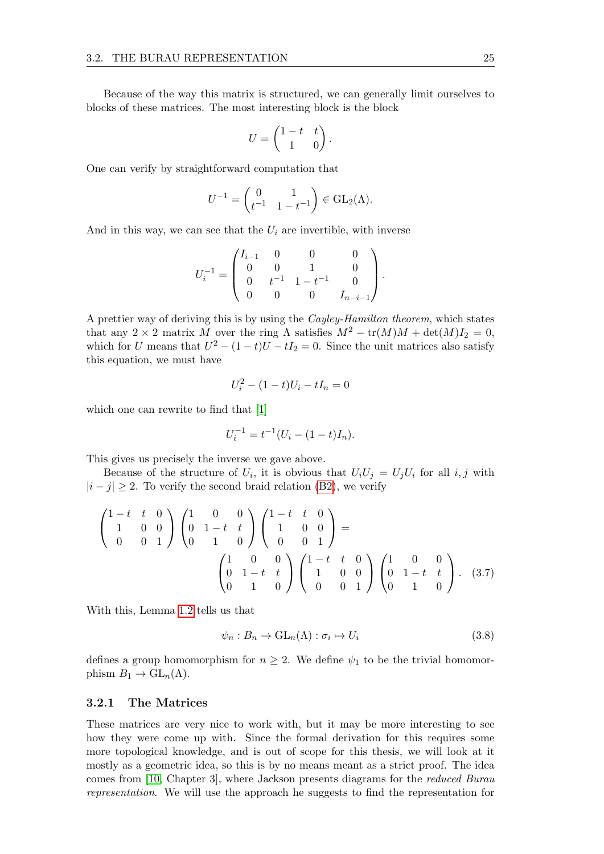Because of the way this matrix is structured, we can generally limit ourselves to blocks of these matrices. The most interesting block is the block

$$
U = \begin{pmatrix} 1 - t & t \\ 1 & 0 \end{pmatrix}.
$$

One can verify by straightforward computation that

$$
U^{-1} = \begin{pmatrix} 0 & 1 \\ t^{-1} & 1 - t^{-1} \end{pmatrix} \in \text{GL}_2(\Lambda).
$$

And in this way, we can see that the  $U_i$  are invertible, with inverse

$$
U_i^{-1} = \begin{pmatrix} I_{i-1} & 0 & 0 & 0 \\ 0 & 0 & 1 & 0 \\ 0 & t^{-1} & 1 - t^{-1} & 0 \\ 0 & 0 & 0 & I_{n-i-1} \end{pmatrix}.
$$

A prettier way of deriving this is by using the Cayley-Hamilton theorem, which states that any 2 × 2 matrix M over the ring  $\Lambda$  satisfies  $M^2 - \text{tr}(M)M + \text{det}(M)I_2 = 0$ , which for U means that  $U^2 - (1 - t)U - tI_2 = 0$ . Since the unit matrices also satisfy this equation, we must have

$$
U_i^2 - (1 - t)U_i - tI_n = 0
$$

which one can rewrite to find that [\[1\]](#page-70-0)

$$
U_i^{-1} = t^{-1}(U_i - (1-t)I_n).
$$

This gives us precisely the inverse we gave above.

Because of the structure of  $U_i$ , it is obvious that  $U_iU_j = U_jU_i$  for all  $i, j$  with  $|i - j| \geq 2$ . To verify the second braid relation [\(B2\)](#page-5-2), we verify

$$
\begin{pmatrix}\n1-t & t & 0 \\
1 & 0 & 0 \\
0 & 0 & 1\n\end{pmatrix}\n\begin{pmatrix}\n1 & 0 & 0 \\
0 & 1-t & t \\
0 & 1 & 0\n\end{pmatrix}\n\begin{pmatrix}\n1-t & t & 0 \\
1 & 0 & 0 \\
0 & 0 & 1\n\end{pmatrix} = \n\begin{pmatrix}\n1 & 0 & 0 \\
0 & 1-t & t \\
0 & 1 & 0\n\end{pmatrix}\n\begin{pmatrix}\n1-t & t & 0 \\
1 & 0 & 0 \\
0 & 0 & 1\n\end{pmatrix}\n\begin{pmatrix}\n1 & 0 & 0 \\
0 & 1-t & t \\
0 & 0 & 1\n\end{pmatrix}.
$$
\n(3.7)

With this, Lemma [1.2](#page-6-2) tells us that

<span id="page-28-1"></span>
$$
\psi_n : B_n \to \mathrm{GL}_n(\Lambda) : \sigma_i \mapsto U_i \tag{3.8}
$$

defines a group homomorphism for  $n \geq 2$ . We define  $\psi_1$  to be the trivial homomorphism  $B_1 \to GL_n(\Lambda)$ .

#### <span id="page-28-0"></span>3.2.1 The Matrices

These matrices are very nice to work with, but it may be more interesting to see how they were come up with. Since the formal derivation for this requires some more topological knowledge, and is out of scope for this thesis, we will look at it mostly as a geometric idea, so this is by no means meant as a strict proof. The idea comes from [\[10,](#page-70-9) Chapter 3], where Jackson presents diagrams for the reduced Burau representation. We will use the approach he suggests to find the representation for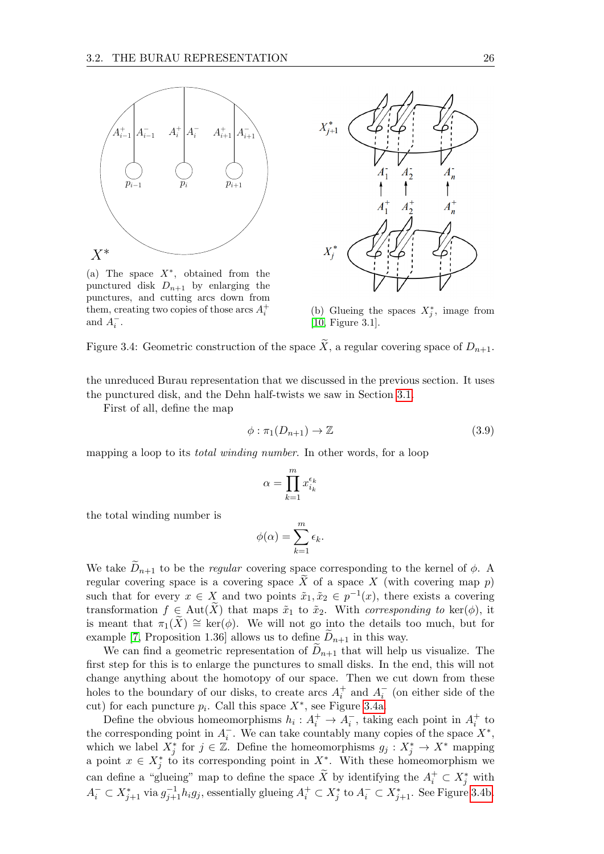<span id="page-29-0"></span>

(a) The space  $X^*$ , obtained from the punctured disk  $D_{n+1}$  by enlarging the punctures, and cutting arcs down from them, creating two copies of those arcs  $A_i^+$ and  $A_i^-$ .



(b) Glueing the spaces  $X_j^*$ , image from [\[10,](#page-70-9) Figure 3.1].

Figure 3.4: Geometric construction of the space  $\widetilde{X}$ , a regular covering space of  $D_{n+1}$ .

the unreduced Burau representation that we discussed in the previous section. It uses the punctured disk, and the Dehn half-twists we saw in Section [3.1.](#page-25-1)

First of all, define the map

<span id="page-29-1"></span>
$$
\phi: \pi_1(D_{n+1}) \to \mathbb{Z} \tag{3.9}
$$

mapping a loop to its *total winding number*. In other words, for a loop

$$
\alpha = \prod_{k=1}^m x_{i_k}^{\epsilon_k}
$$

the total winding number is

$$
\phi(\alpha) = \sum_{k=1}^{m} \epsilon_k.
$$

We take  $D_{n+1}$  to be the *regular* covering space corresponding to the kernel of  $\phi$ . A regular covering space is a covering space  $\widetilde{X}$  of a space X (with covering map p) such that for every  $x \in X$  and two points  $\tilde{x}_1, \tilde{x}_2 \in p^{-1}(x)$ , there exists a covering transformation  $f \in Aut(\widetilde{X})$  that maps  $\tilde{x}_1$  to  $\tilde{x}_2$ . With corresponding to ker( $\phi$ ), it is meant that  $\pi_1(X) \cong \ker(\phi)$ . We will not go into the details too much, but for example [\[7,](#page-70-6) Proposition 1.36] allows us to define  $D_{n+1}$  in this way.

We can find a geometric representation of  $D_{n+1}$  that will help us visualize. The first step for this is to enlarge the punctures to small disks. In the end, this will not change anything about the homotopy of our space. Then we cut down from these holes to the boundary of our disks, to create arcs  $A_i^+$  and  $A_i^-$  (on either side of the cut) for each puncture  $p_i$ . Call this space  $X^*$ , see Figure [3.4a.](#page-29-0)

Define the obvious homeomorphisms  $h_i: A_i^+ \to A_i^-$ , taking each point in  $A_i^+$  to the corresponding point in  $A_i^-$ . We can take countably many copies of the space  $X^*$ , which we label  $X_j^*$  for  $j \in \mathbb{Z}$ . Define the homeomorphisms  $g_j : X_j^* \to X^*$  mapping a point  $x \in X_j^*$  to its corresponding point in  $X^*$ . With these homeomorphism we can define a "glueing" map to define the space  $\widetilde{X}$  by identifying the  $A_i^+ \subset X_j^*$  with  $A_i^- \subset X_{j+1}^*$  via  $g_{j+1}^{-1}h_ig_j$ , essentially glueing  $A_i^+ \subset X_j^*$  to  $A_i^- \subset X_{j+1}^*$ . See Figure [3.4b.](#page-29-0)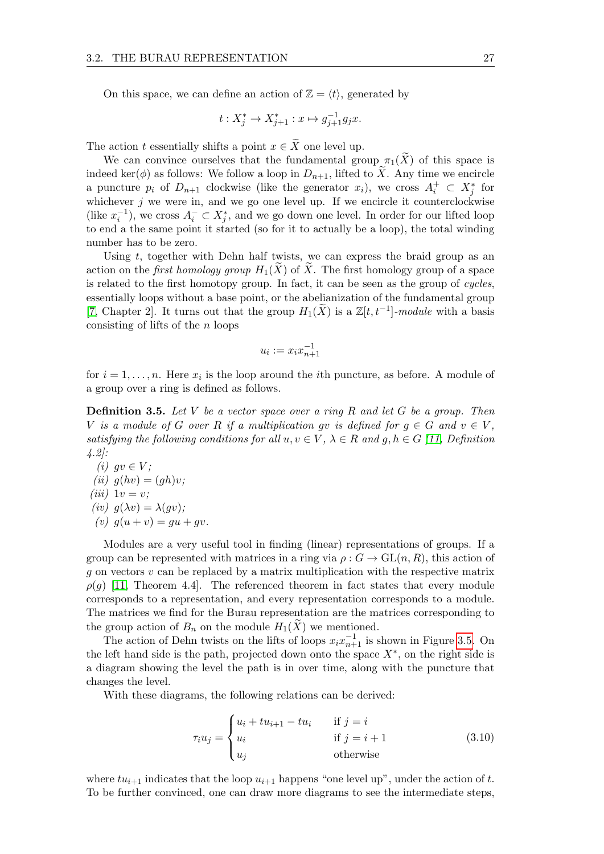On this space, we can define an action of  $\mathbb{Z} = \langle t \rangle$ , generated by

$$
t: X_j^* \to X_{j+1}^* : x \mapsto g_{j+1}^{-1}g_jx.
$$

The action t essentially shifts a point  $x \in \widetilde{X}$  one level up.

We can convince ourselves that the fundamental group  $\pi_1(\widetilde{X})$  of this space is indeed ker( $\phi$ ) as follows: We follow a loop in  $D_{n+1}$ , lifted to X. Any time we encircle a puncture  $p_i$  of  $D_{n+1}$  clockwise (like the generator  $x_i$ ), we cross  $A_i^+ \subset X_j^*$  for whichever  $j$  we were in, and we go one level up. If we encircle it counterclockwise (like  $x_i^{-1}$ ), we cross  $A_i^- \subset X_j^*$ , and we go down one level. In order for our lifted loop to end a the same point it started (so for it to actually be a loop), the total winding number has to be zero.

Using  $t$ , together with Dehn half twists, we can express the braid group as an action on the *first homology group*  $H_1(X)$  of X. The first homology group of a space is related to the first homotopy group. In fact, it can be seen as the group of cycles, essentially loops without a base point, or the abelianization of the fundamental group [\[7,](#page-70-6) Chapter 2]. It turns out that the group  $H_1(\widetilde{X})$  is a  $\mathbb{Z}[t, t^{-1}]$ -module with a basis consisting of lifts of the  $n$  loops

$$
u_i := x_i x_{n+1}^{-1}
$$

for  $i = 1, \ldots, n$ . Here  $x_i$  is the loop around the *i*th puncture, as before. A module of a group over a ring is defined as follows.

**Definition 3.5.** Let V be a vector space over a ring R and let G be a group. Then V is a module of G over R if a multiplication gv is defined for  $q \in G$  and  $v \in V$ , satisfying the following conditions for all  $u, v \in V$ ,  $\lambda \in R$  and  $g, h \in G$  [\[11,](#page-70-10) Definition 4.2]:

(i)  $gv \in V$ ; (ii)  $q(hv) = (gh)v;$ (iii)  $1v = v;$ (iv)  $g(\lambda v) = \lambda(gv)$ ; (v)  $q(u + v) = qu + qv$ .

Modules are a very useful tool in finding (linear) representations of groups. If a group can be represented with matrices in a ring via  $\rho: G \to GL(n, R)$ , this action of q on vectors  $v$  can be replaced by a matrix multiplication with the respective matrix  $\rho(g)$  [\[11,](#page-70-10) Theorem 4.4]. The referenced theorem in fact states that every module corresponds to a representation, and every representation corresponds to a module. The matrices we find for the Burau representation are the matrices corresponding to the group action of  $B_n$  on the module  $H_1(X)$  we mentioned.

The action of Dehn twists on the lifts of loops  $x_i x_{n+1}^{-1}$  is shown in Figure [3.5.](#page-31-1) On the left hand side is the path, projected down onto the space  $X^*$ , on the right side is a diagram showing the level the path is in over time, along with the puncture that changes the level.

With these diagrams, the following relations can be derived:

$$
\tau_i u_j = \begin{cases} u_i + t u_{i+1} - t u_i & \text{if } j = i \\ u_i & \text{if } j = i + 1 \\ u_j & \text{otherwise} \end{cases} \tag{3.10}
$$

where  $tu_{i+1}$  indicates that the loop  $u_{i+1}$  happens "one level up", under the action of t. To be further convinced, one can draw more diagrams to see the intermediate steps,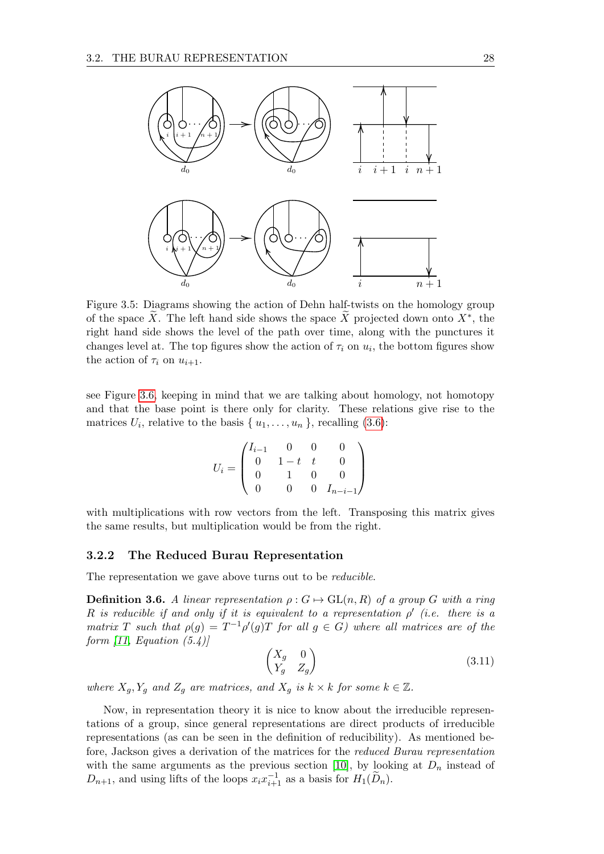<span id="page-31-1"></span>

Figure 3.5: Diagrams showing the action of Dehn half-twists on the homology group of the space  $\widetilde{X}$ . The left hand side shows the space  $\widetilde{X}$  projected down onto  $X^*$ , the right hand side shows the level of the path over time, along with the punctures it changes level at. The top figures show the action of  $\tau_i$  on  $u_i$ , the bottom figures show the action of  $\tau_i$  on  $u_{i+1}$ .

see Figure [3.6,](#page-32-0) keeping in mind that we are talking about homology, not homotopy and that the base point is there only for clarity. These relations give rise to the matrices  $U_i$ , relative to the basis  $\{u_1, \ldots, u_n\}$ , recalling [\(3.6\)](#page-27-2):

$$
U_i = \begin{pmatrix} I_{i-1} & 0 & 0 & 0 \\ 0 & 1-t & t & 0 \\ 0 & 1 & 0 & 0 \\ 0 & 0 & 0 & I_{n-i-1} \end{pmatrix}
$$

with multiplications with row vectors from the left. Transposing this matrix gives the same results, but multiplication would be from the right.

#### <span id="page-31-0"></span>3.2.2 The Reduced Burau Representation

The representation we gave above turns out to be *reducible*.

**Definition 3.6.** A linear representation  $\rho: G \mapsto GL(n, R)$  of a group G with a ring R is reducible if and only if it is equivalent to a representation  $\rho'$  (i.e. there is a matrix T such that  $\rho(g) = T^{-1}\rho'(g)T$  for all  $g \in G$ ) where all matrices are of the form  $[11, Equation (5.4)]$  $[11, Equation (5.4)]$ 

$$
\begin{pmatrix} X_g & 0 \\ Y_g & Z_g \end{pmatrix} \tag{3.11}
$$

where  $X_q$ ,  $Y_q$  and  $Z_q$  are matrices, and  $X_q$  is  $k \times k$  for some  $k \in \mathbb{Z}$ .

Now, in representation theory it is nice to know about the irreducible representations of a group, since general representations are direct products of irreducible representations (as can be seen in the definition of reducibility). As mentioned before, Jackson gives a derivation of the matrices for the reduced Burau representation with the same arguments as the previous section [\[10\]](#page-70-9), by looking at  $D_n$  instead of  $D_{n+1}$ , and using lifts of the loops  $x_i x_{i+1}^{-1}$  as a basis for  $H_1(\widetilde{D}_n)$ .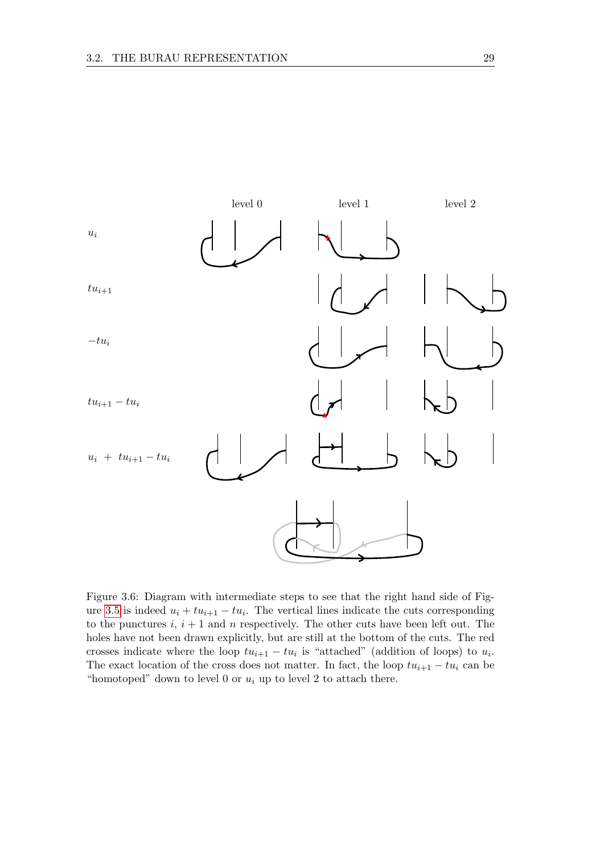<span id="page-32-0"></span>

Figure 3.6: Diagram with intermediate steps to see that the right hand side of Fig-ure [3.5](#page-31-1) is indeed  $u_i + tu_{i+1} - tu_i$ . The vertical lines indicate the cuts corresponding to the punctures  $i, i+1$  and n respectively. The other cuts have been left out. The holes have not been drawn explicitly, but are still at the bottom of the cuts. The red crosses indicate where the loop  $tu_{i+1} - tu_i$  is "attached" (addition of loops) to  $u_i$ . The exact location of the cross does not matter. In fact, the loop  $tu_{i+1} - tu_i$  can be "homotoped" down to level 0 or  $u_i$  up to level 2 to attach there.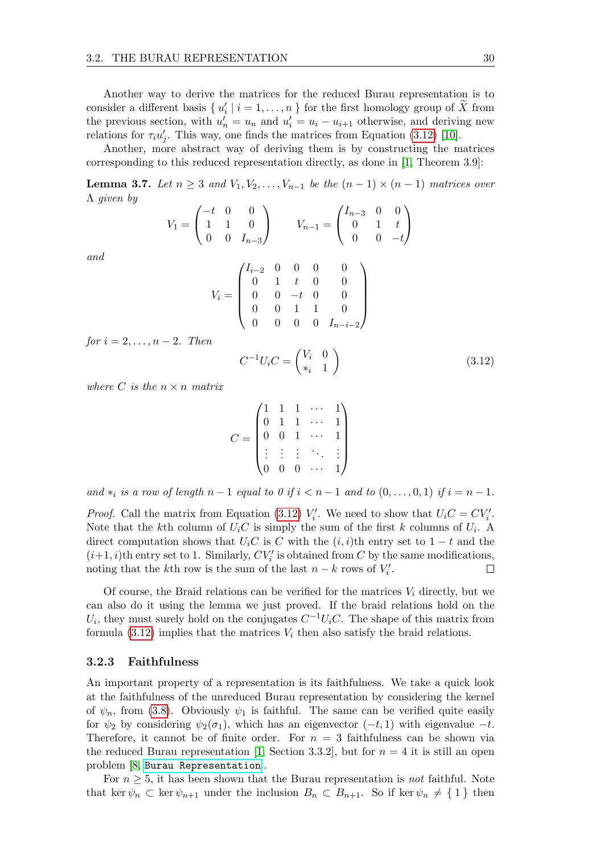Another way to derive the matrices for the reduced Burau representation is to consider a different basis  $\{u'_i \mid i = 1, \ldots, n\}$  for the first homology group of  $\tilde{X}$  from the previous section, with  $u'_n = u_n$  and  $u'_i = u_i - u_{i+1}$  otherwise, and deriving new relations for  $\tau_i u'_j$ . This way, one finds the matrices from Equation [\(3.12\)](#page-33-1) [\[10\]](#page-70-9).

Another, more abstract way of deriving them is by constructing the matrices corresponding to this reduced representation directly, as done in [\[1,](#page-70-0) Theorem 3.9]:

**Lemma 3.7.** Let  $n \geq 3$  and  $V_1, V_2, \ldots, V_{n-1}$  be the  $(n-1) \times (n-1)$  matrices over Λ given by

$$
V_1 = \begin{pmatrix} -t & 0 & 0 \\ 1 & 1 & 0 \\ 0 & 0 & I_{n-3} \end{pmatrix} \qquad V_{n-1} = \begin{pmatrix} I_{n-3} & 0 & 0 \\ 0 & 1 & t \\ 0 & 0 & -t \end{pmatrix}
$$

and

$$
V_i = \begin{pmatrix} I_{i-2} & 0 & 0 & 0 & 0 \\ 0 & 1 & t & 0 & 0 \\ 0 & 0 & -t & 0 & 0 \\ 0 & 0 & 1 & 1 & 0 \\ 0 & 0 & 0 & 0 & I_{n-i-2} \end{pmatrix}
$$

for  $i = 2, \ldots, n-2$ . Then

<span id="page-33-1"></span>
$$
C^{-1}U_iC = \begin{pmatrix} V_i & 0 \\ *_i & 1 \end{pmatrix} \tag{3.12}
$$

where C is the  $n \times n$  matrix

$$
C = \begin{pmatrix} 1 & 1 & 1 & \cdots & 1 \\ 0 & 1 & 1 & \cdots & 1 \\ 0 & 0 & 1 & \cdots & 1 \\ \vdots & \vdots & \vdots & \ddots & \vdots \\ 0 & 0 & 0 & \cdots & 1 \end{pmatrix}
$$

and  $*_i$  is a row of length  $n-1$  equal to 0 if  $i < n-1$  and to  $(0, \ldots, 0, 1)$  if  $i = n-1$ .

*Proof.* Call the matrix from Equation [\(3.12\)](#page-33-1)  $V_i'$ . We need to show that  $U_iC = CV_i'$ . Note that the k<sup>th</sup> column of  $U_iC$  is simply the sum of the first k columns of  $U_i$ . A direct computation shows that  $U_iC$  is C with the  $(i, i)$ th entry set to 1 − t and the  $(i+1,i)$ th entry set to 1. Similarly,  $CV'_i$  is obtained from  ${\cal C}$  by the same modifications, noting that the k<sup>th</sup> row is the sum of the last  $n - k$  rows of  $V_i'$ . П

Of course, the Braid relations can be verified for the matrices  $V_i$  directly, but we can also do it using the lemma we just proved. If the braid relations hold on the  $U_i$ , they must surely hold on the conjugates  $C^{-1}U_iC$ . The shape of this matrix from formula  $(3.12)$  implies that the matrices  $V_i$  then also satisfy the braid relations.

#### <span id="page-33-0"></span>3.2.3 Faithfulness

An important property of a representation is its faithfulness. We take a quick look at the faithfulness of the unreduced Burau representation by considering the kernel of  $\psi_n$ , from [\(3.8\)](#page-28-1). Obviously  $\psi_1$  is faithful. The same can be verified quite easily for  $\psi_2$  by considering  $\psi_2(\sigma_1)$ , which has an eigenvector  $(-t, 1)$  with eigenvalue  $-t$ . Therefore, it cannot be of finite order. For  $n = 3$  faithfulness can be shown via the reduced Burau representation [\[1,](#page-70-0) Section 3.3.2], but for  $n = 4$  it is still an open problem [\[8,](#page-70-7) [Burau Representation](https://en.wikipedia.org/wiki/Burau_representation)].

For  $n \geq 5$ , it has been shown that the Burau representation is not faithful. Note that ker  $\psi_n \subset \text{ker } \psi_{n+1}$  under the inclusion  $B_n \subset B_{n+1}$ . So if ker  $\psi_n \neq \{1\}$  then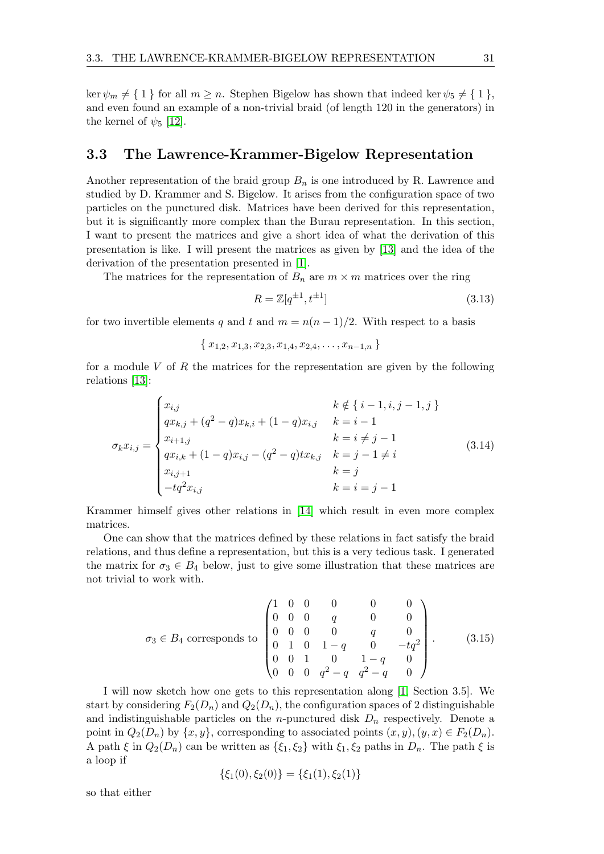ker  $\psi_m \neq \{ 1 \}$  for all  $m \geq n$ . Stephen Bigelow has shown that indeed ker  $\psi_5 \neq \{ 1 \}$ , and even found an example of a non-trivial braid (of length 120 in the generators) in the kernel of  $\psi_5$  [\[12\]](#page-70-11).

## <span id="page-34-0"></span>3.3 The Lawrence-Krammer-Bigelow Representation

Another representation of the braid group  $B_n$  is one introduced by R. Lawrence and studied by D. Krammer and S. Bigelow. It arises from the configuration space of two particles on the punctured disk. Matrices have been derived for this representation, but it is significantly more complex than the Burau representation. In this section, I want to present the matrices and give a short idea of what the derivation of this presentation is like. I will present the matrices as given by [\[13\]](#page-70-12) and the idea of the derivation of the presentation presented in [\[1\]](#page-70-0).

The matrices for the representation of  $B_n$  are  $m \times m$  matrices over the ring

$$
R = \mathbb{Z}[q^{\pm 1}, t^{\pm 1}]
$$
\n(3.13)

for two invertible elements q and t and  $m = n(n-1)/2$ . With respect to a basis

$$
\{x_{1,2}, x_{1,3}, x_{2,3}, x_{1,4}, x_{2,4}, \ldots, x_{n-1,n}\}
$$

for a module V of R the matrices for the representation are given by the following relations [\[13\]](#page-70-12):

$$
\sigma_k x_{i,j} = \begin{cases}\nx_{i,j} & k \notin \{i-1, i, j-1, j\} \\
qx_{k,j} + (q^2 - q)x_{k,i} + (1 - q)x_{i,j} & k = i - 1 \\
x_{i+1,j} & k = i \neq j - 1 \\
qx_{i,k} + (1 - q)x_{i,j} - (q^2 - q)tx_{k,j} & k = j - 1 \neq i \\
x_{i,j+1} & k = j \\
-tq^2 x_{i,j} & k = i = j - 1\n\end{cases}
$$
\n(3.14)

Krammer himself gives other relations in [\[14\]](#page-70-13) which result in even more complex matrices.

One can show that the matrices defined by these relations in fact satisfy the braid relations, and thus define a representation, but this is a very tedious task. I generated the matrix for  $\sigma_3 \in B_4$  below, just to give some illustration that these matrices are not trivial to work with.

$$
\sigma_3 \in B_4 \text{ corresponds to } \begin{pmatrix} 1 & 0 & 0 & 0 & 0 & 0 \\ 0 & 0 & 0 & q & 0 & 0 \\ 0 & 0 & 0 & 0 & q & 0 \\ 0 & 1 & 0 & 1-q & 0 & -tq^2 \\ 0 & 0 & 1 & 0 & 1-q & 0 \\ 0 & 0 & 0 & q^2-q & q^2-q & 0 \end{pmatrix} . \tag{3.15}
$$

I will now sketch how one gets to this representation along [\[1,](#page-70-0) Section 3.5]. We start by considering  $F_2(D_n)$  and  $Q_2(D_n)$ , the configuration spaces of 2 distinguishable and indistinguishable particles on the *n*-punctured disk  $D_n$  respectively. Denote a point in  $Q_2(D_n)$  by  $\{x, y\}$ , corresponding to associated points  $(x, y), (y, x) \in F_2(D_n)$ . A path  $\xi$  in  $Q_2(D_n)$  can be written as  $\{\xi_1, \xi_2\}$  with  $\xi_1, \xi_2$  paths in  $D_n$ . The path  $\xi$  is a loop if

$$
\{\xi_1(0), \xi_2(0)\} = \{\xi_1(1), \xi_2(1)\}
$$

so that either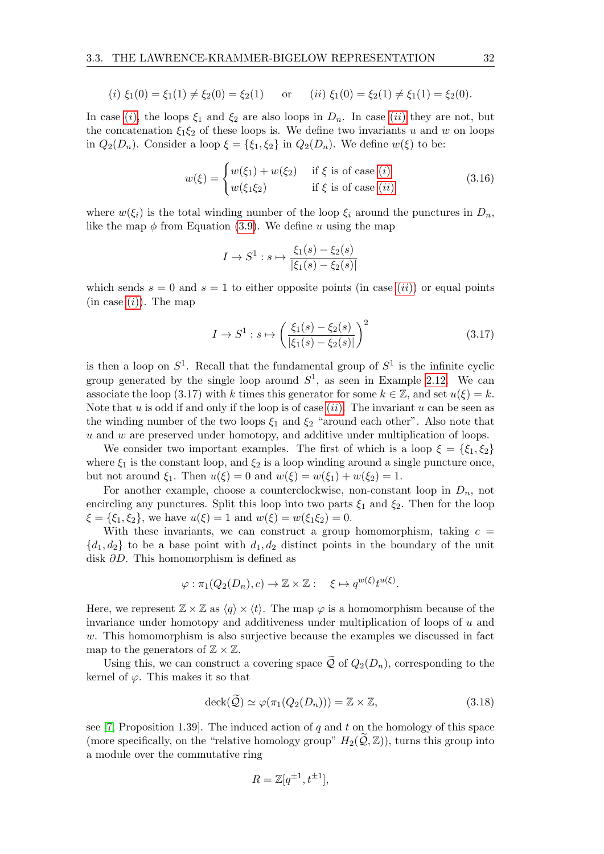<span id="page-35-0"></span>(i) 
$$
\xi_1(0) = \xi_1(1) \neq \xi_2(0) = \xi_2(1)
$$
 or (ii)  $\xi_1(0) = \xi_2(1) \neq \xi_1(1) = \xi_2(0)$ .

In case [\(](#page-35-1)i), the loops  $\xi_1$  and  $\xi_2$  are also loops in  $D_n$ . In case (ii) they are not, but the concatenation  $\xi_1 \xi_2$  of these loops is. We define two invariants u and w on loops in  $Q_2(D_n)$ . Consider a loop  $\xi = {\xi_1, \xi_2}$  in  $Q_2(D_n)$ . We define  $w(\xi)$  to be:

<span id="page-35-1"></span>
$$
w(\xi) = \begin{cases} w(\xi_1) + w(\xi_2) & \text{if } \xi \text{ is of case } (i) \\ w(\xi_1 \xi_2) & \text{if } \xi \text{ is of case } (ii) \end{cases}
$$
(3.16)

where  $w(\xi_i)$  is the total winding number of the loop  $\xi_i$  around the punctures in  $D_n$ , like the map  $\phi$  from Equation [\(3.9\)](#page-29-1). We define u using the map

$$
I \to S^1 : s \mapsto \frac{\xi_1(s) - \xi_2(s)}{|\xi_1(s) - \xi_2(s)|}
$$

which sends  $s = 0$  and  $s = 1$  to either opposite points [\(](#page-35-1)in case  $(ii)$ ) or equal points  $(in case (i))$  $(in case (i))$  $(in case (i))$ . The map

$$
I \to S^1 : s \mapsto \left(\frac{\xi_1(s) - \xi_2(s)}{|\xi_1(s) - \xi_2(s)|}\right)^2 \tag{3.17}
$$

is then a loop on  $S^1$ . Recall that the fundamental group of  $S^1$  is the infinite cyclic group generated by the single loop around  $S^1$ , as seen in Example [2.12.](#page-14-3) We can associate the loop (3.17) with k times this generator for some  $k \in \mathbb{Z}$ , and set  $u(\xi) = k$ . Note that  $u$  is odd if and only if the loop is of case  $(ii)$  $(ii)$  $(ii)$ . The invariant  $u$  can be seen as the winding number of the two loops  $\xi_1$  and  $\xi_2$  "around each other". Also note that  $u$  and  $w$  are preserved under homotopy, and additive under multiplication of loops.

We consider two important examples. The first of which is a loop  $\xi = \{\xi_1, \xi_2\}$ where  $\xi_1$  is the constant loop, and  $\xi_2$  is a loop winding around a single puncture once, but not around  $\xi_1$ . Then  $u(\xi) = 0$  and  $w(\xi) = w(\xi_1) + w(\xi_2) = 1$ .

For another example, choose a counterclockwise, non-constant loop in  $D_n$ , not encircling any punctures. Split this loop into two parts  $\xi_1$  and  $\xi_2$ . Then for the loop  $\xi = {\xi_1, \xi_2}$ , we have  $u(\xi) = 1$  and  $w(\xi) = w(\xi_1 \xi_2) = 0$ .

With these invariants, we can construct a group homomorphism, taking  $c =$  $\{d_1, d_2\}$  to be a base point with  $d_1, d_2$  distinct points in the boundary of the unit disk ∂D. This homomorphism is defined as

$$
\varphi : \pi_1(Q_2(D_n), c) \to \mathbb{Z} \times \mathbb{Z} : \xi \mapsto q^{w(\xi)} t^{u(\xi)}.
$$

Here, we represent  $\mathbb{Z} \times \mathbb{Z}$  as  $\langle q \rangle \times \langle t \rangle$ . The map  $\varphi$  is a homomorphism because of the invariance under homotopy and additiveness under multiplication of loops of  $u$  and w. This homomorphism is also surjective because the examples we discussed in fact map to the generators of  $\mathbb{Z} \times \mathbb{Z}$ .

Using this, we can construct a covering space  $\tilde{Q}$  of  $Q_2(D_n)$ , corresponding to the kernel of  $\varphi$ . This makes it so that

$$
\operatorname{deck}(\widetilde{\mathcal{Q}}) \simeq \varphi(\pi_1(Q_2(D_n))) = \mathbb{Z} \times \mathbb{Z},\tag{3.18}
$$

see [\[7,](#page-70-6) Proposition 1.39]. The induced action of q and t on the homology of this space (more specifically, on the "relative homology group"  $H_2(Q,\mathbb{Z})$ ), turns this group into a module over the commutative ring

$$
R = \mathbb{Z}[q^{\pm 1}, t^{\pm 1}],
$$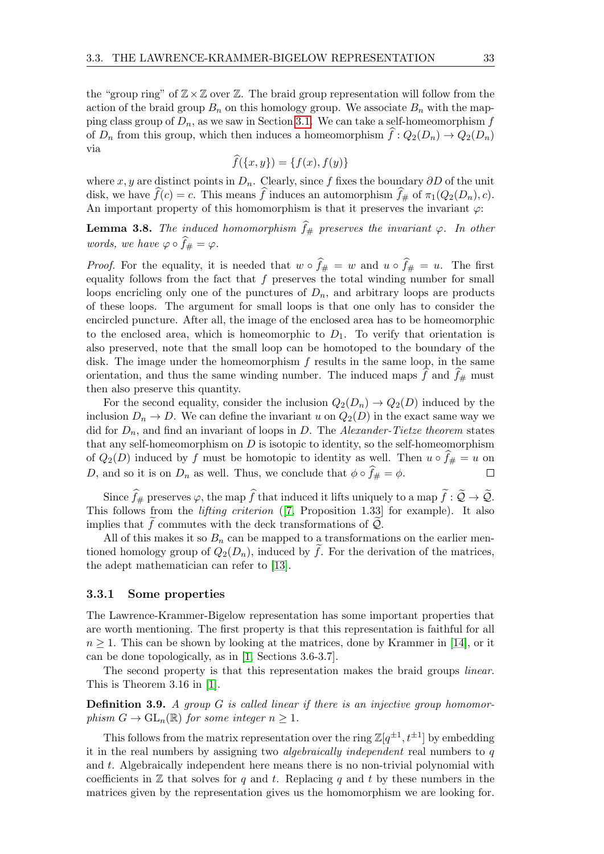the "group ring" of  $\mathbb{Z}\times\mathbb{Z}$  over  $\mathbb{Z}$ . The braid group representation will follow from the action of the braid group  $B_n$  on this homology group. We associate  $B_n$  with the mapping class group of  $D_n$ , as we saw in Section [3.1.](#page-25-0) We can take a self-homeomorphism f of  $D_n$  from this group, which then induces a homeomorphism  $\hat{f}: Q_2(D_n) \to Q_2(D_n)$ via

$$
\widehat{f}(\{x,y\}) = \{f(x), f(y)\}
$$

where x, y are distinct points in  $D_n$ . Clearly, since f fixes the boundary ∂D of the unit disk, we have  $\widehat{f}(c) = c$ . This means  $\widehat{f}$  induces an automorphism  $\widehat{f}_{\#}$  of  $\pi_1(Q_2(D_n), c)$ . An important property of this homomorphism is that it preserves the invariant  $\varphi$ :

**Lemma 3.8.** The induced homomorphism  $\hat{f}_{\#}$  preserves the invariant  $\varphi$ . In other words, we have  $\varphi \circ \hat{f}_\# = \varphi$ .

*Proof.* For the equality, it is needed that  $w \circ \hat{f}_{\#} = w$  and  $u \circ \hat{f}_{\#} = u$ . The first equality follows from the fact that  $f$  preserves the total winding number for small loops encricling only one of the punctures of  $D_n$ , and arbitrary loops are products of these loops. The argument for small loops is that one only has to consider the encircled puncture. After all, the image of the enclosed area has to be homeomorphic to the enclosed area, which is homeomorphic to  $D_1$ . To verify that orientation is also preserved, note that the small loop can be homotoped to the boundary of the disk. The image under the homeomorphism  $f$  results in the same loop, in the same orientation, and thus the same winding number. The induced maps f and  $f_{\#}$  must then also preserve this quantity.

For the second equality, consider the inclusion  $Q_2(D_n) \to Q_2(D)$  induced by the inclusion  $D_n \to D$ . We can define the invariant u on  $Q_2(D)$  in the exact same way we did for  $D_n$ , and find an invariant of loops in D. The Alexander-Tietze theorem states that any self-homeomorphism on  $D$  is isotopic to identity, so the self-homeomorphism of  $Q_2(D)$  induced by f must be homotopic to identity as well. Then  $u \circ f_{\#} = u$  on <br>D, and so it is on  $D_n$  as well. Thus, we conclude that  $\phi \circ \hat{f}_{\#} = \phi$ . D, and so it is on  $D_n$  as well. Thus, we conclude that  $\phi \circ \widehat{f}_\# = \phi$ .

Since  $\widehat{f}_{\#}$  preserves  $\varphi$ , the map  $\widehat{f}$  that induced it lifts uniquely to a map  $\widetilde{f}:\widetilde{\mathcal{Q}}\to\widetilde{\mathcal{Q}}$ . This follows from the lifting criterion ([\[7,](#page-70-0) Proposition 1.33] for example). It also implies that f commutes with the deck transformations of  $\mathcal{Q}$ .

All of this makes it so  $B_n$  can be mapped to a transformations on the earlier mentioned homology group of  $Q_2(D_n)$ , induced by f. For the derivation of the matrices, the adept mathematician can refer to [\[13\]](#page-70-1).

#### 3.3.1 Some properties

The Lawrence-Krammer-Bigelow representation has some important properties that are worth mentioning. The first property is that this representation is faithful for all  $n \geq 1$ . This can be shown by looking at the matrices, done by Krammer in [\[14\]](#page-70-2), or it can be done topologically, as in [\[1,](#page-70-3) Sections 3.6-3.7].

The second property is that this representation makes the braid groups linear. This is Theorem 3.16 in [\[1\]](#page-70-3).

**Definition 3.9.** A group  $G$  is called linear if there is an injective group homomorphism  $G \to GL_n(\mathbb{R})$  for some integer  $n \geq 1$ .

This follows from the matrix representation over the ring  $\mathbb{Z}[q^{\pm 1}, t^{\pm 1}]$  by embedding it in the real numbers by assigning two *algebraically independent* real numbers to  $q$ and t. Algebraically independent here means there is no non-trivial polynomial with coefficients in  $\mathbb Z$  that solves for q and t. Replacing q and t by these numbers in the matrices given by the representation gives us the homomorphism we are looking for.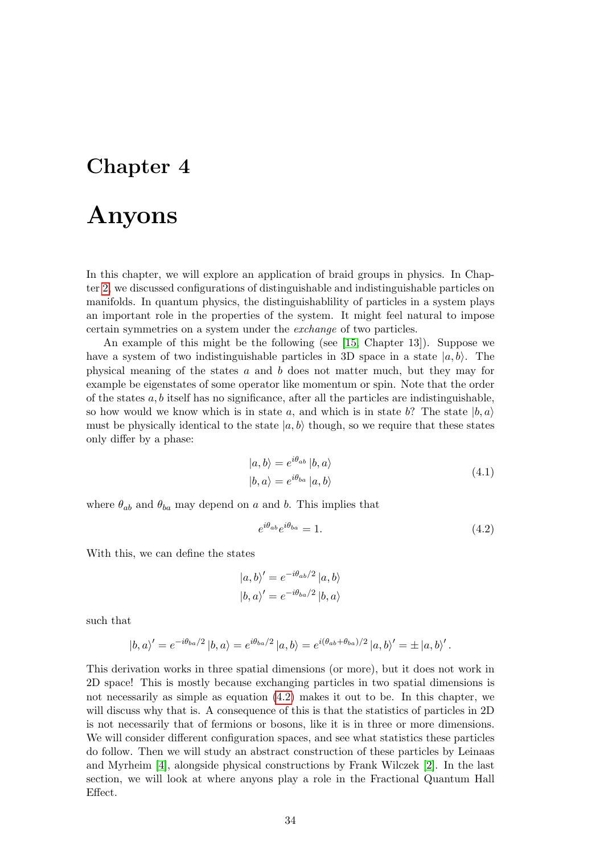## <span id="page-37-1"></span>Chapter 4

# Anyons

In this chapter, we will explore an application of braid groups in physics. In Chapter [2,](#page-10-0) we discussed configurations of distinguishable and indistinguishable particles on manifolds. In quantum physics, the distinguishablility of particles in a system plays an important role in the properties of the system. It might feel natural to impose certain symmetries on a system under the exchange of two particles.

An example of this might be the following (see [\[15,](#page-70-4) Chapter 13]). Suppose we have a system of two indistinguishable particles in 3D space in a state  $|a, b\rangle$ . The physical meaning of the states a and b does not matter much, but they may for example be eigenstates of some operator like momentum or spin. Note that the order of the states  $a, b$  itself has no significance, after all the particles are indistinguishable, so how would we know which is in state a, and which is in state b? The state  $|b, a\rangle$ must be physically identical to the state  $|a, b\rangle$  though, so we require that these states only differ by a phase:

$$
|a,b\rangle = e^{i\theta_{ab}} |b,a\rangle
$$
  

$$
|b,a\rangle = e^{i\theta_{ba}} |a,b\rangle
$$
 (4.1)

where  $\theta_{ab}$  and  $\theta_{ba}$  may depend on a and b. This implies that

<span id="page-37-0"></span>
$$
e^{i\theta_{ab}}e^{i\theta_{ba}} = 1.\tag{4.2}
$$

With this, we can define the states

$$
|a,b\rangle' = e^{-i\theta_{ab}/2} |a,b\rangle
$$
  

$$
|b,a\rangle' = e^{-i\theta_{ba}/2} |b,a\rangle
$$

such that

$$
|b,a\rangle' = e^{-i\theta_{ba}/2} |b,a\rangle = e^{i\theta_{ba}/2} |a,b\rangle = e^{i(\theta_{ab} + \theta_{ba})/2} |a,b\rangle' = \pm |a,b\rangle'.
$$

This derivation works in three spatial dimensions (or more), but it does not work in 2D space! This is mostly because exchanging particles in two spatial dimensions is not necessarily as simple as equation [\(4.2\)](#page-37-0) makes it out to be. In this chapter, we will discuss why that is. A consequence of this is that the statistics of particles in 2D is not necessarily that of fermions or bosons, like it is in three or more dimensions. We will consider different configuration spaces, and see what statistics these particles do follow. Then we will study an abstract construction of these particles by Leinaas and Myrheim [\[4\]](#page-70-5), alongside physical constructions by Frank Wilczek [\[2\]](#page-70-6). In the last section, we will look at where anyons play a role in the Fractional Quantum Hall Effect.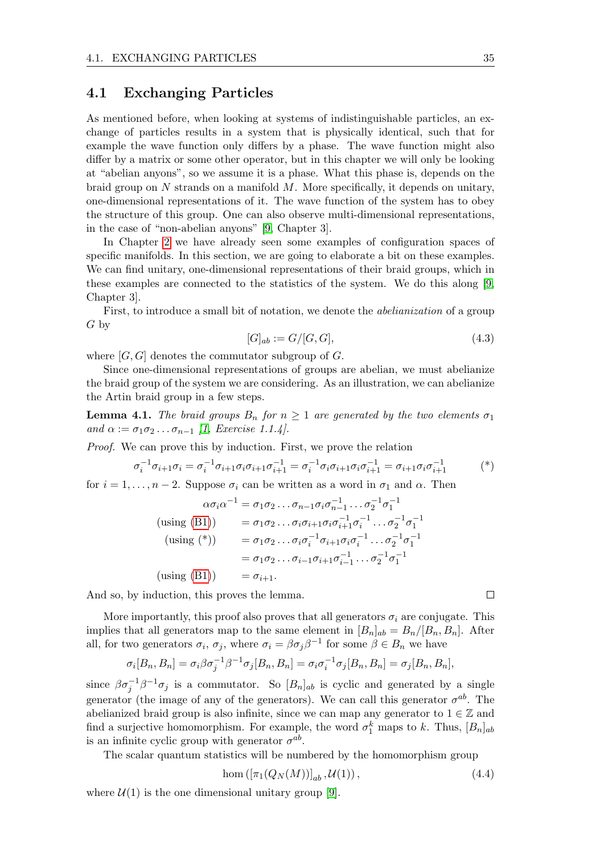### 4.1 Exchanging Particles

As mentioned before, when looking at systems of indistinguishable particles, an exchange of particles results in a system that is physically identical, such that for example the wave function only differs by a phase. The wave function might also differ by a matrix or some other operator, but in this chapter we will only be looking at "abelian anyons", so we assume it is a phase. What this phase is, depends on the braid group on  $N$  strands on a manifold  $M$ . More specifically, it depends on unitary, one-dimensional representations of it. The wave function of the system has to obey the structure of this group. One can also observe multi-dimensional representations, in the case of "non-abelian anyons" [\[9,](#page-70-7) Chapter 3].

In Chapter [2](#page-10-0) we have already seen some examples of configuration spaces of specific manifolds. In this section, we are going to elaborate a bit on these examples. We can find unitary, one-dimensional representations of their braid groups, which in these examples are connected to the statistics of the system. We do this along [\[9,](#page-70-7) Chapter 3].

First, to introduce a small bit of notation, we denote the abelianization of a group G by

$$
[G]_{ab} := G/[G, G], \tag{4.3}
$$

where  $[G, G]$  denotes the commutator subgroup of  $G$ .

Since one-dimensional representations of groups are abelian, we must abelianize the braid group of the system we are considering. As an illustration, we can abelianize the Artin braid group in a few steps.

<span id="page-38-0"></span>**Lemma 4.1.** The braid groups  $B_n$  for  $n \geq 1$  are generated by the two elements  $\sigma_1$ and  $\alpha := \sigma_1 \sigma_2 \ldots \sigma_{n-1}$  [\[1,](#page-70-3) Exercise 1.1.4].

Proof. We can prove this by induction. First, we prove the relation

$$
\sigma_i^{-1} \sigma_{i+1} \sigma_i = \sigma_i^{-1} \sigma_{i+1} \sigma_i \sigma_{i+1} \sigma_{i+1}^{-1} = \sigma_i^{-1} \sigma_i \sigma_{i+1} \sigma_i \sigma_{i+1}^{-1} = \sigma_{i+1} \sigma_i \sigma_{i+1}^{-1}
$$
 (\*)

for  $i = 1, \ldots, n-2$ . Suppose  $\sigma_i$  can be written as a word in  $\sigma_1$  and  $\alpha$ . Then

$$
\alpha \sigma_i \alpha^{-1} = \sigma_1 \sigma_2 \dots \sigma_{n-1} \sigma_i \sigma_{n-1}^{-1} \dots \sigma_2^{-1} \sigma_1^{-1}
$$
  
(using (B1)) 
$$
= \sigma_1 \sigma_2 \dots \sigma_i \sigma_{i+1} \sigma_i \sigma_{i+1}^{-1} \sigma_i^{-1} \dots \sigma_2^{-1} \sigma_1^{-1}
$$
  
(using (\*)) 
$$
= \sigma_1 \sigma_2 \dots \sigma_i \sigma_i^{-1} \sigma_{i+1} \sigma_i \sigma_i^{-1} \dots \sigma_2^{-1} \sigma_1^{-1}
$$

$$
= \sigma_1 \sigma_2 \dots \sigma_{i-1} \sigma_{i+1} \sigma_{i-1}^{-1} \dots \sigma_2^{-1} \sigma_1^{-1}
$$
  
(using (B1)) 
$$
= \sigma_{i+1}.
$$

And so, by induction, this proves the lemma.

More importantly, this proof also proves that all generators  $\sigma_i$  are conjugate. This implies that all generators map to the same element in  $[B_n]_{ab} = B_n/[B_n, B_n]$ . After all, for two generators  $\sigma_i$ ,  $\sigma_j$ , where  $\sigma_i = \beta \sigma_j \beta^{-1}$  for some  $\beta \in B_n$  we have

$$
\sigma_i[B_n, B_n] = \sigma_i \beta \sigma_j^{-1} \beta^{-1} \sigma_j[B_n, B_n] = \sigma_i \sigma_i^{-1} \sigma_j[B_n, B_n] = \sigma_j[B_n, B_n],
$$

since  $\beta \sigma_j^{-1} \beta^{-1} \sigma_j$  is a commutator. So  $[B_n]_{ab}$  is cyclic and generated by a single generator (the image of any of the generators). We can call this generator  $\sigma^{ab}$ . The abelianized braid group is also infinite, since we can map any generator to  $1 \in \mathbb{Z}$  and find a surjective homomorphism. For example, the word  $\sigma_1^k$  maps to k. Thus,  $[B_n]_{ab}$ is an infinite cyclic group with generator  $\sigma^{ab}$ .

The scalar quantum statistics will be numbered by the homomorphism group

$$
\text{hom}\left([\pi_1(Q_N(M))]_{ab}, \mathcal{U}(1)\right),\tag{4.4}
$$

where  $\mathcal{U}(1)$  is the one dimensional unitary group [\[9\]](#page-70-7).

 $\Box$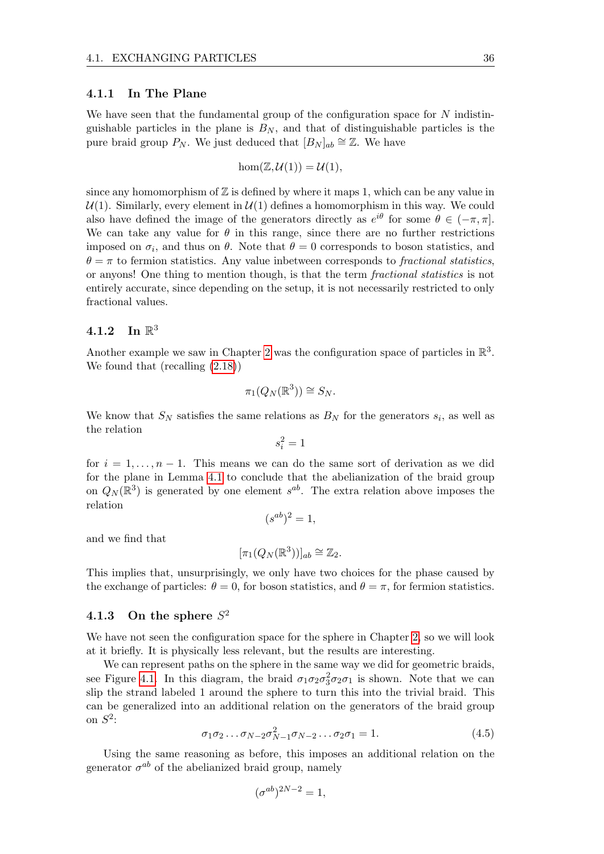#### <span id="page-39-0"></span>4.1.1 In The Plane

We have seen that the fundamental group of the configuration space for  $N$  indistinguishable particles in the plane is  $B_N$ , and that of distinguishable particles is the pure braid group  $P_N$ . We just deduced that  $[B_N]_{ab} \cong \mathbb{Z}$ . We have

$$
\hom(\mathbb{Z}, \mathcal{U}(1)) = \mathcal{U}(1),
$$

since any homomorphism of  $Z$  is defined by where it maps 1, which can be any value in  $U(1)$ . Similarly, every element in  $U(1)$  defines a homomorphism in this way. We could also have defined the image of the generators directly as  $e^{i\theta}$  for some  $\theta \in (-\pi, \pi]$ . We can take any value for  $\theta$  in this range, since there are no further restrictions imposed on  $\sigma_i$ , and thus on  $\theta$ . Note that  $\theta = 0$  corresponds to boson statistics, and  $\theta = \pi$  to fermion statistics. Any value inbetween corresponds to fractional statistics, or anyons! One thing to mention though, is that the term fractional statistics is not entirely accurate, since depending on the setup, it is not necessarily restricted to only fractional values.

## $4.1.2$  In  $\mathbb{R}^3$

Another example we saw in Chapter [2](#page-10-0) was the configuration space of particles in  $\mathbb{R}^3$ . We found that (recalling [\(2.18\)](#page-20-0))

$$
\pi_1(Q_N(\mathbb{R}^3)) \cong S_N.
$$

We know that  $S_N$  satisfies the same relations as  $B_N$  for the generators  $s_i$ , as well as the relation

$$
s_i^2=1
$$

for  $i = 1, \ldots, n - 1$ . This means we can do the same sort of derivation as we did for the plane in Lemma [4.1](#page-38-0) to conclude that the abelianization of the braid group on  $Q_N(\mathbb{R}^3)$  is generated by one element  $s^{ab}$ . The extra relation above imposes the relation

$$
(s^{ab})^2 = 1,
$$

and we find that

$$
[\pi_1(Q_N(\mathbb{R}^3))]_{ab} \cong \mathbb{Z}_2.
$$

This implies that, unsurprisingly, we only have two choices for the phase caused by the exchange of particles:  $\theta = 0$ , for boson statistics, and  $\theta = \pi$ , for fermion statistics.

### 4.1.3 On the sphere  $S^2$

We have not seen the configuration space for the sphere in Chapter [2,](#page-10-0) so we will look at it briefly. It is physically less relevant, but the results are interesting.

We can represent paths on the sphere in the same way we did for geometric braids, see Figure [4.1.](#page-40-0) In this diagram, the braid  $\sigma_1 \sigma_2 \sigma_3^2 \sigma_2 \sigma_1$  is shown. Note that we can slip the strand labeled 1 around the sphere to turn this into the trivial braid. This can be generalized into an additional relation on the generators of the braid group on  $S^2$ :

$$
\sigma_1 \sigma_2 \dots \sigma_{N-2} \sigma_{N-1}^2 \sigma_{N-2} \dots \sigma_2 \sigma_1 = 1. \tag{4.5}
$$

Using the same reasoning as before, this imposes an additional relation on the generator  $\sigma^{ab}$  of the abelianized braid group, namely

$$
(\sigma^{ab})^{2N-2} = 1,
$$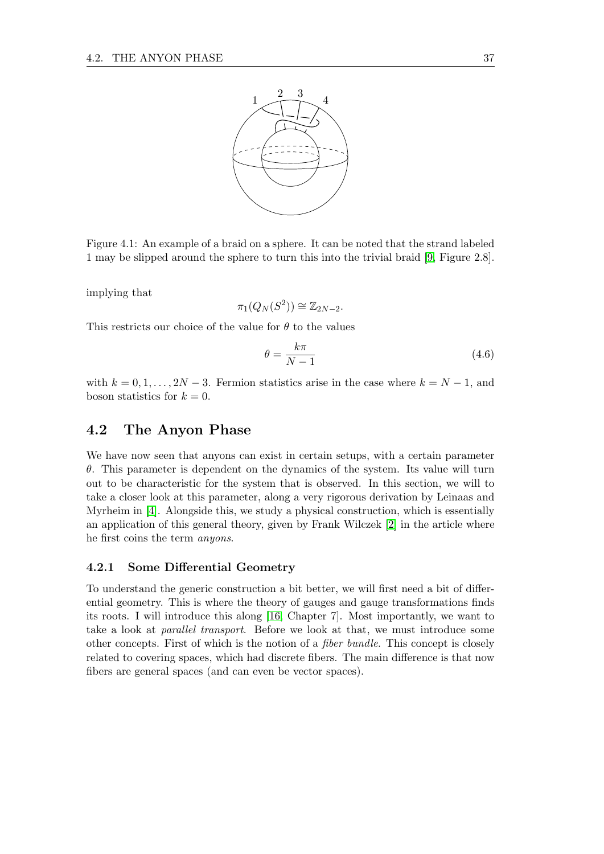<span id="page-40-0"></span>

Figure 4.1: An example of a braid on a sphere. It can be noted that the strand labeled 1 may be slipped around the sphere to turn this into the trivial braid [\[9,](#page-70-7) Figure 2.8].

implying that

$$
\pi_1(Q_N(S^2)) \cong \mathbb{Z}_{2N-2}.
$$

This restricts our choice of the value for  $\theta$  to the values

$$
\theta = \frac{k\pi}{N - 1} \tag{4.6}
$$

with  $k = 0, 1, \ldots, 2N - 3$ . Fermion statistics arise in the case where  $k = N - 1$ , and boson statistics for  $k = 0$ .

### 4.2 The Anyon Phase

We have now seen that anyons can exist in certain setups, with a certain parameter  $\theta$ . This parameter is dependent on the dynamics of the system. Its value will turn out to be characteristic for the system that is observed. In this section, we will to take a closer look at this parameter, along a very rigorous derivation by Leinaas and Myrheim in [\[4\]](#page-70-5). Alongside this, we study a physical construction, which is essentially an application of this general theory, given by Frank Wilczek [\[2\]](#page-70-6) in the article where he first coins the term anyons.

#### 4.2.1 Some Differential Geometry

To understand the generic construction a bit better, we will first need a bit of differential geometry. This is where the theory of gauges and gauge transformations finds its roots. I will introduce this along [\[16,](#page-70-8) Chapter 7]. Most importantly, we want to take a look at parallel transport. Before we look at that, we must introduce some other concepts. First of which is the notion of a fiber bundle. This concept is closely related to covering spaces, which had discrete fibers. The main difference is that now fibers are general spaces (and can even be vector spaces).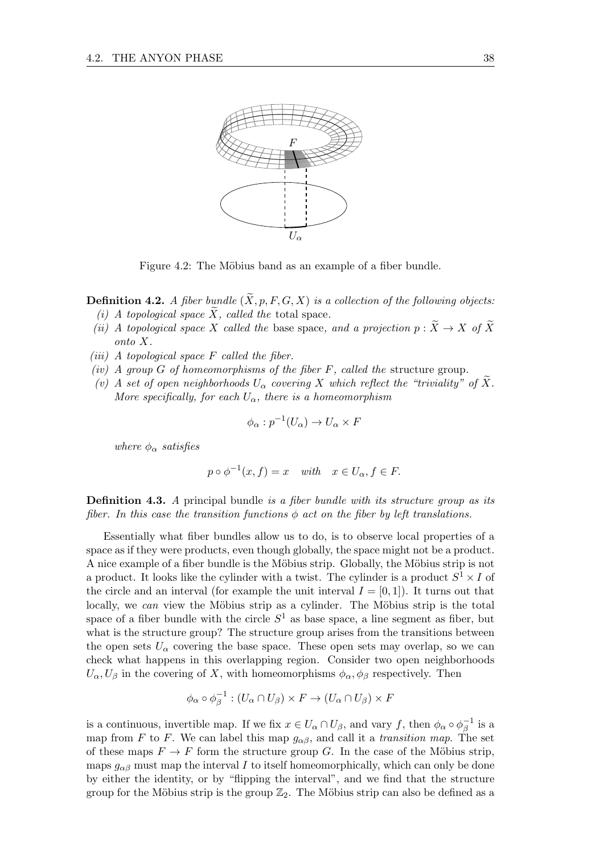

Figure 4.2: The Möbius band as an example of a fiber bundle.

**Definition 4.2.** A fiber bundle  $(\widetilde{X}, p, F, G, X)$  is a collection of the following objects: (i) A topological space  $\widetilde{X}$ , called the total space.

- (ii) A topological space X called the base space, and a projection  $p : \widetilde{X} \to X$  of  $\widetilde{X}$ onto X.
- (iii) A topological space  $F$  called the fiber.
- (iv) A group G of homeomorphisms of the fiber  $F$ , called the structure group.
- (v) A set of open neighborhoods  $U_{\alpha}$  covering X which reflect the "triviality" of X. More specifically, for each  $U_{\alpha}$ , there is a homeomorphism

$$
\phi_{\alpha}: p^{-1}(U_{\alpha}) \to U_{\alpha} \times F
$$

where  $\phi_{\alpha}$  satisfies

$$
p \circ \phi^{-1}(x, f) = x \quad \text{with} \quad x \in U_{\alpha}, f \in F.
$$

**Definition 4.3.** A principal bundle is a fiber bundle with its structure group as its fiber. In this case the transition functions  $\phi$  act on the fiber by left translations.

Essentially what fiber bundles allow us to do, is to observe local properties of a space as if they were products, even though globally, the space might not be a product. A nice example of a fiber bundle is the Möbius strip. Globally, the Möbius strip is not a product. It looks like the cylinder with a twist. The cylinder is a product  $S^1 \times I$  of the circle and an interval (for example the unit interval  $I = [0, 1]$ ). It turns out that locally, we can view the Möbius strip as a cylinder. The Möbius strip is the total space of a fiber bundle with the circle  $S<sup>1</sup>$  as base space, a line segment as fiber, but what is the structure group? The structure group arises from the transitions between the open sets  $U_{\alpha}$  covering the base space. These open sets may overlap, so we can check what happens in this overlapping region. Consider two open neighborhoods  $U_{\alpha}, U_{\beta}$  in the covering of X, with homeomorphisms  $\phi_{\alpha}, \phi_{\beta}$  respectively. Then

$$
\phi_{\alpha} \circ \phi_{\beta}^{-1} : (U_{\alpha} \cap U_{\beta}) \times F \to (U_{\alpha} \cap U_{\beta}) \times F
$$

is a continuous, invertible map. If we fix  $x \in U_\alpha \cap U_\beta$ , and vary f, then  $\phi_\alpha \circ \phi_\beta^{-1}$  $\bar{\beta}^1$  is a map from F to F. We can label this map  $g_{\alpha\beta}$ , and call it a transition map. The set of these maps  $F \to F$  form the structure group G. In the case of the Möbius strip, maps  $g_{\alpha\beta}$  must map the interval I to itself homeomorphically, which can only be done by either the identity, or by "flipping the interval", and we find that the structure group for the Möbius strip is the group  $\mathbb{Z}_2$ . The Möbius strip can also be defined as a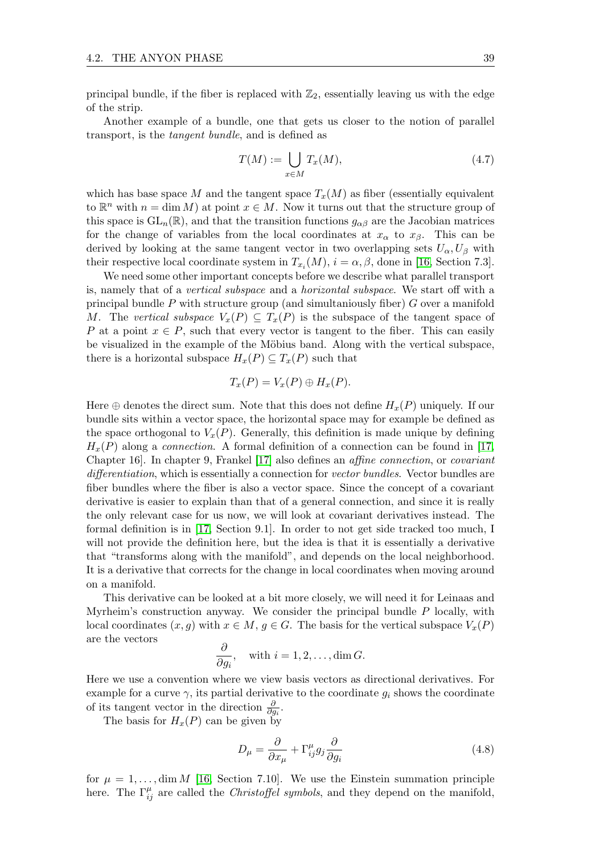principal bundle, if the fiber is replaced with  $\mathbb{Z}_2$ , essentially leaving us with the edge of the strip.

Another example of a bundle, one that gets us closer to the notion of parallel transport, is the tangent bundle, and is defined as

$$
T(M) := \bigcup_{x \in M} T_x(M),\tag{4.7}
$$

which has base space M and the tangent space  $T_x(M)$  as fiber (essentially equivalent to  $\mathbb{R}^n$  with  $n = \dim M$ ) at point  $x \in M$ . Now it turns out that the structure group of this space is  $GL_n(\mathbb{R})$ , and that the transition functions  $g_{\alpha\beta}$  are the Jacobian matrices for the change of variables from the local coordinates at  $x_{\alpha}$  to  $x_{\beta}$ . This can be derived by looking at the same tangent vector in two overlapping sets  $U_{\alpha}, U_{\beta}$  with their respective local coordinate system in  $T_{x_i}(M)$ ,  $i = \alpha, \beta$ , done in [\[16,](#page-70-8) Section 7.3].

We need some other important concepts before we describe what parallel transport is, namely that of a vertical subspace and a horizontal subspace. We start off with a principal bundle  $P$  with structure group (and simultaniously fiber)  $G$  over a manifold M. The vertical subspace  $V_x(P) \subseteq T_x(P)$  is the subspace of the tangent space of P at a point  $x \in P$ , such that every vector is tangent to the fiber. This can easily be visualized in the example of the Möbius band. Along with the vertical subspace, there is a horizontal subspace  $H_x(P) \subseteq T_x(P)$  such that

$$
T_x(P) = V_x(P) \oplus H_x(P).
$$

Here  $\oplus$  denotes the direct sum. Note that this does not define  $H_x(P)$  uniquely. If our bundle sits within a vector space, the horizontal space may for example be defined as the space orthogonal to  $V_x(P)$ . Generally, this definition is made unique by defining  $H<sub>x</sub>(P)$  along a *connection*. A formal definition of a connection can be found in [\[17,](#page-71-0) Chapter 16]. In chapter 9, Frankel [\[17\]](#page-71-0) also defines an affine connection, or covariant differentiation, which is essentially a connection for vector bundles. Vector bundles are fiber bundles where the fiber is also a vector space. Since the concept of a covariant derivative is easier to explain than that of a general connection, and since it is really the only relevant case for us now, we will look at covariant derivatives instead. The formal definition is in [\[17,](#page-71-0) Section 9.1]. In order to not get side tracked too much, I will not provide the definition here, but the idea is that it is essentially a derivative that "transforms along with the manifold", and depends on the local neighborhood. It is a derivative that corrects for the change in local coordinates when moving around on a manifold.

This derivative can be looked at a bit more closely, we will need it for Leinaas and Myrheim's construction anyway. We consider the principal bundle  $P$  locally, with local coordinates  $(x, g)$  with  $x \in M$ ,  $g \in G$ . The basis for the vertical subspace  $V_x(P)$ are the vectors

$$
\frac{\partial}{\partial g_i}, \quad \text{with } i = 1, 2, \dots, \dim G.
$$

Here we use a convention where we view basis vectors as directional derivatives. For example for a curve  $\gamma$ , its partial derivative to the coordinate  $q_i$  shows the coordinate of its tangent vector in the direction  $\frac{\partial}{\partial g_i}$ .

The basis for  $H_x(P)$  can be given by

$$
D_{\mu} = \frac{\partial}{\partial x_{\mu}} + \Gamma_{ij}^{\mu} g_j \frac{\partial}{\partial g_i}
$$
\n(4.8)

for  $\mu = 1, \ldots, \dim M$  [\[16,](#page-70-8) Section 7.10]. We use the Einstein summation principle here. The  $\Gamma_{ij}^{\mu}$  are called the *Christoffel symbols*, and they depend on the manifold,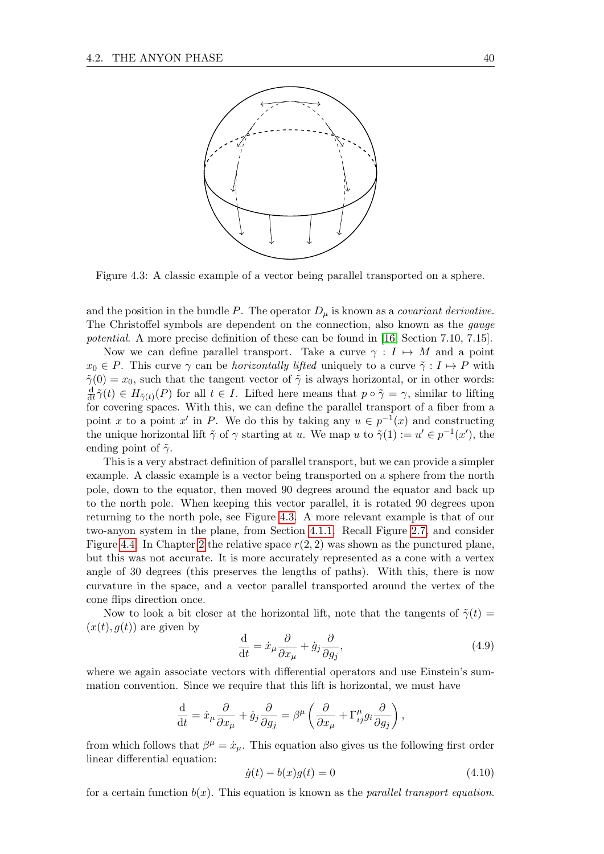<span id="page-43-0"></span>

Figure 4.3: A classic example of a vector being parallel transported on a sphere.

and the position in the bundle P. The operator  $D_{\mu}$  is known as a *covariant derivative*. The Christoffel symbols are dependent on the connection, also known as the gauge potential. A more precise definition of these can be found in [\[16,](#page-70-8) Section 7.10, 7.15].

Now we can define parallel transport. Take a curve  $\gamma : I \mapsto M$  and a point  $x_0 \in P$ . This curve  $\gamma$  can be *horizontally lifted* uniquely to a curve  $\tilde{\gamma}: I \mapsto P$  with  $\tilde{\gamma}(0) = x_0$ , such that the tangent vector of  $\tilde{\gamma}$  is always horizontal, or in other words: d  $\frac{d}{dt}\tilde{\gamma}(t) \in H_{\tilde{\gamma}(t)}(P)$  for all  $t \in I$ . Lifted here means that  $p \circ \tilde{\gamma} = \gamma$ , similar to lifting for covering spaces. With this, we can define the parallel transport of a fiber from a point x to a point x' in P. We do this by taking any  $u \in p^{-1}(x)$  and constructing the unique horizontal lift  $\tilde{\gamma}$  of  $\gamma$  starting at u. We map u to  $\tilde{\gamma}(1) := u' \in p^{-1}(x')$ , the ending point of  $\tilde{\gamma}$ .

This is a very abstract definition of parallel transport, but we can provide a simpler example. A classic example is a vector being transported on a sphere from the north pole, down to the equator, then moved 90 degrees around the equator and back up to the north pole. When keeping this vector parallel, it is rotated 90 degrees upon returning to the north pole, see Figure [4.3.](#page-43-0) A more relevant example is that of our two-anyon system in the plane, from Section [4.1.1.](#page-39-0) Recall Figure [2.7,](#page-19-0) and consider Figure [4.4.](#page-44-0) In Chapter [2](#page-10-0) the relative space  $r(2, 2)$  was shown as the punctured plane, but this was not accurate. It is more accurately represented as a cone with a vertex angle of 30 degrees (this preserves the lengths of paths). With this, there is now curvature in the space, and a vector parallel transported around the vertex of the cone flips direction once.

Now to look a bit closer at the horizontal lift, note that the tangents of  $\tilde{\gamma}(t)$  =  $(x(t), g(t))$  are given by

$$
\frac{\mathrm{d}}{\mathrm{d}t} = \dot{x}_{\mu} \frac{\partial}{\partial x_{\mu}} + \dot{g}_{j} \frac{\partial}{\partial g_{j}},\tag{4.9}
$$

where we again associate vectors with differential operators and use Einstein's summation convention. Since we require that this lift is horizontal, we must have

$$
\frac{\mathrm{d}}{\mathrm{d}t} = \dot{x}_{\mu} \frac{\partial}{\partial x_{\mu}} + \dot{g}_{j} \frac{\partial}{\partial g_{j}} = \beta^{\mu} \left( \frac{\partial}{\partial x_{\mu}} + \Gamma^{\mu}_{ij} g_{i} \frac{\partial}{\partial g_{j}} \right),
$$

from which follows that  $\beta^{\mu} = \dot{x}_{\mu}$ . This equation also gives us the following first order linear differential equation:

<span id="page-43-1"></span>
$$
\dot{g}(t) - b(x)g(t) = 0 \tag{4.10}
$$

for a certain function  $b(x)$ . This equation is known as the *parallel transport equation*.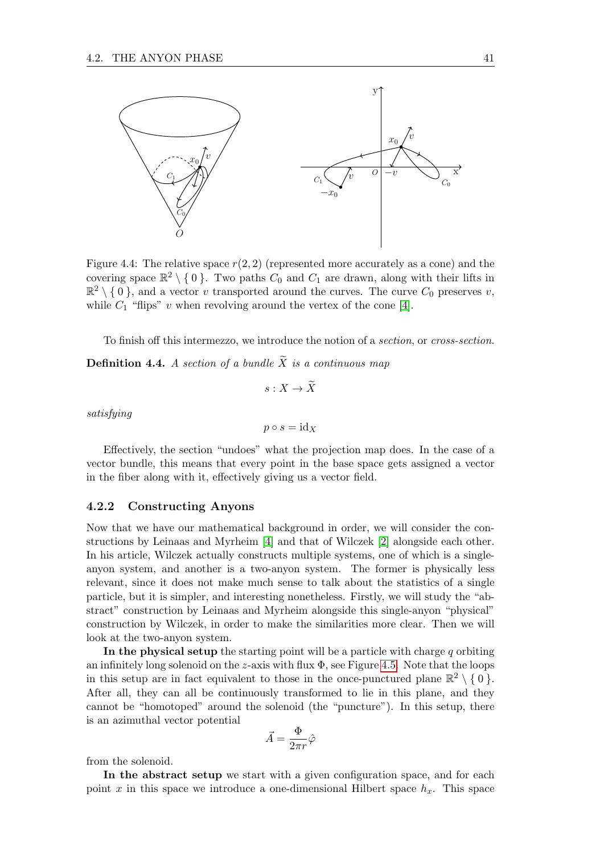<span id="page-44-0"></span>

Figure 4.4: The relative space  $r(2, 2)$  (represented more accurately as a cone) and the covering space  $\mathbb{R}^2 \setminus \{0\}$ . Two paths  $C_0$  and  $C_1$  are drawn, along with their lifts in  $\mathbb{R}^2 \setminus \{0\}$ , and a vector v transported around the curves. The curve  $C_0$  preserves v, while  $C_1$  "flips" v when revolving around the vertex of the cone [\[4\]](#page-70-5).

To finish off this intermezzo, we introduce the notion of a section, or cross-section.

**Definition 4.4.** A section of a bundle  $\widetilde{X}$  is a continuous map

$$
s:X\to \widetilde{X}
$$

 $p \circ s = \mathrm{id}_X$ 

satisfying

Effectively, the section "undoes" what the projection map does. In the case of a vector bundle, this means that every point in the base space gets assigned a vector in the fiber along with it, effectively giving us a vector field.

#### 4.2.2 Constructing Anyons

Now that we have our mathematical background in order, we will consider the constructions by Leinaas and Myrheim [\[4\]](#page-70-5) and that of Wilczek [\[2\]](#page-70-6) alongside each other. In his article, Wilczek actually constructs multiple systems, one of which is a singleanyon system, and another is a two-anyon system. The former is physically less relevant, since it does not make much sense to talk about the statistics of a single particle, but it is simpler, and interesting nonetheless. Firstly, we will study the "abstract" construction by Leinaas and Myrheim alongside this single-anyon "physical" construction by Wilczek, in order to make the similarities more clear. Then we will look at the two-anyon system.

In the physical setup the starting point will be a particle with charge  $q$  orbiting an infinitely long solenoid on the *z*-axis with flux  $\Phi$ , see Figure [4.5.](#page-45-0) Note that the loops in this setup are in fact equivalent to those in the once-punctured plane  $\mathbb{R}^2 \setminus \{0\}$ . After all, they can all be continuously transformed to lie in this plane, and they cannot be "homotoped" around the solenoid (the "puncture"). In this setup, there is an azimuthal vector potential

$$
\vec{A}=\frac{\Phi}{2\pi r}\hat{\varphi}
$$

from the solenoid.

In the abstract setup we start with a given configuration space, and for each point x in this space we introduce a one-dimensional Hilbert space  $h_x$ . This space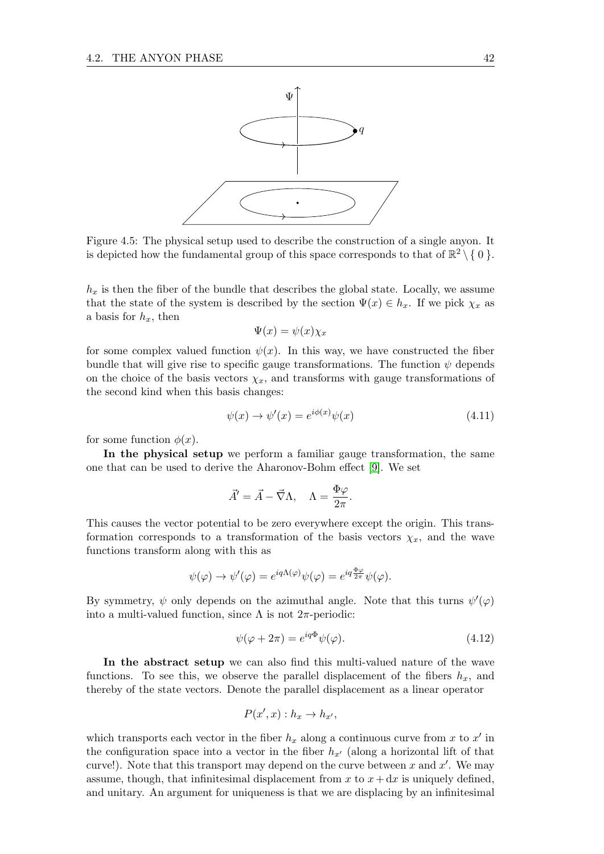<span id="page-45-0"></span>

Figure 4.5: The physical setup used to describe the construction of a single anyon. It is depicted how the fundamental group of this space corresponds to that of  $\mathbb{R}^2 \setminus \{0\}$ .

 $h_x$  is then the fiber of the bundle that describes the global state. Locally, we assume that the state of the system is described by the section  $\Psi(x) \in h_x$ . If we pick  $\chi_x$  as a basis for  $h_x$ , then

$$
\Psi(x) = \psi(x)\chi_x
$$

for some complex valued function  $\psi(x)$ . In this way, we have constructed the fiber bundle that will give rise to specific gauge transformations. The function  $\psi$  depends on the choice of the basis vectors  $\chi_x$ , and transforms with gauge transformations of the second kind when this basis changes:

$$
\psi(x) \to \psi'(x) = e^{i\phi(x)}\psi(x) \tag{4.11}
$$

for some function  $\phi(x)$ .

In the physical setup we perform a familiar gauge transformation, the same one that can be used to derive the Aharonov-Bohm effect [\[9\]](#page-70-7). We set

$$
\vec{A}' = \vec{A} - \vec{\nabla}\Lambda, \quad \Lambda = \frac{\Phi\varphi}{2\pi}.
$$

This causes the vector potential to be zero everywhere except the origin. This transformation corresponds to a transformation of the basis vectors  $\chi_x$ , and the wave functions transform along with this as

$$
\psi(\varphi) \to \psi'(\varphi) = e^{iq\Lambda(\varphi)}\psi(\varphi) = e^{iq\frac{\Phi\varphi}{2\pi}}\psi(\varphi).
$$

By symmetry,  $\psi$  only depends on the azimuthal angle. Note that this turns  $\psi'(\varphi)$ into a multi-valued function, since  $\Lambda$  is not  $2\pi$ -periodic:

<span id="page-45-1"></span>
$$
\psi(\varphi + 2\pi) = e^{iq\Phi}\psi(\varphi). \tag{4.12}
$$

In the abstract setup we can also find this multi-valued nature of the wave functions. To see this, we observe the parallel displacement of the fibers  $h_x$ , and thereby of the state vectors. Denote the parallel displacement as a linear operator

$$
P(x',x): h_x \to h_{x'},
$$

which transports each vector in the fiber  $h_x$  along a continuous curve from x to x' in the configuration space into a vector in the fiber  $h_{x'}$  (along a horizontal lift of that curve!). Note that this transport may depend on the curve between x and  $x'$ . We may assume, though, that infinitesimal displacement from x to  $x + dx$  is uniquely defined, and unitary. An argument for uniqueness is that we are displacing by an infinitesimal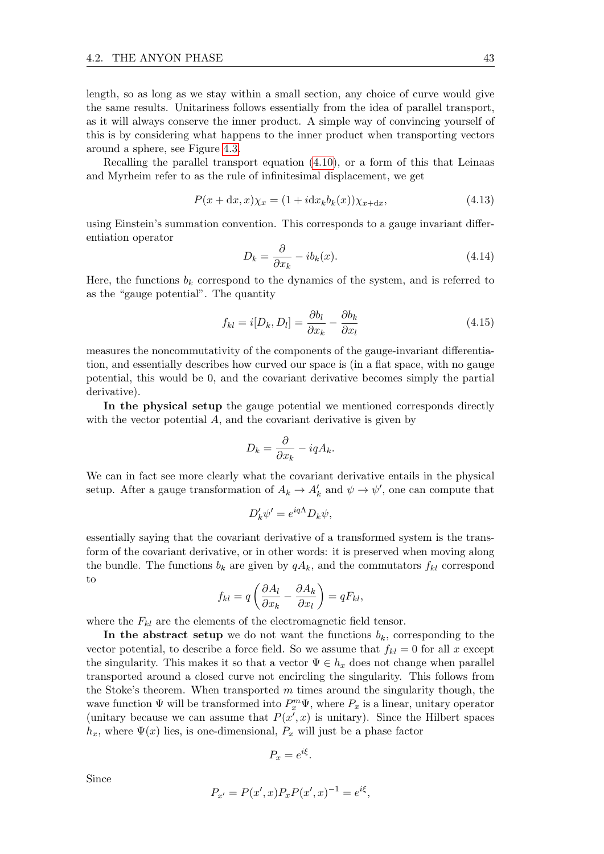length, so as long as we stay within a small section, any choice of curve would give the same results. Unitariness follows essentially from the idea of parallel transport, as it will always conserve the inner product. A simple way of convincing yourself of this is by considering what happens to the inner product when transporting vectors around a sphere, see Figure [4.3.](#page-43-0)

Recalling the parallel transport equation [\(4.10\)](#page-43-1), or a form of this that Leinaas and Myrheim refer to as the rule of infinitesimal displacement, we get

$$
P(x + dx, x)\chi_x = (1 + i dx_k b_k(x))\chi_{x+dx},\tag{4.13}
$$

using Einstein's summation convention. This corresponds to a gauge invariant differentiation operator

$$
D_k = \frac{\partial}{\partial x_k} - ib_k(x). \tag{4.14}
$$

Here, the functions  $b_k$  correspond to the dynamics of the system, and is referred to as the "gauge potential". The quantity

$$
f_{kl} = i[D_k, D_l] = \frac{\partial b_l}{\partial x_k} - \frac{\partial b_k}{\partial x_l}
$$
\n(4.15)

measures the noncommutativity of the components of the gauge-invariant differentiation, and essentially describes how curved our space is (in a flat space, with no gauge potential, this would be 0, and the covariant derivative becomes simply the partial derivative).

In the physical setup the gauge potential we mentioned corresponds directly with the vector potential  $A$ , and the covariant derivative is given by

$$
D_k = \frac{\partial}{\partial x_k} - iqA_k.
$$

We can in fact see more clearly what the covariant derivative entails in the physical setup. After a gauge transformation of  $A_k \to A'_k$  and  $\psi \to \psi'$ , one can compute that

$$
D'_k \psi' = e^{iq\Lambda} D_k \psi,
$$

essentially saying that the covariant derivative of a transformed system is the transform of the covariant derivative, or in other words: it is preserved when moving along the bundle. The functions  $b_k$  are given by  $qA_k$ , and the commutators  $f_{kl}$  correspond to

$$
f_{kl} = q \left( \frac{\partial A_l}{\partial x_k} - \frac{\partial A_k}{\partial x_l} \right) = qF_{kl},
$$

where the  $F_{kl}$  are the elements of the electromagnetic field tensor.

In the abstract setup we do not want the functions  $b_k$ , corresponding to the vector potential, to describe a force field. So we assume that  $f_{kl} = 0$  for all x except the singularity. This makes it so that a vector  $\Psi \in h_x$  does not change when parallel transported around a closed curve not encircling the singularity. This follows from the Stoke's theorem. When transported  $m$  times around the singularity though, the wave function  $\Psi$  will be transformed into  $P_x^m \Psi$ , where  $P_x$  is a linear, unitary operator (unitary because we can assume that  $P(x',x)$  is unitary). Since the Hilbert spaces  $h_x$ , where  $\Psi(x)$  lies, is one-dimensional,  $P_x$  will just be a phase factor

$$
P_x = e^{i\xi}.
$$

Since

$$
P_{x'} = P(x', x) P_x P(x', x)^{-1} = e^{i\xi},
$$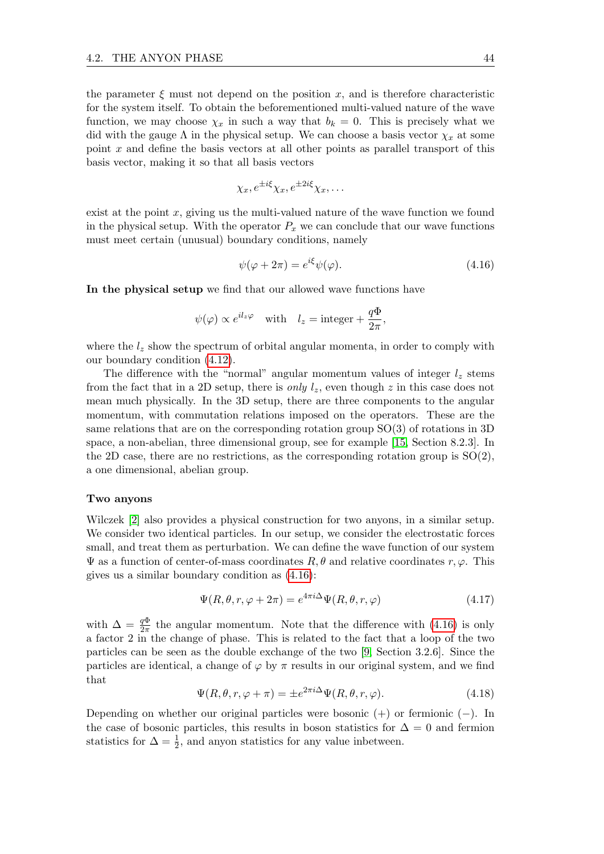the parameter  $\xi$  must not depend on the position x, and is therefore characteristic for the system itself. To obtain the beforementioned multi-valued nature of the wave function, we may choose  $\chi_x$  in such a way that  $b_k = 0$ . This is precisely what we did with the gauge  $\Lambda$  in the physical setup. We can choose a basis vector  $\chi_x$  at some point  $x$  and define the basis vectors at all other points as parallel transport of this basis vector, making it so that all basis vectors

$$
\chi_x, e^{\pm i\xi} \chi_x, e^{\pm 2i\xi} \chi_x, \dots
$$

exist at the point  $x$ , giving us the multi-valued nature of the wave function we found in the physical setup. With the operator  $P_x$  we can conclude that our wave functions must meet certain (unusual) boundary conditions, namely

<span id="page-47-0"></span>
$$
\psi(\varphi + 2\pi) = e^{i\xi} \psi(\varphi). \tag{4.16}
$$

In the physical setup we find that our allowed wave functions have

$$
\psi(\varphi) \propto e^{il_z \varphi}
$$
 with  $l_z = \text{integer} + \frac{q\Phi}{2\pi}$ ,

where the  $l_z$  show the spectrum of orbital angular momenta, in order to comply with our boundary condition [\(4.12\)](#page-45-1).

The difference with the "normal" angular momentum values of integer  $l_z$  stems from the fact that in a 2D setup, there is *only*  $l_z$ , even though z in this case does not mean much physically. In the 3D setup, there are three components to the angular momentum, with commutation relations imposed on the operators. These are the same relations that are on the corresponding rotation group SO(3) of rotations in 3D space, a non-abelian, three dimensional group, see for example [\[15,](#page-70-4) Section 8.2.3]. In the 2D case, there are no restrictions, as the corresponding rotation group is  $SO(2)$ , a one dimensional, abelian group.

#### Two anyons

Wilczek [\[2\]](#page-70-6) also provides a physical construction for two anyons, in a similar setup. We consider two identical particles. In our setup, we consider the electrostatic forces small, and treat them as perturbation. We can define the wave function of our system  $\Psi$  as a function of center-of-mass coordinates  $R, \theta$  and relative coordinates  $r, \varphi$ . This gives us a similar boundary condition as [\(4.16\)](#page-47-0):

$$
\Psi(R,\theta,r,\varphi+2\pi) = e^{4\pi i \Delta} \Psi(R,\theta,r,\varphi) \tag{4.17}
$$

with  $\Delta = \frac{q\Phi}{2\pi}$  the angular momentum. Note that the difference with [\(4.16\)](#page-47-0) is only a factor 2 in the change of phase. This is related to the fact that a loop of the two particles can be seen as the double exchange of the two [\[9,](#page-70-7) Section 3.2.6]. Since the particles are identical, a change of  $\varphi$  by  $\pi$  results in our original system, and we find that

$$
\Psi(R,\theta,r,\varphi+\pi) = \pm e^{2\pi i \Delta} \Psi(R,\theta,r,\varphi). \tag{4.18}
$$

Depending on whether our original particles were bosonic  $(+)$  or fermionic  $(-)$ . In the case of bosonic particles, this results in boson statistics for  $\Delta = 0$  and fermion statistics for  $\Delta = \frac{1}{2}$ , and anyon statistics for any value inbetween.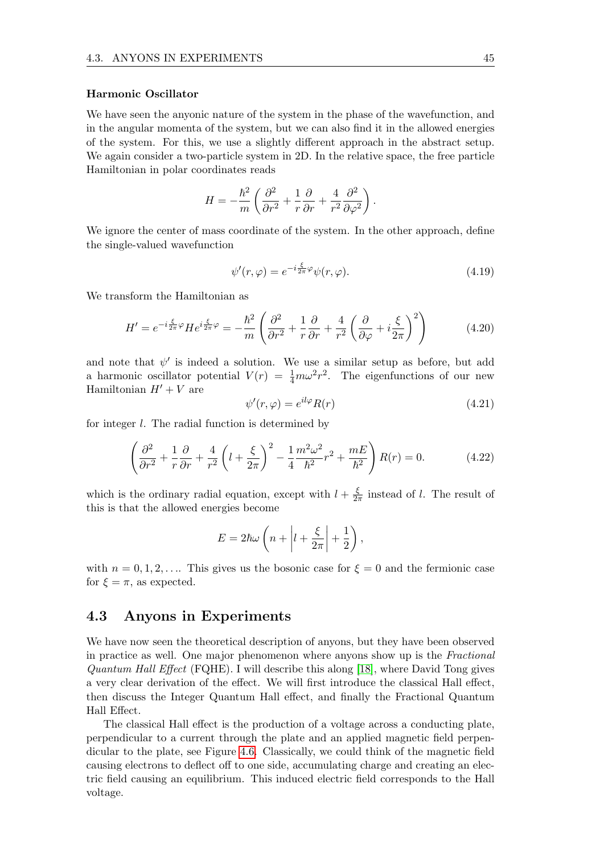#### Harmonic Oscillator

We have seen the anyonic nature of the system in the phase of the wavefunction, and in the angular momenta of the system, but we can also find it in the allowed energies of the system. For this, we use a slightly different approach in the abstract setup. We again consider a two-particle system in 2D. In the relative space, the free particle Hamiltonian in polar coordinates reads

$$
H = -\frac{\hbar^2}{m} \left( \frac{\partial^2}{\partial r^2} + \frac{1}{r} \frac{\partial}{\partial r} + \frac{4}{r^2} \frac{\partial^2}{\partial \varphi^2} \right).
$$

We ignore the center of mass coordinate of the system. In the other approach, define the single-valued wavefunction

$$
\psi'(r,\varphi) = e^{-i\frac{\xi}{2\pi}\varphi}\psi(r,\varphi). \tag{4.19}
$$

We transform the Hamiltonian as

$$
H' = e^{-i\frac{\xi}{2\pi}\varphi}He^{i\frac{\xi}{2\pi}\varphi} = -\frac{\hbar^2}{m}\left(\frac{\partial^2}{\partial r^2} + \frac{1}{r}\frac{\partial}{\partial r} + \frac{4}{r^2}\left(\frac{\partial}{\partial \varphi} + i\frac{\xi}{2\pi}\right)^2\right) \tag{4.20}
$$

and note that  $\psi'$  is indeed a solution. We use a similar setup as before, but add a harmonic oscillator potential  $V(r) = \frac{1}{4}m\omega^2 r^2$ . The eigenfunctions of our new Hamiltonian  $H' + V$  are

$$
\psi'(r,\varphi) = e^{il\varphi} R(r) \tag{4.21}
$$

for integer l. The radial function is determined by

$$
\left(\frac{\partial^2}{\partial r^2} + \frac{1}{r}\frac{\partial}{\partial r} + \frac{4}{r^2}\left(l + \frac{\xi}{2\pi}\right)^2 - \frac{1}{4}\frac{m^2\omega^2}{\hbar^2}r^2 + \frac{mE}{\hbar^2}\right)R(r) = 0.
$$
 (4.22)

which is the ordinary radial equation, except with  $l + \frac{\xi}{2}$  $\frac{\xi}{2\pi}$  instead of l. The result of this is that the allowed energies become

$$
E = 2\hbar\omega\left(n + \left|l + \frac{\xi}{2\pi}\right| + \frac{1}{2}\right),\,
$$

with  $n = 0, 1, 2, \ldots$  This gives us the bosonic case for  $\xi = 0$  and the fermionic case for  $\xi = \pi$ , as expected.

### 4.3 Anyons in Experiments

We have now seen the theoretical description of anyons, but they have been observed in practice as well. One major phenomenon where anyons show up is the Fractional Quantum Hall Effect (FQHE). I will describe this along [\[18\]](#page-71-1), where David Tong gives a very clear derivation of the effect. We will first introduce the classical Hall effect, then discuss the Integer Quantum Hall effect, and finally the Fractional Quantum Hall Effect.

The classical Hall effect is the production of a voltage across a conducting plate, perpendicular to a current through the plate and an applied magnetic field perpendicular to the plate, see Figure [4.6.](#page-49-0) Classically, we could think of the magnetic field causing electrons to deflect off to one side, accumulating charge and creating an electric field causing an equilibrium. This induced electric field corresponds to the Hall voltage.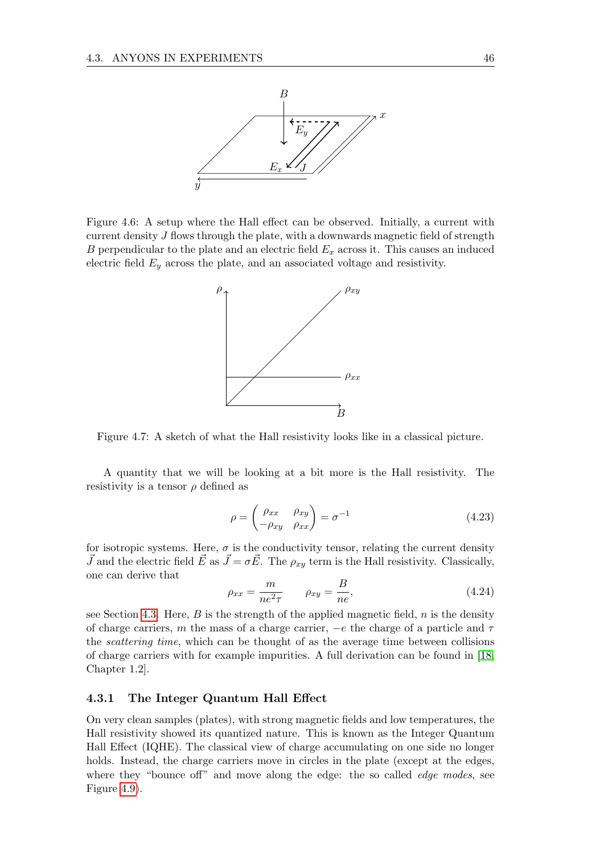<span id="page-49-0"></span>

<span id="page-49-1"></span>Figure 4.6: A setup where the Hall effect can be observed. Initially, a current with current density J flows through the plate, with a downwards magnetic field of strength B perpendicular to the plate and an electric field  $E_x$  across it. This causes an induced electric field  $E_y$  across the plate, and an associated voltage and resistivity.



Figure 4.7: A sketch of what the Hall resistivity looks like in a classical picture.

A quantity that we will be looking at a bit more is the Hall resistivity. The resistivity is a tensor  $\rho$  defined as

$$
\rho = \begin{pmatrix} \rho_{xx} & \rho_{xy} \\ -\rho_{xy} & \rho_{xx} \end{pmatrix} = \sigma^{-1}
$$
\n(4.23)

for isotropic systems. Here,  $\sigma$  is the conductivity tensor, relating the current density  $\vec{J}$  and the electric field  $\vec{E}$  as  $\vec{J} = \sigma \vec{E}$ . The  $\rho_{xy}$  term is the Hall resistivity. Classically, one can derive that

$$
\rho_{xx} = \frac{m}{ne^2 \tau} \qquad \rho_{xy} = \frac{B}{ne},\tag{4.24}
$$

see Section [4.3.](#page-49-1) Here,  $B$  is the strength of the applied magnetic field,  $n$  is the density of charge carriers, m the mass of a charge carrier,  $-e$  the charge of a particle and  $\tau$ the scattering time, which can be thought of as the average time between collisions of charge carriers with for example impurities. A full derivation can be found in [\[18,](#page-71-1) Chapter 1.2].

#### 4.3.1 The Integer Quantum Hall Effect

On very clean samples (plates), with strong magnetic fields and low temperatures, the Hall resistivity showed its quantized nature. This is known as the Integer Quantum Hall Effect (IQHE). The classical view of charge accumulating on one side no longer holds. Instead, the charge carriers move in circles in the plate (except at the edges, where they "bounce off" and move along the edge: the so called *edge modes*, see Figure [4.9\)](#page-50-0).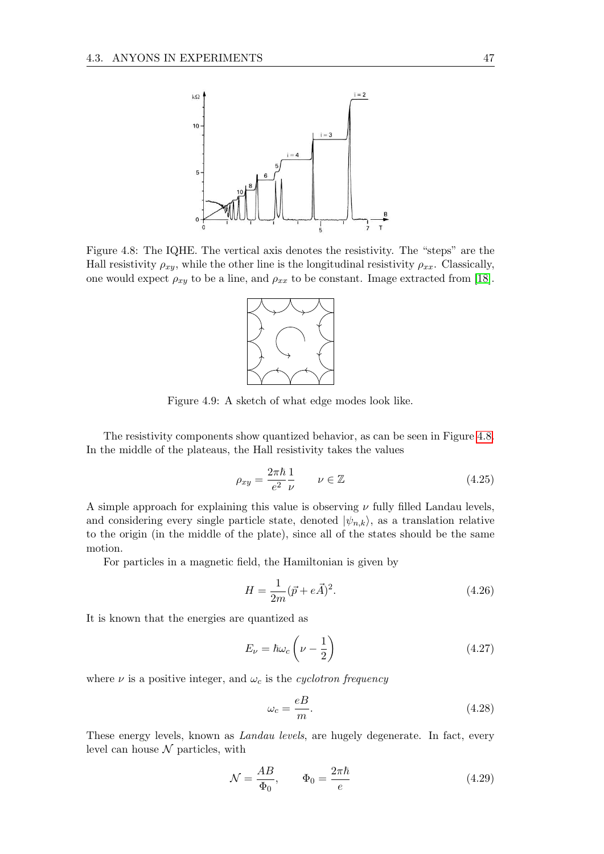<span id="page-50-1"></span>

<span id="page-50-0"></span>Figure 4.8: The IQHE. The vertical axis denotes the resistivity. The "steps" are the Hall resistivity  $\rho_{xy}$ , while the other line is the longitudinal resistivity  $\rho_{xx}$ . Classically, one would expect  $\rho_{xy}$  to be a line, and  $\rho_{xx}$  to be constant. Image extracted from [\[18\]](#page-71-1).



Figure 4.9: A sketch of what edge modes look like.

The resistivity components show quantized behavior, as can be seen in Figure [4.8.](#page-50-1) In the middle of the plateaus, the Hall resistivity takes the values

$$
\rho_{xy} = \frac{2\pi\hbar}{e^2} \frac{1}{\nu} \qquad \nu \in \mathbb{Z} \tag{4.25}
$$

A simple approach for explaining this value is observing  $\nu$  fully filled Landau levels, and considering every single particle state, denoted  $|\psi_{n,k}\rangle$ , as a translation relative to the origin (in the middle of the plate), since all of the states should be the same motion.

For particles in a magnetic field, the Hamiltonian is given by

$$
H = \frac{1}{2m}(\vec{p} + e\vec{A})^2.
$$
 (4.26)

It is known that the energies are quantized as

$$
E_{\nu} = \hbar \omega_c \left( \nu - \frac{1}{2} \right) \tag{4.27}
$$

where  $\nu$  is a positive integer, and  $\omega_c$  is the *cyclotron frequency* 

$$
\omega_c = \frac{eB}{m}.\tag{4.28}
$$

These energy levels, known as Landau levels, are hugely degenerate. In fact, every level can house  $\mathcal N$  particles, with

<span id="page-50-2"></span>
$$
\mathcal{N} = \frac{AB}{\Phi_0}, \qquad \Phi_0 = \frac{2\pi\hbar}{e} \tag{4.29}
$$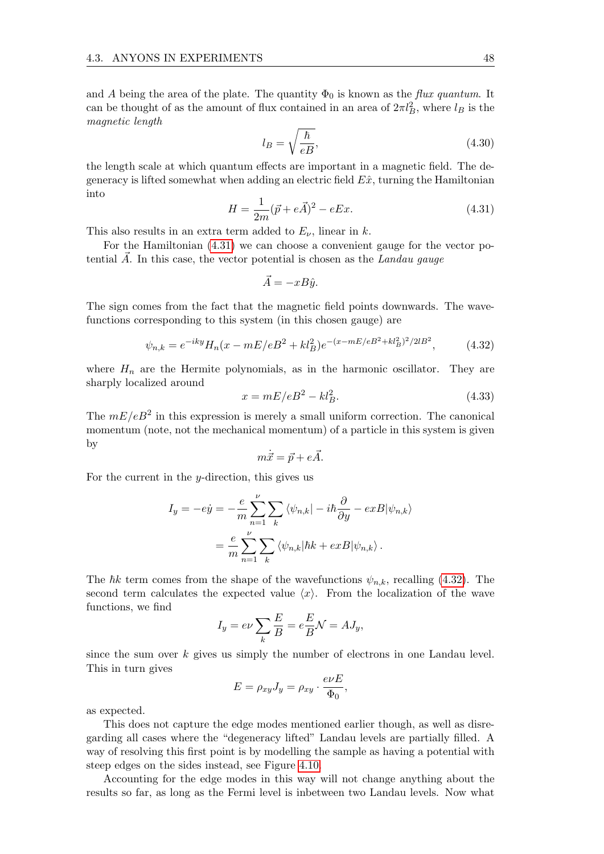and A being the area of the plate. The quantity  $\Phi_0$  is known as the flux quantum. It can be thought of as the amount of flux contained in an area of  $2\pi l_B^2$ , where  $l_B$  is the magnetic length

$$
l_B = \sqrt{\frac{\hbar}{eB}},\tag{4.30}
$$

the length scale at which quantum effects are important in a magnetic field. The degeneracy is lifted somewhat when adding an electric field  $E\hat{x}$ , turning the Hamiltonian into

<span id="page-51-0"></span>
$$
H = \frac{1}{2m}(\vec{p} + e\vec{A})^2 - eEx.
$$
 (4.31)

This also results in an extra term added to  $E_{\nu}$ , linear in k.

For the Hamiltonian [\(4.31\)](#page-51-0) we can choose a convenient gauge for the vector potential  $A$ . In this case, the vector potential is chosen as the Landau gauge

$$
\vec{A} = -xB\hat{y}.
$$

The sign comes from the fact that the magnetic field points downwards. The wavefunctions corresponding to this system (in this chosen gauge) are

<span id="page-51-1"></span>
$$
\psi_{n,k} = e^{-iky} H_n(x - mE/eB^2 + kl_B^2) e^{-(x - mE/eB^2 + kl_B^2)^2/2lB^2}, \tag{4.32}
$$

where  $H_n$  are the Hermite polynomials, as in the harmonic oscillator. They are sharply localized around

$$
x = mE/eB^2 - kl_B^2.
$$
 (4.33)

The  $mE/eB^2$  in this expression is merely a small uniform correction. The canonical momentum (note, not the mechanical momentum) of a particle in this system is given by

$$
m\dot{\vec{x}} = \vec{p} + e\vec{A}.
$$

For the current in the  $y$ -direction, this gives us

$$
I_y = -e\dot{y} = -\frac{e}{m} \sum_{n=1}^{\nu} \sum_k \langle \psi_{n,k} | - i\hbar \frac{\partial}{\partial y} - exB | \psi_{n,k} \rangle
$$
  
= 
$$
\frac{e}{m} \sum_{n=1}^{\nu} \sum_k \langle \psi_{n,k} | \hbar k + exB | \psi_{n,k} \rangle.
$$

The  $\hbar k$  term comes from the shape of the wavefunctions  $\psi_{n,k}$ , recalling [\(4.32\)](#page-51-1). The second term calculates the expected value  $\langle x \rangle$ . From the localization of the wave functions, we find

$$
I_y = e\nu \sum_k \frac{E}{B} = e\frac{E}{B}\mathcal{N} = AJ_y,
$$

since the sum over  $k$  gives us simply the number of electrons in one Landau level. This in turn gives

$$
E = \rho_{xy} J_y = \rho_{xy} \cdot \frac{e\nu E}{\Phi_0},
$$

as expected.

This does not capture the edge modes mentioned earlier though, as well as disregarding all cases where the "degeneracy lifted" Landau levels are partially filled. A way of resolving this first point is by modelling the sample as having a potential with steep edges on the sides instead, see Figure [4.10.](#page-52-0)

Accounting for the edge modes in this way will not change anything about the results so far, as long as the Fermi level is inbetween two Landau levels. Now what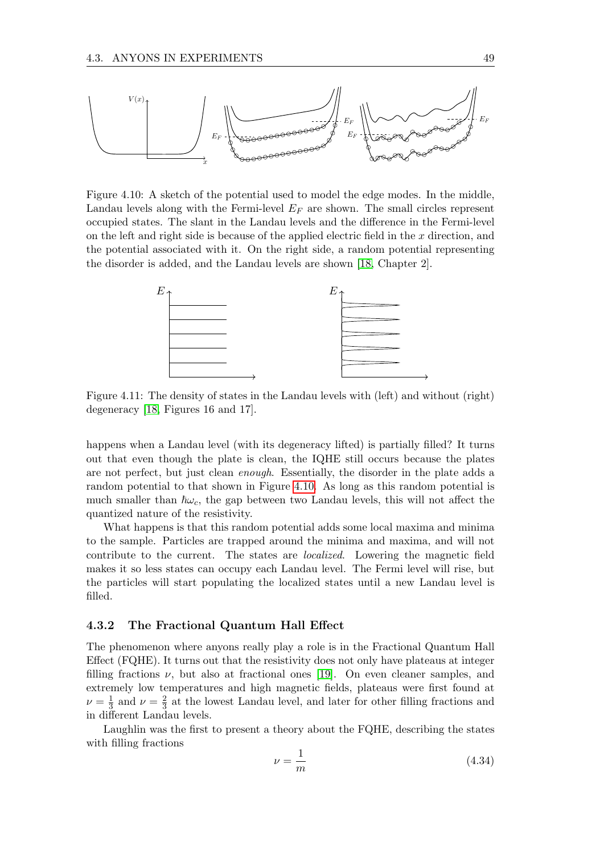<span id="page-52-0"></span>

Figure 4.10: A sketch of the potential used to model the edge modes. In the middle, Landau levels along with the Fermi-level  $E_F$  are shown. The small circles represent occupied states. The slant in the Landau levels and the difference in the Fermi-level on the left and right side is because of the applied electric field in the  $x$  direction, and the potential associated with it. On the right side, a random potential representing the disorder is added, and the Landau levels are shown [\[18,](#page-71-1) Chapter 2].



Figure 4.11: The density of states in the Landau levels with (left) and without (right) degeneracy [\[18,](#page-71-1) Figures 16 and 17].

happens when a Landau level (with its degeneracy lifted) is partially filled? It turns out that even though the plate is clean, the IQHE still occurs because the plates are not perfect, but just clean enough. Essentially, the disorder in the plate adds a random potential to that shown in Figure [4.10.](#page-52-0) As long as this random potential is much smaller than  $\hbar \omega_c$ , the gap between two Landau levels, this will not affect the quantized nature of the resistivity.

What happens is that this random potential adds some local maxima and minima to the sample. Particles are trapped around the minima and maxima, and will not contribute to the current. The states are localized. Lowering the magnetic field makes it so less states can occupy each Landau level. The Fermi level will rise, but the particles will start populating the localized states until a new Landau level is filled.

#### 4.3.2 The Fractional Quantum Hall Effect

The phenomenon where anyons really play a role is in the Fractional Quantum Hall Effect (FQHE). It turns out that the resistivity does not only have plateaus at integer filling fractions  $\nu$ , but also at fractional ones [\[19\]](#page-71-2). On even cleaner samples, and extremely low temperatures and high magnetic fields, plateaus were first found at  $\nu = \frac{1}{3}$  $\frac{1}{3}$  and  $\nu = \frac{2}{3}$  $\frac{2}{3}$  at the lowest Landau level, and later for other filling fractions and in different Landau levels.

Laughlin was the first to present a theory about the FQHE, describing the states with filling fractions

$$
\nu = \frac{1}{m} \tag{4.34}
$$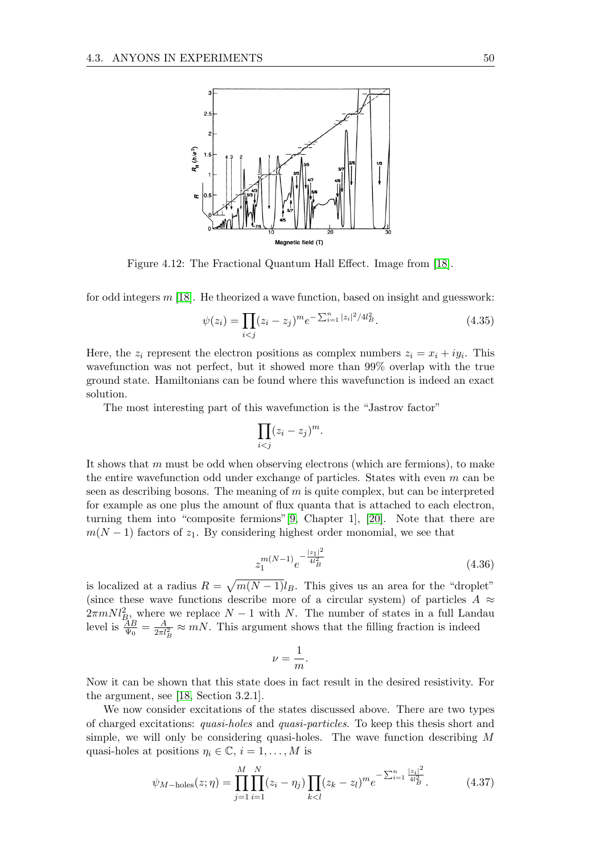

Figure 4.12: The Fractional Quantum Hall Effect. Image from [\[18\]](#page-71-1).

for odd integers m [\[18\]](#page-71-1). He theorized a wave function, based on insight and guesswork:

$$
\psi(z_i) = \prod_{i < j} (z_i - z_j)^m e^{-\sum_{i=1}^n |z_i|^2 / 4l_B^2}.\tag{4.35}
$$

Here, the  $z_i$  represent the electron positions as complex numbers  $z_i = x_i + iy_i$ . This wavefunction was not perfect, but it showed more than 99% overlap with the true ground state. Hamiltonians can be found where this wavefunction is indeed an exact solution.

The most interesting part of this wavefunction is the "Jastrov factor"

$$
\prod_{i
$$

It shows that m must be odd when observing electrons (which are fermions), to make the entire wavefunction odd under exchange of particles. States with even m can be seen as describing bosons. The meaning of  $m$  is quite complex, but can be interpreted for example as one plus the amount of flux quanta that is attached to each electron, turning them into "composite fermions"[\[9,](#page-70-7) Chapter 1], [\[20\]](#page-71-3). Note that there are  $m(N-1)$  factors of  $z_1$ . By considering highest order monomial, we see that

$$
z_1^{m(N-1)}e^{-\frac{|z_1|^2}{4l_B^2}}\tag{4.36}
$$

is localized at a radius  $R = \sqrt{m(N-1)}l_B$ . This gives us an area for the "droplet" (since these wave functions describe more of a circular system) of particles  $A \approx$  $2\pi mNl_B^2$ , where we replace  $N-1$  with N. The number of states in a full Landau level is  $\frac{AB}{\Psi_0} = \frac{A}{2\pi l_B^2} \approx mN$ . This argument shows that the filling fraction is indeed

$$
\nu = \frac{1}{m}.
$$

Now it can be shown that this state does in fact result in the desired resistivity. For the argument, see [\[18,](#page-71-1) Section 3.2.1].

We now consider excitations of the states discussed above. There are two types of charged excitations: quasi-holes and quasi-particles. To keep this thesis short and simple, we will only be considering quasi-holes. The wave function describing M quasi-holes at positions  $\eta_i \in \mathbb{C}, i = 1, \ldots, M$  is

<span id="page-53-0"></span>
$$
\psi_{M-\text{holes}}(z;\eta) = \prod_{j=1}^{M} \prod_{i=1}^{N} (z_i - \eta_j) \prod_{k < l} (z_k - z_l)^m e^{-\sum_{i=1}^{n} \frac{|z_i|^2}{4l_B^2}}.
$$
\n(4.37)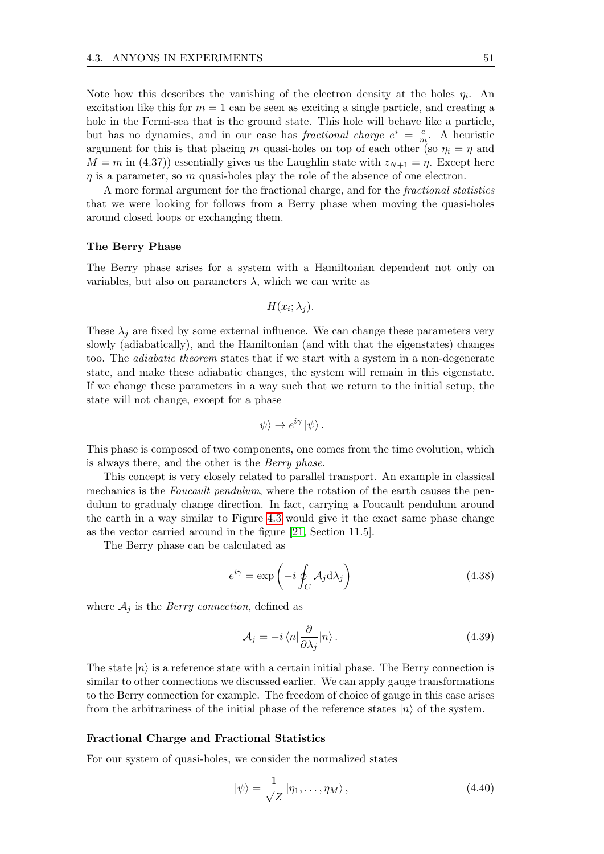Note how this describes the vanishing of the electron density at the holes  $\eta_i$ . An excitation like this for  $m = 1$  can be seen as exciting a single particle, and creating a hole in the Fermi-sea that is the ground state. This hole will behave like a particle, but has no dynamics, and in our case has fractional charge  $e^* = \frac{e}{r}$  $\frac{e}{m}$ . A heuristic argument for this is that placing m quasi-holes on top of each other (so  $\eta_i = \eta$  and  $M = m$  in (4.37)) essentially gives us the Laughlin state with  $z_{N+1} = \eta$ . Except here  $\eta$  is a parameter, so  $m$  quasi-holes play the role of the absence of one electron.

A more formal argument for the fractional charge, and for the fractional statistics that we were looking for follows from a Berry phase when moving the quasi-holes around closed loops or exchanging them.

#### The Berry Phase

The Berry phase arises for a system with a Hamiltonian dependent not only on variables, but also on parameters  $\lambda$ , which we can write as

$$
H(x_i; \lambda_j).
$$

These  $\lambda_i$  are fixed by some external influence. We can change these parameters very slowly (adiabatically), and the Hamiltonian (and with that the eigenstates) changes too. The *adiabatic theorem* states that if we start with a system in a non-degenerate state, and make these adiabatic changes, the system will remain in this eigenstate. If we change these parameters in a way such that we return to the initial setup, the state will not change, except for a phase

$$
|\psi\rangle \to e^{i\gamma} |\psi\rangle.
$$

This phase is composed of two components, one comes from the time evolution, which is always there, and the other is the Berry phase.

This concept is very closely related to parallel transport. An example in classical mechanics is the *Foucault pendulum*, where the rotation of the earth causes the pendulum to gradualy change direction. In fact, carrying a Foucault pendulum around the earth in a way similar to Figure [4.3](#page-43-0) would give it the exact same phase change as the vector carried around in the figure [\[21,](#page-71-4) Section 11.5].

The Berry phase can be calculated as

<span id="page-54-0"></span>
$$
e^{i\gamma} = \exp\left(-i \oint_C \mathcal{A}_j \mathrm{d}\lambda_j\right) \tag{4.38}
$$

where  $A_i$  is the *Berry connection*, defined as

$$
\mathcal{A}_j = -i \langle n | \frac{\partial}{\partial \lambda_j} | n \rangle. \tag{4.39}
$$

The state  $|n\rangle$  is a reference state with a certain initial phase. The Berry connection is similar to other connections we discussed earlier. We can apply gauge transformations to the Berry connection for example. The freedom of choice of gauge in this case arises from the arbitrariness of the initial phase of the reference states  $|n\rangle$  of the system.

#### Fractional Charge and Fractional Statistics

For our system of quasi-holes, we consider the normalized states

$$
|\psi\rangle = \frac{1}{\sqrt{Z}} |\eta_1, \dots, \eta_M\rangle, \qquad (4.40)
$$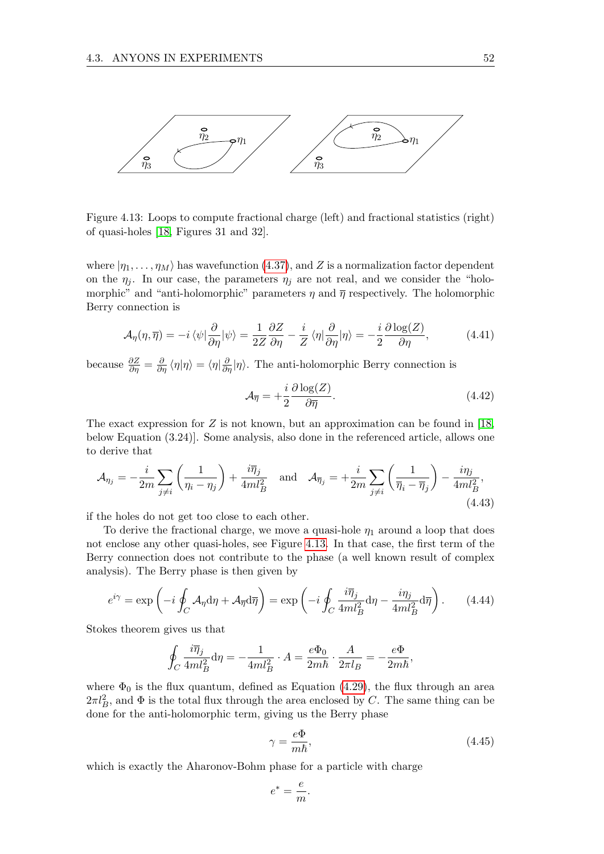<span id="page-55-0"></span>

Figure 4.13: Loops to compute fractional charge (left) and fractional statistics (right) of quasi-holes [\[18,](#page-71-1) Figures 31 and 32].

where  $|\eta_1, \ldots, \eta_M\rangle$  has wavefunction [\(4.37\)](#page-53-0), and Z is a normalization factor dependent on the  $\eta_j$ . In our case, the parameters  $\eta_j$  are not real, and we consider the "holomorphic" and "anti-holomorphic" parameters  $\eta$  and  $\overline{\eta}$  respectively. The holomorphic Berry connection is

$$
\mathcal{A}_{\eta}(\eta,\overline{\eta}) = -i \langle \psi | \frac{\partial}{\partial \eta} | \psi \rangle = \frac{1}{2Z} \frac{\partial Z}{\partial \eta} - \frac{i}{Z} \langle \eta | \frac{\partial}{\partial \eta} | \eta \rangle = -\frac{i}{2} \frac{\partial \log(Z)}{\partial \eta},\tag{4.41}
$$

because  $\frac{\partial Z}{\partial \eta} = \frac{\partial}{\partial \eta} \langle \eta | \eta \rangle = \langle \eta | \frac{\partial}{\partial \eta} | \eta \rangle$ . The anti-holomorphic Berry connection is

$$
\mathcal{A}_{\overline{\eta}} = +\frac{i}{2} \frac{\partial \log(Z)}{\partial \overline{\eta}}.
$$
\n(4.42)

The exact expression for Z is not known, but an approximation can be found in [\[18,](#page-71-1) below Equation (3.24)]. Some analysis, also done in the referenced article, allows one to derive that

$$
\mathcal{A}_{\eta_j} = -\frac{i}{2m} \sum_{j \neq i} \left( \frac{1}{\eta_i - \eta_j} \right) + \frac{i \overline{\eta}_j}{4m l_B^2} \quad \text{and} \quad \mathcal{A}_{\overline{\eta}_j} = +\frac{i}{2m} \sum_{j \neq i} \left( \frac{1}{\overline{\eta}_i - \overline{\eta}_j} \right) - \frac{i \eta_j}{4m l_B^2},\tag{4.43}
$$

if the holes do not get too close to each other.

To derive the fractional charge, we move a quasi-hole  $\eta_1$  around a loop that does not enclose any other quasi-holes, see Figure [4.13.](#page-55-0) In that case, the first term of the Berry connection does not contribute to the phase (a well known result of complex analysis). The Berry phase is then given by

<span id="page-55-1"></span>
$$
e^{i\gamma} = \exp\left(-i\oint_C \mathcal{A}_{\eta} d\eta + \mathcal{A}_{\overline{\eta}} d\overline{\eta}\right) = \exp\left(-i\oint_C \frac{i\overline{\eta}_j}{4ml_B^2} d\eta - \frac{i\eta_j}{4ml_B^2} d\overline{\eta}\right). \tag{4.44}
$$

Stokes theorem gives us that

$$
\oint_C \frac{i\overline{\eta}_j}{4ml_B^2} \mathrm{d}\eta = -\frac{1}{4ml_B^2} \cdot A = \frac{e\Phi_0}{2m\hbar} \cdot \frac{A}{2\pi l_B} = -\frac{e\Phi}{2m\hbar},
$$

where  $\Phi_0$  is the flux quantum, defined as Equation [\(4.29\)](#page-50-2), the flux through an area  $2\pi l_B^2$ , and  $\Phi$  is the total flux through the area enclosed by C. The same thing can be done for the anti-holomorphic term, giving us the Berry phase

$$
\gamma = \frac{e\Phi}{m\hbar},\tag{4.45}
$$

which is exactly the Aharonov-Bohm phase for a particle with charge

$$
e^* = \frac{e}{m}.
$$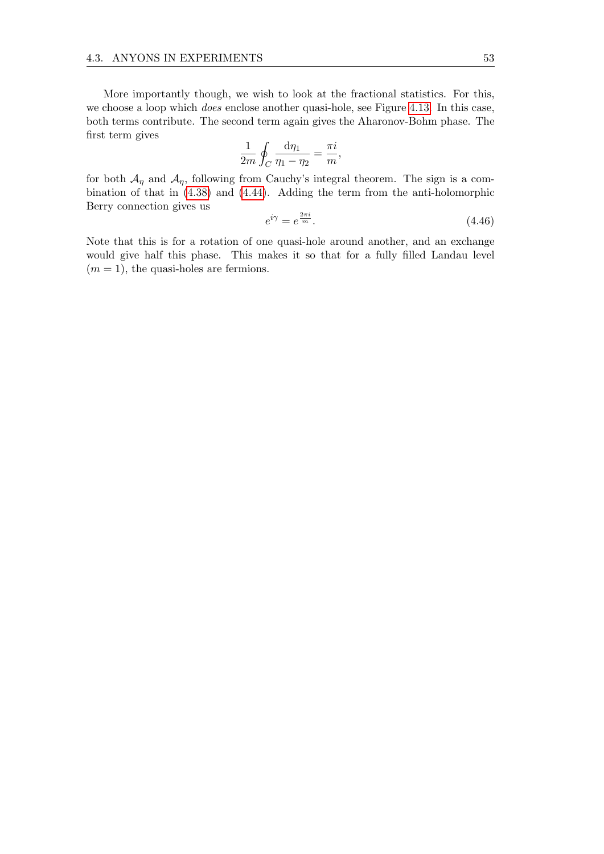More importantly though, we wish to look at the fractional statistics. For this, we choose a loop which *does* enclose another quasi-hole, see Figure [4.13.](#page-55-0) In this case, both terms contribute. The second term again gives the Aharonov-Bohm phase. The first term gives

$$
\frac{1}{2m} \oint_C \frac{\mathrm{d}\eta_1}{\eta_1 - \eta_2} = \frac{\pi i}{m},
$$

for both  $\mathcal{A}_{\eta}$  and  $\mathcal{A}_{\eta}$ , following from Cauchy's integral theorem. The sign is a combination of that in [\(4.38\)](#page-54-0) and [\(4.44\)](#page-55-1). Adding the term from the anti-holomorphic Berry connection gives us

$$
e^{i\gamma} = e^{\frac{2\pi i}{m}}.\tag{4.46}
$$

Note that this is for a rotation of one quasi-hole around another, and an exchange would give half this phase. This makes it so that for a fully filled Landau level  $(m = 1)$ , the quasi-holes are fermions.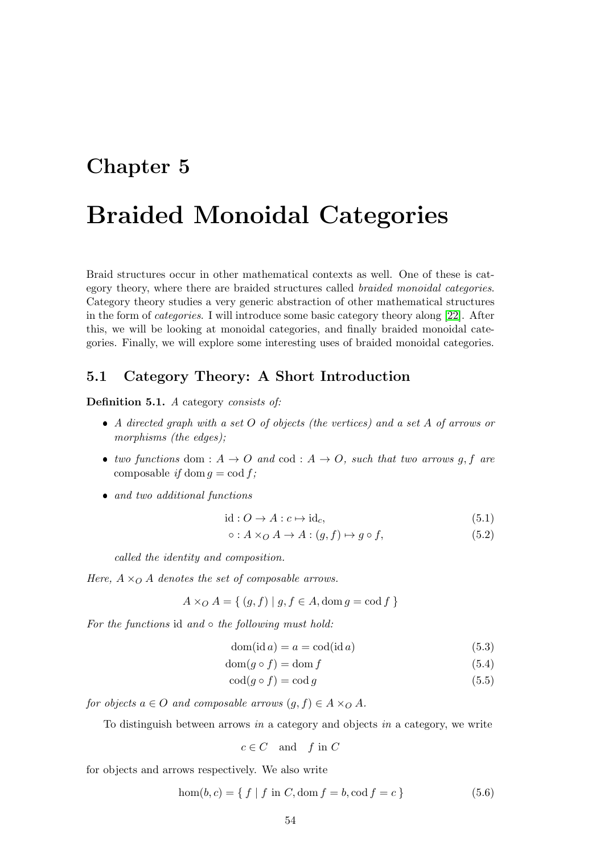## Chapter 5

# Braided Monoidal Categories

Braid structures occur in other mathematical contexts as well. One of these is category theory, where there are braided structures called braided monoidal categories. Category theory studies a very generic abstraction of other mathematical structures in the form of categories. I will introduce some basic category theory along [\[22\]](#page-71-5). After this, we will be looking at monoidal categories, and finally braided monoidal categories. Finally, we will explore some interesting uses of braided monoidal categories.

## 5.1 Category Theory: A Short Introduction

Definition 5.1. A category consists of:

- A directed graph with a set O of objects (the vertices) and a set A of arrows or morphisms (the edges);
- two functions dom :  $A \rightarrow O$  and cod :  $A \rightarrow O$ , such that two arrows g, f are composable if dom  $q = \text{cod } f$ ;
- and two additional functions

$$
id: O \to A: c \mapsto id_c,
$$
\n
$$
(5.1)
$$

$$
\circ: A \times_{O} A \to A : (g, f) \mapsto g \circ f,\tag{5.2}
$$

called the identity and composition.

Here,  $A \times_{\Omega} A$  denotes the set of composable arrows.

 $A \times_{O} A = \{ (g, f) | g, f \in A, \text{dom } g = \text{cod } f \}$ 

For the functions id and  $\circ$  the following must hold:

$$
dom(id a) = a = cod(id a)
$$
\n(5.3)

$$
\text{dom}(g \circ f) = \text{dom } f \tag{5.4}
$$

$$
\operatorname{cod}(g \circ f) = \operatorname{cod} g \tag{5.5}
$$

for objects  $a \in O$  and composable arrows  $(g, f) \in A \times_{O} A$ .

To distinguish between arrows in a category and objects in a category, we write

$$
c \in C \quad \text{and} \quad f \text{ in } C
$$

for objects and arrows respectively. We also write

$$
hom(b, c) = \{ f | f in C, dom f = b, cod f = c \}
$$
\n(5.6)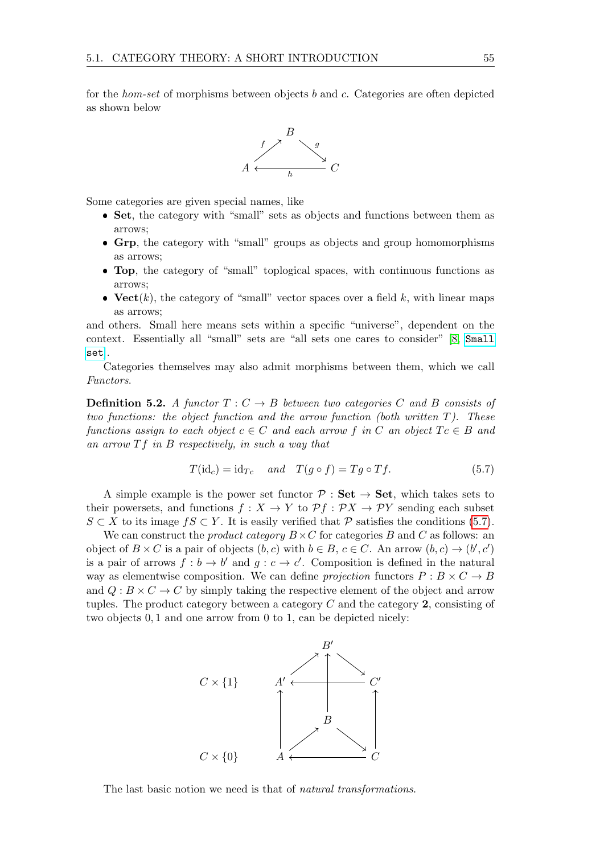for the hom-set of morphisms between objects b and c. Categories are often depicted as shown below



Some categories are given special names, like

- Set, the category with "small" sets as objects and functions between them as arrows;
- Grp, the category with "small" groups as objects and group homomorphisms as arrows;
- Top, the category of "small" toplogical spaces, with continuous functions as arrows;
- Vect $(k)$ , the category of "small" vector spaces over a field k, with linear maps as arrows;

and others. Small here means sets within a specific "universe", dependent on the context. Essentially all "small" sets are "all sets one cares to consider" [\[8,](#page-70-9) [Small](https://en.wikipedia.org/wiki/Small_set_(category_theory)) [set](https://en.wikipedia.org/wiki/Small_set_(category_theory))].

Categories themselves may also admit morphisms between them, which we call Functors.

**Definition 5.2.** A functor  $T: C \rightarrow B$  between two categories C and B consists of two functions: the object function and the arrow function (both written  $T$ ). These functions assign to each object  $c \in C$  and each arrow f in C an object  $Tc \in B$  and an arrow  $Tf$  in B respectively, in such a way that

<span id="page-58-0"></span>
$$
T(\mathrm{id}_c) = \mathrm{id}_{Tc} \quad and \quad T(g \circ f) = Tg \circ Tf. \tag{5.7}
$$

A simple example is the power set functor  $\mathcal{P}:$  Set  $\rightarrow$  Set, which takes sets to their powersets, and functions  $f: X \to Y$  to  $\mathcal{P} f: \mathcal{P} X \to \mathcal{P} Y$  sending each subset  $S \subset X$  to its image  $fS \subset Y$ . It is easily verified that  $P$  satisfies the conditions [\(5.7\)](#page-58-0).

We can construct the *product category*  $B \times C$  for categories B and C as follows: an object of  $B \times C$  is a pair of objects  $(b, c)$  with  $b \in B$ ,  $c \in C$ . An arrow  $(b, c) \rightarrow (b', c')$ is a pair of arrows  $f : b \to b'$  and  $g : c \to c'$ . Composition is defined in the natural way as elementwise composition. We can define projection functors  $P : B \times C \rightarrow B$ and  $Q: B \times C \to C$  by simply taking the respective element of the object and arrow tuples. The product category between a category  $C$  and the category  $2$ , consisting of two objects 0, 1 and one arrow from 0 to 1, can be depicted nicely:



The last basic notion we need is that of *natural transformations*.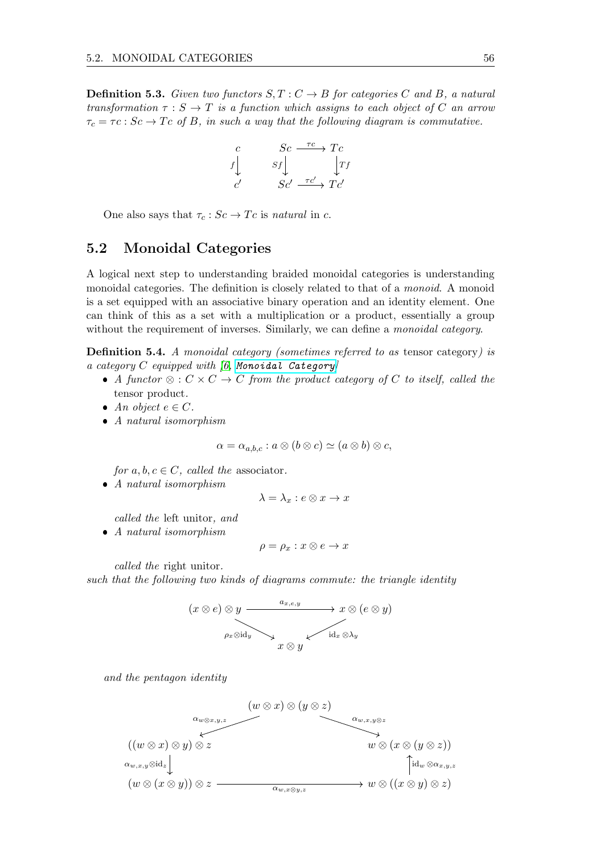**Definition 5.3.** Given two functors  $S, T : C \rightarrow B$  for categories C and B, a natural transformation  $\tau : S \to T$  is a function which assigns to each object of C an arrow  $\tau_c = \tau_c : Sc \to Tc$  of B, in such a way that the following diagram is commutative.

$$
\begin{array}{ccc}\nc & Sc & \xrightarrow{rc} Tc \\
f \downarrow & & \downarrow f \\
c' & & Sc' & \xrightarrow{rc'} Tc'\n\end{array}
$$

One also says that  $\tau_c : Sc \to Tc$  is natural in c.

## 5.2 Monoidal Categories

A logical next step to understanding braided monoidal categories is understanding monoidal categories. The definition is closely related to that of a monoid. A monoid is a set equipped with an associative binary operation and an identity element. One can think of this as a set with a multiplication or a product, essentially a group without the requirement of inverses. Similarly, we can define a *monoidal category*.

Definition 5.4. A monoidal category (sometimes referred to as tensor category) is a category  $C$  equipped with  $(6, Monoidal$  Category

- A functor ⊗ :  $C \times C \rightarrow C$  from the product category of C to itself, called the tensor product.
- An object  $e \in C$ .
- A natural isomorphism

$$
\alpha = \alpha_{a,b,c} : a \otimes (b \otimes c) \simeq (a \otimes b) \otimes c,
$$

for  $a, b, c \in C$ , called the associator.

 $\bullet$  A natural isomorphism

$$
\lambda = \lambda_x : e \otimes x \to x
$$

called the left unitor, and

• A natural isomorphism

$$
\rho = \rho_x : x \otimes e \to x
$$

called the right unitor.

such that the following two kinds of diagrams commute: the triangle identity



and the pentagon identity

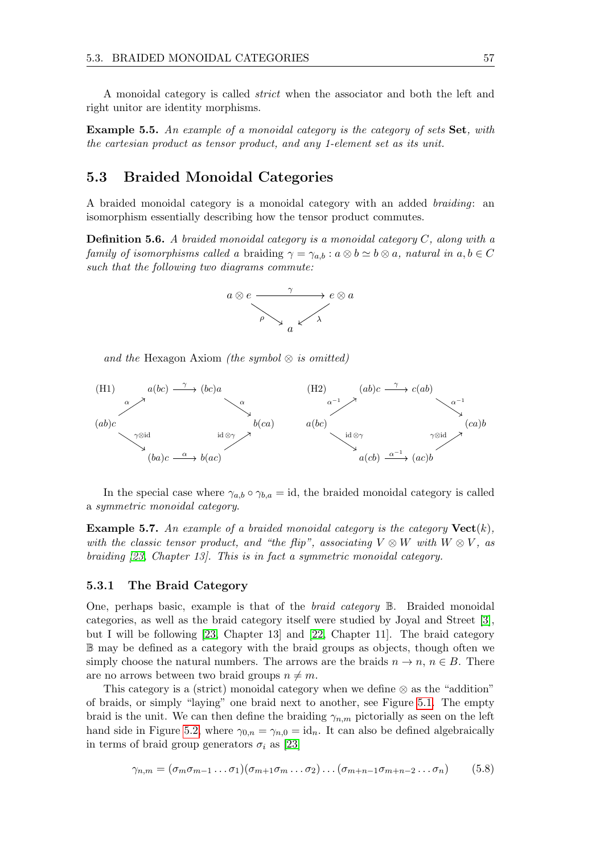A monoidal category is called strict when the associator and both the left and right unitor are identity morphisms.

**Example 5.5.** An example of a monoidal category is the category of sets Set, with the cartesian product as tensor product, and any 1-element set as its unit.

## 5.3 Braided Monoidal Categories

A braided monoidal category is a monoidal category with an added braiding: an isomorphism essentially describing how the tensor product commutes.

**Definition 5.6.** A braided monoidal category is a monoidal category  $C$ , along with a family of isomorphisms called a braiding  $\gamma = \gamma_{a,b} : a \otimes b \simeq b \otimes a$ , natural in  $a, b \in C$ such that the following two diagrams commute:



<span id="page-60-0"></span>and the Hexagon Axiom (the symbol  $\otimes$  is omitted)



In the special case where  $\gamma_{a,b} \circ \gamma_{b,a} = id$ , the braided monoidal category is called a symmetric monoidal category.

**Example 5.7.** An example of a braided monoidal category is the category  $Vect(k)$ , with the classic tensor product, and "the flip", associating  $V \otimes W$  with  $W \otimes V$ , as braiding [\[23,](#page-71-6) Chapter 13]. This is in fact a symmetric monoidal category.

#### 5.3.1 The Braid Category

One, perhaps basic, example is that of the *braid category*  $\mathbb{B}$ . Braided monoidal categories, as well as the braid category itself were studied by Joyal and Street [\[3\]](#page-70-11), but I will be following [\[23,](#page-71-6) Chapter 13] and [\[22,](#page-71-5) Chapter 11]. The braid category B may be defined as a category with the braid groups as objects, though often we simply choose the natural numbers. The arrows are the braids  $n \to n$ ,  $n \in B$ . There are no arrows between two braid groups  $n \neq m$ .

This category is a (strict) monoidal category when we define  $\otimes$  as the "addition" of braids, or simply "laying" one braid next to another, see Figure [5.1.](#page-61-0) The empty braid is the unit. We can then define the braiding  $\gamma_{n,m}$  pictorially as seen on the left hand side in Figure [5.2,](#page-61-1) where  $\gamma_{0,n} = \gamma_{n,0} = id_n$ . It can also be defined algebraically in terms of braid group generators  $\sigma_i$  as [\[23\]](#page-71-6)

$$
\gamma_{n,m} = (\sigma_m \sigma_{m-1} \dots \sigma_1)(\sigma_{m+1} \sigma_m \dots \sigma_2) \dots (\sigma_{m+n-1} \sigma_{m+n-2} \dots \sigma_n) \tag{5.8}
$$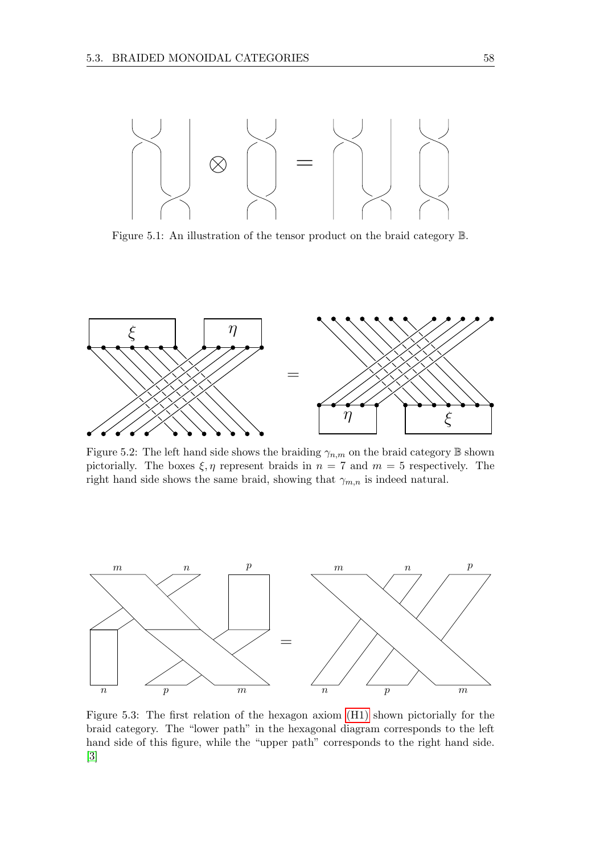<span id="page-61-0"></span>

Figure 5.1: An illustration of the tensor product on the braid category B.

<span id="page-61-1"></span>

Figure 5.2: The left hand side shows the braiding  $\gamma_{n,m}$  on the braid category  $\mathbb B$  shown pictorially. The boxes  $\xi, \eta$  represent braids in  $n = 7$  and  $m = 5$  respectively. The right hand side shows the same braid, showing that  $\gamma_{m,n}$  is indeed natural.

<span id="page-61-2"></span>

Figure 5.3: The first relation of the hexagon axiom [\(H1\)](#page-60-0) shown pictorially for the braid category. The "lower path" in the hexagonal diagram corresponds to the left hand side of this figure, while the "upper path" corresponds to the right hand side. [\[3\]](#page-70-11)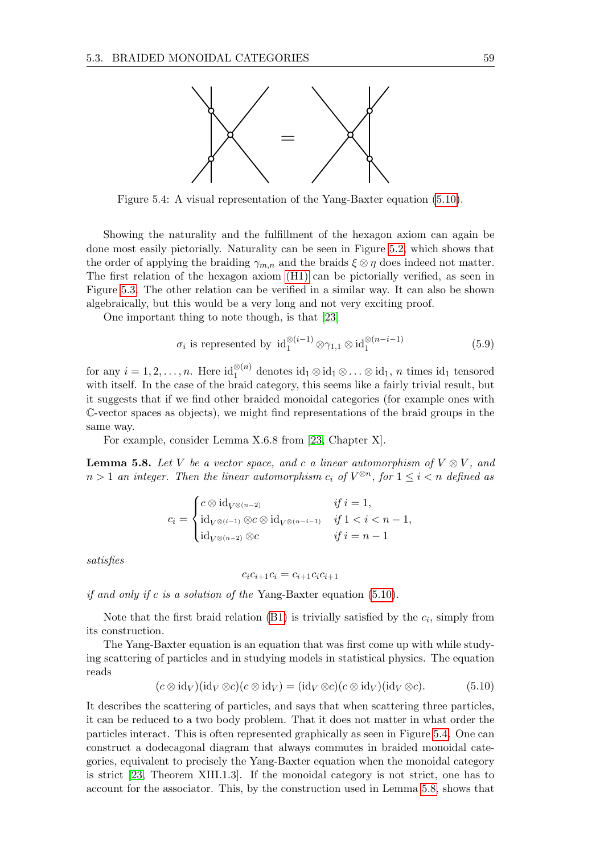<span id="page-62-1"></span>

Figure 5.4: A visual representation of the Yang-Baxter equation [\(5.10\)](#page-62-0).

Showing the naturality and the fulfillment of the hexagon axiom can again be done most easily pictorially. Naturality can be seen in Figure [5.2,](#page-61-1) which shows that the order of applying the braiding  $\gamma_{m,n}$  and the braids  $\xi \otimes \eta$  does indeed not matter. The first relation of the hexagon axiom [\(H1\)](#page-60-0) can be pictorially verified, as seen in Figure [5.3.](#page-61-2) The other relation can be verified in a similar way. It can also be shown algebraically, but this would be a very long and not very exciting proof.

One important thing to note though, is that [\[23\]](#page-71-6)

<span id="page-62-3"></span>
$$
\sigma_i \text{ is represented by } \mathrm{id}_1^{\otimes (i-1)} \otimes \gamma_{1,1} \otimes \mathrm{id}_1^{\otimes (n-i-1)} \tag{5.9}
$$

for any  $i = 1, 2, ..., n$ . Here  $id_1^{\otimes (n)}$  denotes  $id_1 \otimes id_1 \otimes ... \otimes id_1$ , n times  $id_1$  tensored with itself. In the case of the braid category, this seems like a fairly trivial result, but it suggests that if we find other braided monoidal categories (for example ones with C-vector spaces as objects), we might find representations of the braid groups in the same way.

For example, consider Lemma X.6.8 from [\[23,](#page-71-6) Chapter X].

<span id="page-62-2"></span>**Lemma 5.8.** Let V be a vector space, and c a linear automorphism of  $V \otimes V$ , and  $n > 1$  an integer. Then the linear automorphism  $c_i$  of  $V^{\otimes n}$ , for  $1 \leq i < n$  defined as

$$
c_i = \begin{cases} c \otimes \operatorname{id}_{V^{\otimes (n-2)}} & \text{if } i = 1, \\ \operatorname{id}_{V^{\otimes (i-1)}} \otimes c \otimes \operatorname{id}_{V^{\otimes (n-i-1)}} & \text{if } 1 < i < n-1, \\ \operatorname{id}_{V^{\otimes (n-2)}} \otimes c & \text{if } i = n-1 \end{cases}
$$

satisfies

$$
c_i c_{i+1} c_i = c_{i+1} c_i c_{i+1}
$$

if and only if c is a solution of the Yang-Baxter equation  $(5.10)$ .

Note that the first braid relation  $(B1)$  is trivially satisfied by the  $c_i$ , simply from its construction.

The Yang-Baxter equation is an equation that was first come up with while studying scattering of particles and in studying models in statistical physics. The equation reads

<span id="page-62-0"></span>
$$
(c \otimes id_V)(id_V \otimes c)(c \otimes id_V) = (id_V \otimes c)(c \otimes id_V)(id_V \otimes c). \tag{5.10}
$$

It describes the scattering of particles, and says that when scattering three particles, it can be reduced to a two body problem. That it does not matter in what order the particles interact. This is often represented graphically as seen in Figure [5.4.](#page-62-1) One can construct a dodecagonal diagram that always commutes in braided monoidal categories, equivalent to precisely the Yang-Baxter equation when the monoidal category is strict [\[23,](#page-71-6) Theorem XIII.1.3]. If the monoidal category is not strict, one has to account for the associator. This, by the construction used in Lemma [5.8,](#page-62-2) shows that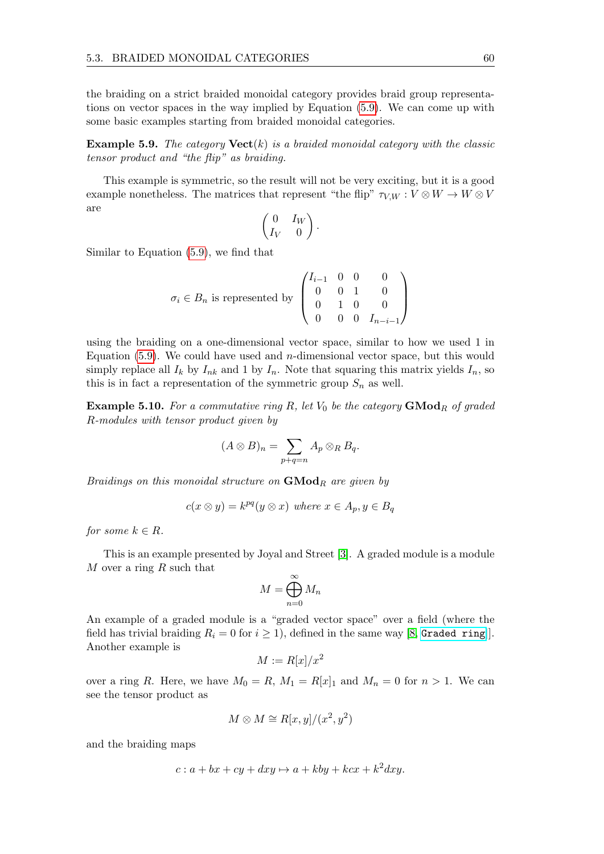the braiding on a strict braided monoidal category provides braid group representations on vector spaces in the way implied by Equation [\(5.9\)](#page-62-3). We can come up with some basic examples starting from braided monoidal categories.

**Example 5.9.** The category  $Vect(k)$  is a braided monoidal category with the classic tensor product and "the flip" as braiding.

This example is symmetric, so the result will not be very exciting, but it is a good example nonetheless. The matrices that represent "the flip"  $\tau_{V,W}: V \otimes W \to W \otimes V$ are

$$
\begin{pmatrix} 0 & I_W \cr I_V & 0 \end{pmatrix}.
$$

Similar to Equation [\(5.9\)](#page-62-3), we find that

$$
\sigma_i \in B_n \text{ is represented by } \begin{pmatrix} I_{i-1} & 0 & 0 & 0 \\ 0 & 0 & 1 & 0 \\ 0 & 1 & 0 & 0 \\ 0 & 0 & 0 & I_{n-i-1} \end{pmatrix}
$$

using the braiding on a one-dimensional vector space, similar to how we used 1 in Equation  $(5.9)$ . We could have used and *n*-dimensional vector space, but this would simply replace all  $I_k$  by  $I_{nk}$  and 1 by  $I_n$ . Note that squaring this matrix yields  $I_n$ , so this is in fact a representation of the symmetric group  $S_n$  as well.

**Example 5.10.** For a commutative ring R, let  $V_0$  be the category  $\mathbf{GMod}_R$  of graded R-modules with tensor product given by

$$
(A \otimes B)_n = \sum_{p+q=n} A_p \otimes_R B_q.
$$

Braidings on this monoidal structure on  $\mathbf{GMod}_R$  are given by

$$
c(x \otimes y) = k^{pq}(y \otimes x) \text{ where } x \in A_p, y \in B_q
$$

for some  $k \in R$ .

This is an example presented by Joyal and Street [\[3\]](#page-70-11). A graded module is a module M over a ring  $R$  such that

$$
M = \bigoplus_{n=0}^{\infty} M_n
$$

An example of a graded module is a "graded vector space" over a field (where the field has trivial braiding  $R_i = 0$  for  $i \ge 1$ , defined in the same way [\[8,](#page-70-9) [Graded ring](https://en.wikipedia.org/wiki/Graded_ring)]]. Another example is

$$
M := R[x]/x^2
$$

over a ring R. Here, we have  $M_0 = R$ ,  $M_1 = R[x]_1$  and  $M_n = 0$  for  $n > 1$ . We can see the tensor product as

$$
M\otimes M\cong R[x,y]/(x^2,y^2)
$$

and the braiding maps

$$
c: a + bx + cy + dxy \mapsto a + kby + kcx + k^2dxy.
$$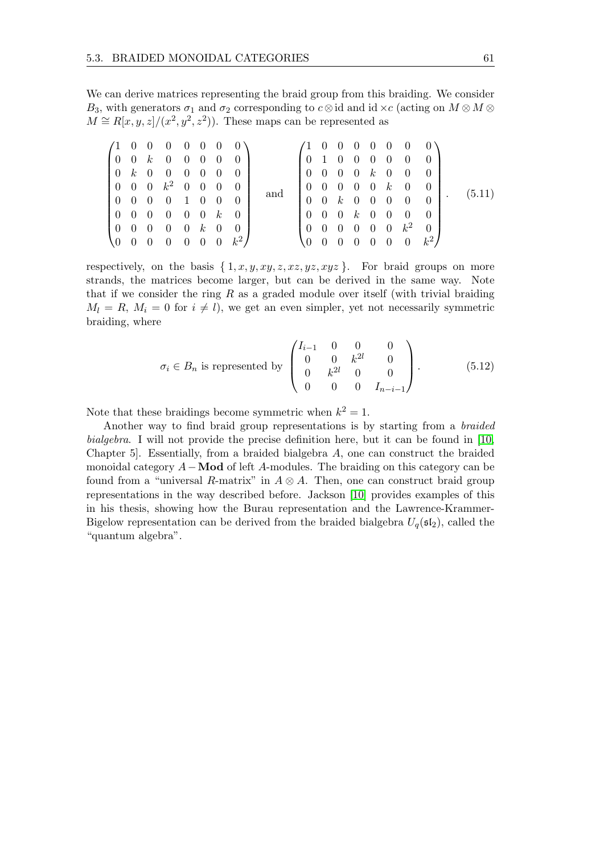We can derive matrices representing the braid group from this braiding. We consider  $B_3$ , with generators  $\sigma_1$  and  $\sigma_2$  corresponding to  $c \otimes id$  and id  $\times c$  (acting on  $M \otimes M \otimes d$  $M \cong R[x,y,z]/(x^2,y^2,z^2)$ . These maps can be represented as

|  |                |                                                                 |                |                | $(1 \t0 \t0 \t0 \t0 \t0 \t0 \t0)$                             |     |                                                               |                                                               |  |  |                | $(1 \ 0 \ 0 \ 0 \ 0 \ 0 \ 0 \ 0)$                             |                 |  |  |        |
|--|----------------|-----------------------------------------------------------------|----------------|----------------|---------------------------------------------------------------|-----|---------------------------------------------------------------|---------------------------------------------------------------|--|--|----------------|---------------------------------------------------------------|-----------------|--|--|--------|
|  |                |                                                                 |                |                | $\begin{bmatrix} 0 & 0 & k & 0 & 0 & 0 & 0 & 0 \end{bmatrix}$ |     | $\begin{pmatrix} 0 & 1 & 0 & 0 & 0 & 0 & 0 & 0 \end{pmatrix}$ |                                                               |  |  |                |                                                               |                 |  |  |        |
|  |                | $\begin{bmatrix} 0 & k & 0 & 0 & 0 & 0 & 0 & 0 \end{bmatrix}$   |                |                |                                                               |     |                                                               |                                                               |  |  |                | $\begin{bmatrix} 0 & 0 & 0 & 0 & k & 0 & 0 & 0 \end{bmatrix}$ |                 |  |  |        |
|  |                | $\begin{bmatrix} 0 & 0 & 0 & k^2 & 0 & 0 & 0 & 0 \end{bmatrix}$ |                |                |                                                               |     |                                                               |                                                               |  |  |                | $\begin{bmatrix} 0 & 0 & 0 & 0 & 0 & k & 0 & 0 \end{bmatrix}$ |                 |  |  | (5.11) |
|  |                | $\begin{pmatrix} 0 & 0 & 0 & 0 & 1 & 0 & 0 & 0 \end{pmatrix}$   |                |                |                                                               | and |                                                               |                                                               |  |  |                | $\begin{pmatrix} 0 & 0 & k & 0 & 0 & 0 & 0 & 0 \end{pmatrix}$ |                 |  |  |        |
|  |                | $\begin{bmatrix} 0 & 0 & 0 & 0 & 0 & 0 & k & 0 \end{bmatrix}$   |                |                |                                                               |     |                                                               | $\begin{pmatrix} 0 & 0 & 0 & k & 0 & 0 & 0 & 0 \end{pmatrix}$ |  |  |                |                                                               |                 |  |  |        |
|  |                | $\begin{bmatrix} 0 & 0 & 0 & 0 & 0 & k & 0 & 0 \end{bmatrix}$   |                |                |                                                               |     |                                                               |                                                               |  |  |                | $\begin{pmatrix} 0 & 0 & 0 & 0 & 0 & 0 & k^2 \end{pmatrix}$   | $0 \rightarrow$ |  |  |        |
|  | $\overline{0}$ |                                                                 | $\overline{0}$ | $\overline{0}$ | $k^2$ ,                                                       |     |                                                               | $\overline{\phantom{0}}$                                      |  |  | $\overline{0}$ | $\begin{array}{c} 0 \end{array}$                              | $k^2$           |  |  |        |

respectively, on the basis  $\{1, x, y, xy, z, xz, yz, xyz\}$ . For braid groups on more strands, the matrices become larger, but can be derived in the same way. Note that if we consider the ring  $R$  as a graded module over itself (with trivial braiding  $M_l = R$ ,  $M_i = 0$  for  $i \neq l$ , we get an even simpler, yet not necessarily symmetric braiding, where

$$
\sigma_i \in B_n \text{ is represented by } \begin{pmatrix} I_{i-1} & 0 & 0 & 0 \\ 0 & 0 & k^{2l} & 0 \\ 0 & k^{2l} & 0 & 0 \\ 0 & 0 & 0 & I_{n-i-1} \end{pmatrix}.
$$
 (5.12)

Note that these braidings become symmetric when  $k^2 = 1$ .

Another way to find braid group representations is by starting from a braided bialgebra. I will not provide the precise definition here, but it can be found in [\[10,](#page-70-12) Chapter 5]. Essentially, from a braided bialgebra A, one can construct the braided monoidal category  $A-\textbf{Mod}$  of left A-modules. The braiding on this category can be found from a "universal R-matrix" in  $A \otimes A$ . Then, one can construct braid group representations in the way described before. Jackson [\[10\]](#page-70-12) provides examples of this in his thesis, showing how the Burau representation and the Lawrence-Krammer-Bigelow representation can be derived from the braided bialgebra  $U_q(\mathfrak{sl}_2)$ , called the "quantum algebra".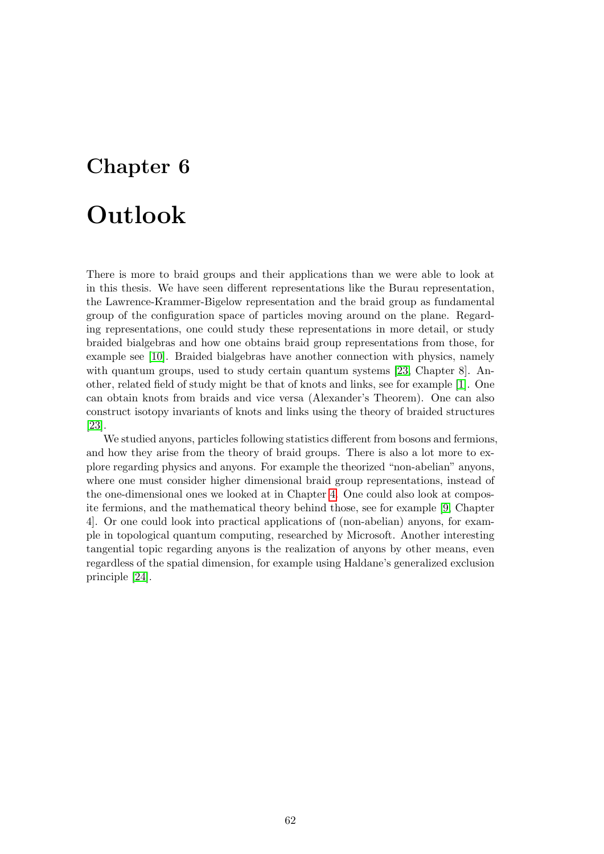## Chapter 6

# Outlook

There is more to braid groups and their applications than we were able to look at in this thesis. We have seen different representations like the Burau representation, the Lawrence-Krammer-Bigelow representation and the braid group as fundamental group of the configuration space of particles moving around on the plane. Regarding representations, one could study these representations in more detail, or study braided bialgebras and how one obtains braid group representations from those, for example see [\[10\]](#page-70-12). Braided bialgebras have another connection with physics, namely with quantum groups, used to study certain quantum systems [\[23,](#page-71-6) Chapter 8]. Another, related field of study might be that of knots and links, see for example [\[1\]](#page-70-3). One can obtain knots from braids and vice versa (Alexander's Theorem). One can also construct isotopy invariants of knots and links using the theory of braided structures [\[23\]](#page-71-6).

We studied anyons, particles following statistics different from bosons and fermions, and how they arise from the theory of braid groups. There is also a lot more to explore regarding physics and anyons. For example the theorized "non-abelian" anyons, where one must consider higher dimensional braid group representations, instead of the one-dimensional ones we looked at in Chapter [4.](#page-37-1) One could also look at composite fermions, and the mathematical theory behind those, see for example [\[9,](#page-70-7) Chapter 4]. Or one could look into practical applications of (non-abelian) anyons, for example in topological quantum computing, researched by Microsoft. Another interesting tangential topic regarding anyons is the realization of anyons by other means, even regardless of the spatial dimension, for example using Haldane's generalized exclusion principle [\[24\]](#page-71-7).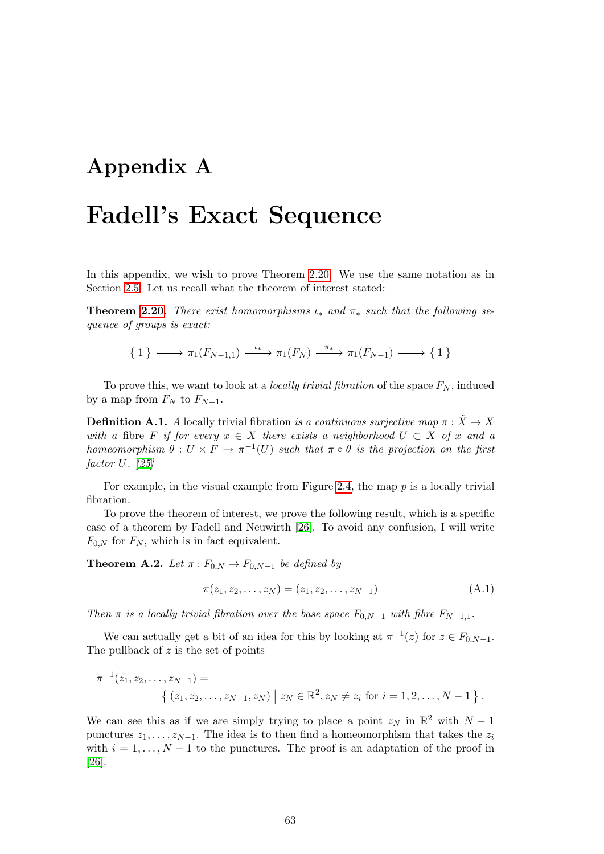## Appendix A

# Fadell's Exact Sequence

In this appendix, we wish to prove Theorem [2.20.](#page-21-0) We use the same notation as in Section [2.5.](#page-20-1) Let us recall what the theorem of interest stated:

**Theorem [2.20.](#page-21-0)** There exist homomorphisms  $\iota_*$  and  $\pi_*$  such that the following sequence of groups is exact:

$$
\{ 1 \} \longrightarrow \pi_1(F_{N-1,1}) \xrightarrow{\iota_*} \pi_1(F_N) \xrightarrow{\pi_*} \pi_1(F_{N-1}) \longrightarrow \{ 1 \}
$$

To prove this, we want to look at a *locally trivial fibration* of the space  $F_N$ , induced by a map from  $F_N$  to  $F_{N-1}$ .

**Definition A.1.** A locally trivial fibration is a continuous surjective map  $\pi : \tilde{X} \to X$ with a fibre F if for every  $x \in X$  there exists a neighborhood  $U \subset X$  of x and a homeomorphism  $\theta: U \times F \to \pi^{-1}(U)$  such that  $\pi \circ \theta$  is the projection on the first factor U. [\[25\]](#page-71-8)

For example, in the visual example from Figure [2.4,](#page-13-0) the map  $p$  is a locally trivial fibration.

To prove the theorem of interest, we prove the following result, which is a specific case of a theorem by Fadell and Neuwirth [\[26\]](#page-71-9). To avoid any confusion, I will write  $F_{0,N}$  for  $F_N$ , which is in fact equivalent.

<span id="page-66-0"></span>**Theorem A.2.** Let  $\pi$  :  $F_{0,N} \to F_{0,N-1}$  be defined by

$$
\pi(z_1, z_2, \dots, z_N) = (z_1, z_2, \dots, z_{N-1})
$$
\n(A.1)

Then  $\pi$  is a locally trivial fibration over the base space  $F_{0,N-1}$  with fibre  $F_{N-1,1}$ .

We can actually get a bit of an idea for this by looking at  $\pi^{-1}(z)$  for  $z \in F_{0,N-1}$ . The pullback of  $z$  is the set of points

$$
\pi^{-1}(z_1, z_2, \dots, z_{N-1}) = \left\{ (z_1, z_2, \dots, z_{N-1}, z_N) \mid z_N \in \mathbb{R}^2, z_N \neq z_i \text{ for } i = 1, 2, \dots, N-1 \right\}.
$$

We can see this as if we are simply trying to place a point  $z_N$  in  $\mathbb{R}^2$  with  $N-1$ punctures  $z_1, \ldots, z_{N-1}$ . The idea is to then find a homeomorphism that takes the  $z_i$ with  $i = 1, \ldots, N - 1$  to the punctures. The proof is an adaptation of the proof in [\[26\]](#page-71-9).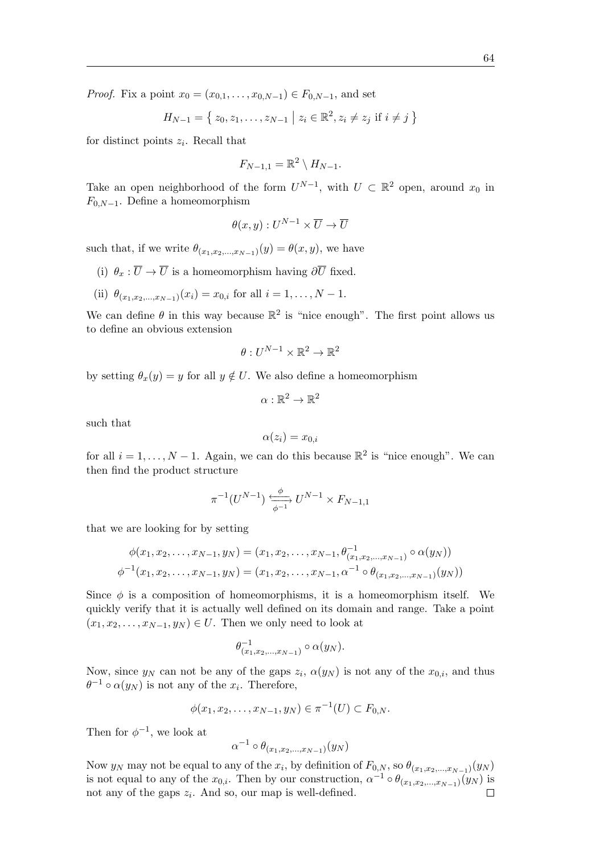*Proof.* Fix a point  $x_0 = (x_{0,1}, \ldots, x_{0,N-1}) \in F_{0,N-1}$ , and set

$$
H_{N-1} = \{ z_0, z_1, \dots, z_{N-1} \mid z_i \in \mathbb{R}^2, z_i \neq z_j \text{ if } i \neq j \}
$$

for distinct points  $z_i$ . Recall that

$$
F_{N-1,1} = \mathbb{R}^2 \setminus H_{N-1}.
$$

Take an open neighborhood of the form  $U^{N-1}$ , with  $U \subset \mathbb{R}^2$  open, around  $x_0$  in  $F_{0,N-1}$ . Define a homeomorphism

$$
\theta(x, y) : U^{N-1} \times \overline{U} \to \overline{U}
$$

such that, if we write  $\theta_{(x_1, x_2, \dots, x_{N-1})}(y) = \theta(x, y)$ , we have

- (i)  $\theta_x : \overline{U} \to \overline{U}$  is a homeomorphism having  $\partial \overline{U}$  fixed.
- (ii)  $\theta_{(x_1, x_2, ..., x_{N-1})}(x_i) = x_{0,i}$  for all  $i = 1, ..., N-1$ .

We can define  $\theta$  in this way because  $\mathbb{R}^2$  is "nice enough". The first point allows us to define an obvious extension

$$
\theta:U^{N-1}\times\mathbb{R}^2\to\mathbb{R}^2
$$

by setting  $\theta_x(y) = y$  for all  $y \notin U$ . We also define a homeomorphism

$$
\alpha:\mathbb{R}^2\to\mathbb{R}^2
$$

such that

$$
\alpha(z_i)=x_{0,i}
$$

for all  $i = 1, ..., N - 1$ . Again, we can do this because  $\mathbb{R}^2$  is "nice enough". We can then find the product structure

$$
\pi^{-1}(U^{N-1}) \xrightarrow[\phi^{-1}]{\phi} U^{N-1} \times F_{N-1,1}
$$

that we are looking for by setting

$$
\phi(x_1, x_2, \dots, x_{N-1}, y_N) = (x_1, x_2, \dots, x_{N-1}, \theta_{(x_1, x_2, \dots, x_{N-1})}^{-1} \circ \alpha(y_N))
$$
  

$$
\phi^{-1}(x_1, x_2, \dots, x_{N-1}, y_N) = (x_1, x_2, \dots, x_{N-1}, \alpha^{-1} \circ \theta_{(x_1, x_2, \dots, x_{N-1})}(y_N))
$$

Since  $\phi$  is a composition of homeomorphisms, it is a homeomorphism itself. We quickly verify that it is actually well defined on its domain and range. Take a point  $(x_1, x_2, \ldots, x_{N-1}, y_N) \in U$ . Then we only need to look at

$$
\theta_{(x_1,x_2,\ldots,x_{N-1})}^{-1}\circ\alpha(y_N).
$$

Now, since  $y_N$  can not be any of the gaps  $z_i$ ,  $\alpha(y_N)$  is not any of the  $x_{0,i}$ , and thus  $\theta^{-1} \circ \alpha(y_N)$  is not any of the  $x_i$ . Therefore,

$$
\phi(x_1, x_2, \dots, x_{N-1}, y_N) \in \pi^{-1}(U) \subset F_{0,N}.
$$

Then for  $\phi^{-1}$ , we look at

$$
\alpha^{-1} \circ \theta_{(x_1, x_2, \dots, x_{N-1})}(y_N)
$$

Now  $y_N$  may not be equal to any of the  $x_i$ , by definition of  $F_{0,N}$ , so  $\theta_{(x_1,x_2,...,x_{N-1})}(y_N)$ is not equal to any of the  $x_{0,i}$ . Then by our construction,  $\alpha^{-1} \circ \theta_{(x_1,x_2,...,x_{N-1})}(y_N)$  is not any of the gaps  $z_i$ . And so, our map is well-defined.  $\Box$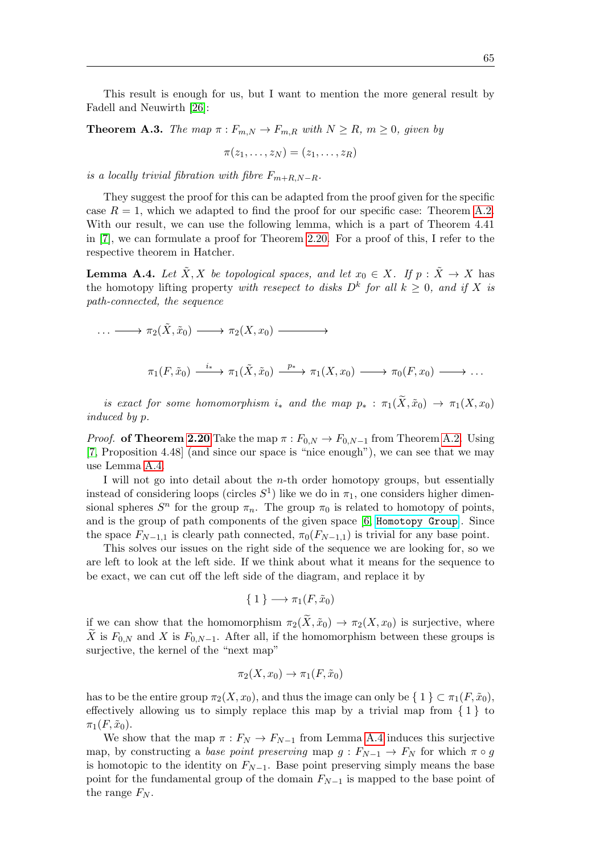This result is enough for us, but I want to mention the more general result by Fadell and Neuwirth [\[26\]](#page-71-9):

**Theorem A.3.** The map  $\pi: F_{m,N} \to F_{m,R}$  with  $N \ge R$ ,  $m \ge 0$ , given by

$$
\pi(z_1,\ldots,z_N)=(z_1,\ldots,z_R)
$$

is a locally trivial fibration with fibre  $F_{m+R,N-R}$ .

They suggest the proof for this can be adapted from the proof given for the specific case  $R = 1$ , which we adapted to find the proof for our specific case: Theorem [A.2.](#page-66-0) With our result, we can use the following lemma, which is a part of Theorem 4.41 in [\[7\]](#page-70-0), we can formulate a proof for Theorem [2.20.](#page-21-0) For a proof of this, I refer to the respective theorem in Hatcher.

<span id="page-68-0"></span>**Lemma A.4.** Let  $\tilde{X}, X$  be topological spaces, and let  $x_0 \in X$ . If  $p : \tilde{X} \to X$  has the homotopy lifting property with resepect to disks  $D^k$  for all  $k \geq 0$ , and if X is path-connected, the sequence

$$
\cdots \longrightarrow \pi_2(\tilde{X}, \tilde{x}_0) \longrightarrow \pi_2(X, x_0) \longrightarrow
$$
  

$$
\pi_1(F, \tilde{x}_0) \xrightarrow{i_*} \pi_1(\tilde{X}, \tilde{x}_0) \xrightarrow{p_*} \pi_1(X, x_0) \longrightarrow \pi_0(F, x_0) \longrightarrow \cdots
$$

is exact for some homomorphism i<sub>\*</sub> and the map  $p_* : \pi_1(\widetilde{X}, \widetilde{x}_0) \to \pi_1(X, x_0)$ induced by p.

*Proof.* of Theorem [2.20](#page-21-0) Take the map  $\pi : F_{0,N} \to F_{0,N-1}$  from Theorem [A.2.](#page-66-0) Using [\[7,](#page-70-0) Proposition 4.48] (and since our space is "nice enough"), we can see that we may use Lemma [A.4.](#page-68-0)

I will not go into detail about the n-th order homotopy groups, but essentially instead of considering loops (circles  $S<sup>1</sup>$ ) like we do in  $\pi_1$ , one considers higher dimensional spheres  $S^n$  for the group  $\pi_n$ . The group  $\pi_0$  is related to homotopy of points, and is the group of path components of the given space [\[6,](#page-70-10) [Homotopy Group](https://ncatlab.org/nlab/show/homotopy+group)]. Since the space  $F_{N-1,1}$  is clearly path connected,  $\pi_0(F_{N-1,1})$  is trivial for any base point.

This solves our issues on the right side of the sequence we are looking for, so we are left to look at the left side. If we think about what it means for the sequence to be exact, we can cut off the left side of the diagram, and replace it by

$$
\{ 1 \} \longrightarrow \pi_1(F, \tilde{x}_0)
$$

if we can show that the homomorphism  $\pi_2(\tilde{X}, \tilde{x}_0) \to \pi_2(X, x_0)$  is surjective, where  $\tilde{X}$  is  $F_{0,N}$  and X is  $F_{0,N-1}$ . After all, if the homomorphism between these groups is surjective, the kernel of the "next map"

$$
\pi_2(X, x_0) \to \pi_1(F, \tilde{x}_0)
$$

has to be the entire group  $\pi_2(X, x_0)$ , and thus the image can only be  $\{ 1 \} \subset \pi_1(F, \tilde{x}_0)$ , effectively allowing us to simply replace this map by a trivial map from  $\{1\}$  to  $\pi_1(F, \tilde{x}_0).$ 

We show that the map  $\pi : F_N \to F_{N-1}$  from Lemma [A.4](#page-68-0) induces this surjective map, by constructing a base point preserving map  $g : F_{N-1} \to F_N$  for which  $\pi \circ g$ is homotopic to the identity on  $F_{N-1}$ . Base point preserving simply means the base point for the fundamental group of the domain  $F_{N-1}$  is mapped to the base point of the range  $F_N$ .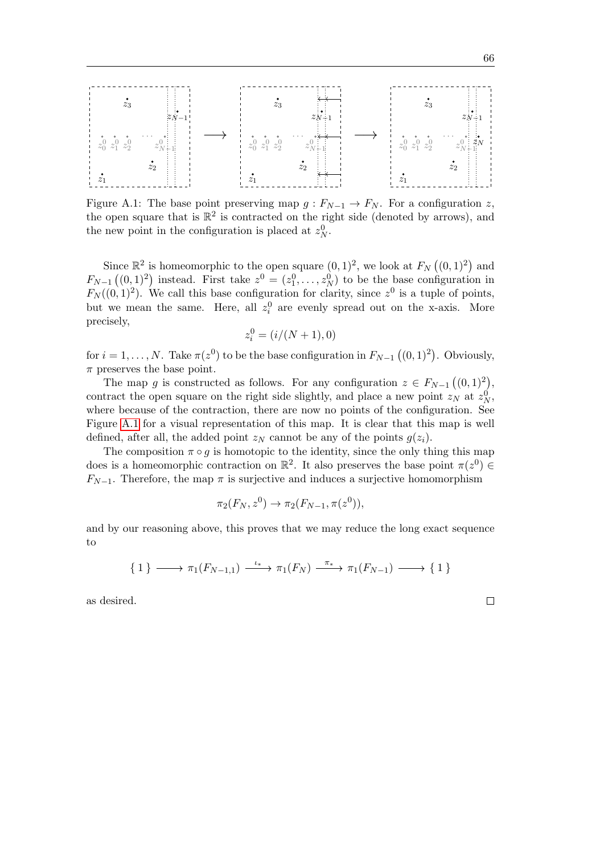<span id="page-69-0"></span>

Figure A.1: The base point preserving map  $g: F_{N-1} \to F_N$ . For a configuration z, the open square that is  $\mathbb{R}^2$  is contracted on the right side (denoted by arrows), and the new point in the configuration is placed at  $z_N^0$ .

Since  $\mathbb{R}^2$  is homeomorphic to the open square  $(0,1)^2$ , we look at  $F_N((0,1)^2)$  and  $F_{N-1}((0,1)^2)$  instead. First take  $z^0 = (z_1^0, \ldots, z_N^0)$  to be the base configuration in  $F_N((0,1)^2)$ . We call this base configuration for clarity, since  $z^0$  is a tuple of points, but we mean the same. Here, all  $z_i^0$  are evenly spread out on the x-axis. More precisely,

$$
z_i^0 = (i/(N+1), 0)
$$

for  $i = 1, ..., N$ . Take  $\pi(z^0)$  to be the base configuration in  $F_{N-1}((0, 1)^2)$ . Obviously,  $\pi$  preserves the base point.

The map g is constructed as follows. For any configuration  $z \in F_{N-1}((0,1)^2)$ , contract the open square on the right side slightly, and place a new point  $z_N$  at  $z_N^0$ , where because of the contraction, there are now no points of the configuration. See Figure [A.1](#page-69-0) for a visual representation of this map. It is clear that this map is well defined, after all, the added point  $z_N$  cannot be any of the points  $g(z_i)$ .

The composition  $\pi \circ q$  is homotopic to the identity, since the only thing this map does is a homeomorphic contraction on  $\mathbb{R}^2$ . It also preserves the base point  $\pi(z^0) \in$  $F_{N-1}$ . Therefore, the map  $\pi$  is surjective and induces a surjective homomorphism

$$
\pi_2(F_N, z^0) \to \pi_2(F_{N-1}, \pi(z^0)),
$$

and by our reasoning above, this proves that we may reduce the long exact sequence to

$$
\{ 1 \} \longrightarrow \pi_1(F_{N-1,1}) \xrightarrow{\iota_*} \pi_1(F_N) \xrightarrow{\pi_*} \pi_1(F_{N-1}) \longrightarrow \{ 1 \}
$$

as desired.

 $\Box$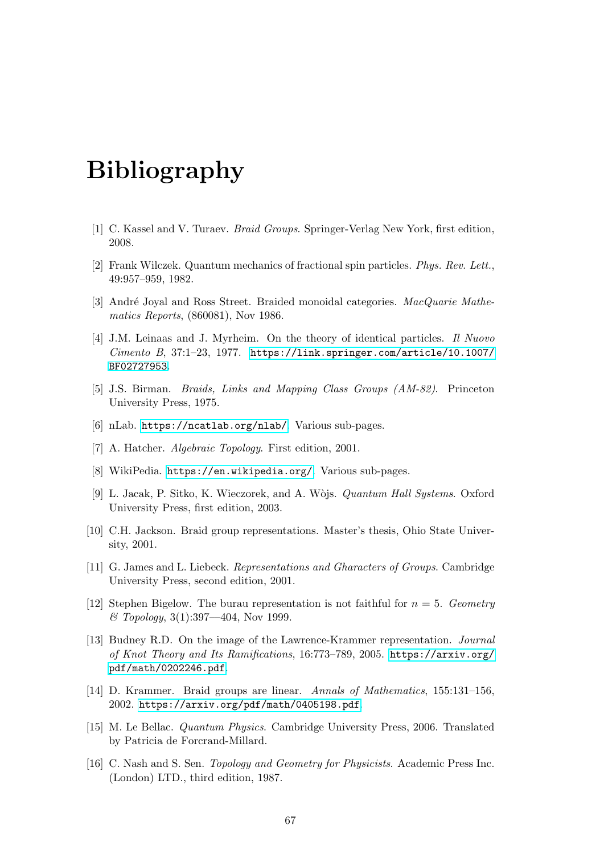# Bibliography

- <span id="page-70-3"></span>[1] C. Kassel and V. Turaev. Braid Groups. Springer-Verlag New York, first edition, 2008.
- <span id="page-70-6"></span>[2] Frank Wilczek. Quantum mechanics of fractional spin particles. Phys. Rev. Lett., 49:957–959, 1982.
- <span id="page-70-11"></span>[3] André Joyal and Ross Street. Braided monoidal categories. MacQuarie Mathematics Reports, (860081), Nov 1986.
- <span id="page-70-5"></span>[4] J.M. Leinaas and J. Myrheim. On the theory of identical particles. Il Nuovo  $Cimento B$ , 37:1-23, 1977. [https://link.springer.com/article/10.1007/](https://link.springer.com/article/10.1007/BF02727953) [BF02727953](https://link.springer.com/article/10.1007/BF02727953).
- [5] J.S. Birman. Braids, Links and Mapping Class Groups (AM-82). Princeton University Press, 1975.
- <span id="page-70-10"></span>[6] nLab. <https://ncatlab.org/nlab/>. Various sub-pages.
- <span id="page-70-0"></span>[7] A. Hatcher. Algebraic Topology. First edition, 2001.
- <span id="page-70-9"></span>[8] WikiPedia. <https://en.wikipedia.org/>. Various sub-pages.
- <span id="page-70-7"></span>[9] L. Jacak, P. Sitko, K. Wieczorek, and A. Wòjs. *Quantum Hall Systems*. Oxford University Press, first edition, 2003.
- <span id="page-70-12"></span>[10] C.H. Jackson. Braid group representations. Master's thesis, Ohio State University, 2001.
- [11] G. James and L. Liebeck. Representations and Gharacters of Groups. Cambridge University Press, second edition, 2001.
- [12] Stephen Bigelow. The burau representation is not faithful for  $n = 5$ . Geometry  $& \n Topology, 3(1):397 - 404, Nov 1999.$
- <span id="page-70-1"></span>[13] Budney R.D. On the image of the Lawrence-Krammer representation. Journal of Knot Theory and Its Ramifications, 16:773–789, 2005. [https://arxiv.org/](https://arxiv.org/pdf/math/0202246.pdf) [pdf/math/0202246.pdf](https://arxiv.org/pdf/math/0202246.pdf).
- <span id="page-70-2"></span>[14] D. Krammer. Braid groups are linear. Annals of Mathematics, 155:131–156, 2002. <https://arxiv.org/pdf/math/0405198.pdf>.
- <span id="page-70-4"></span>[15] M. Le Bellac. Quantum Physics. Cambridge University Press, 2006. Translated by Patricia de Forcrand-Millard.
- <span id="page-70-8"></span>[16] C. Nash and S. Sen. Topology and Geometry for Physicists. Academic Press Inc. (London) LTD., third edition, 1987.